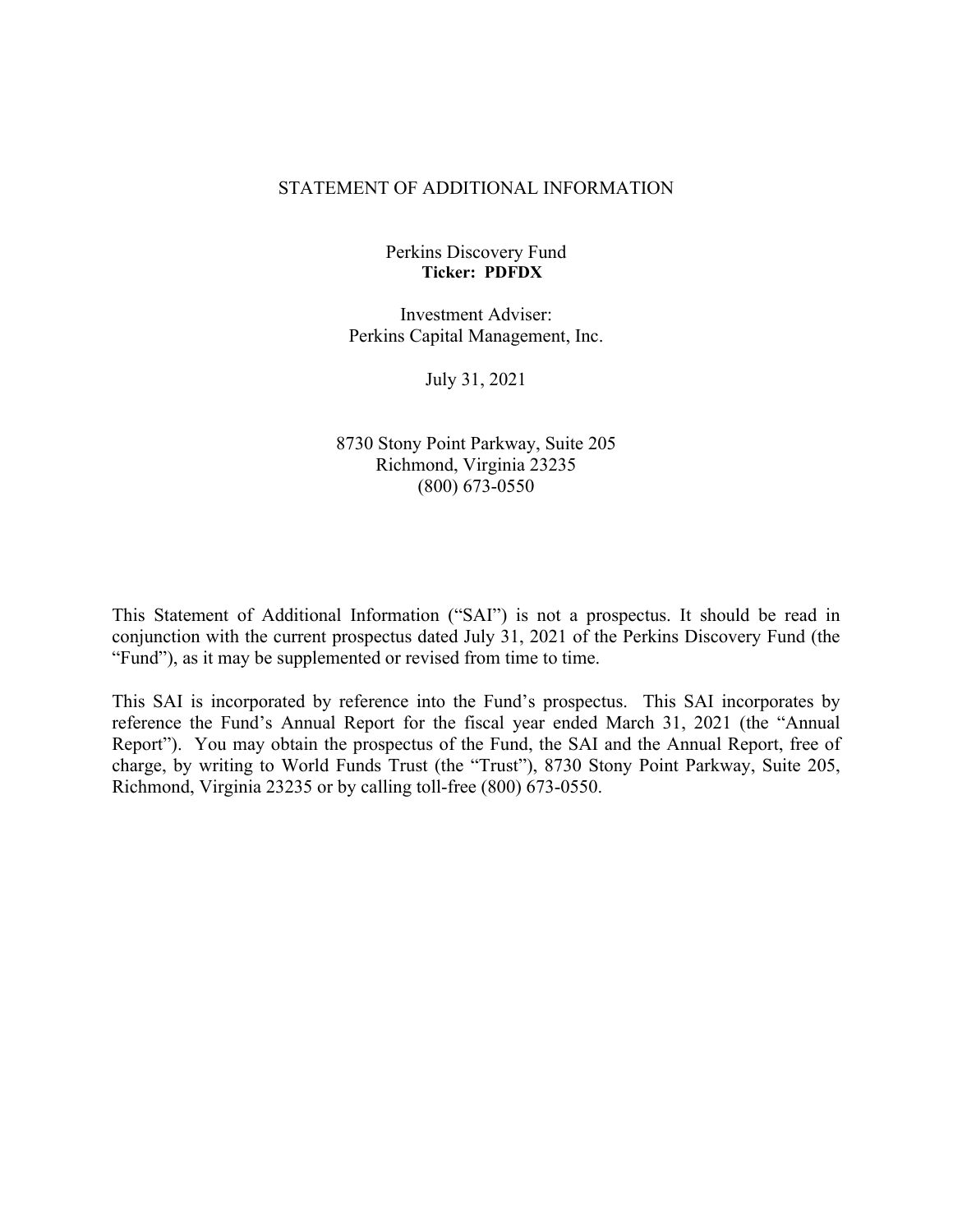### STATEMENT OF ADDITIONAL INFORMATION

Perkins Discovery Fund **Ticker: PDFDX**

Investment Adviser: Perkins Capital Management, Inc.

July 31, 2021

8730 Stony Point Parkway, Suite 205 Richmond, Virginia 23235 (800) 673-0550

This Statement of Additional Information ("SAI") is not a prospectus. It should be read in conjunction with the current prospectus dated July 31, 2021 of the Perkins Discovery Fund (the "Fund"), as it may be supplemented or revised from time to time.

This SAI is incorporated by reference into the Fund's prospectus. This SAI incorporates by reference the Fund's Annual Report for the fiscal year ended March 31, 2021 (the "Annual Report"). You may obtain the prospectus of the Fund, the SAI and the Annual Report, free of charge, by writing to World Funds Trust (the "Trust"), 8730 Stony Point Parkway, Suite 205, Richmond, Virginia 23235 or by calling toll-free (800) 673-0550.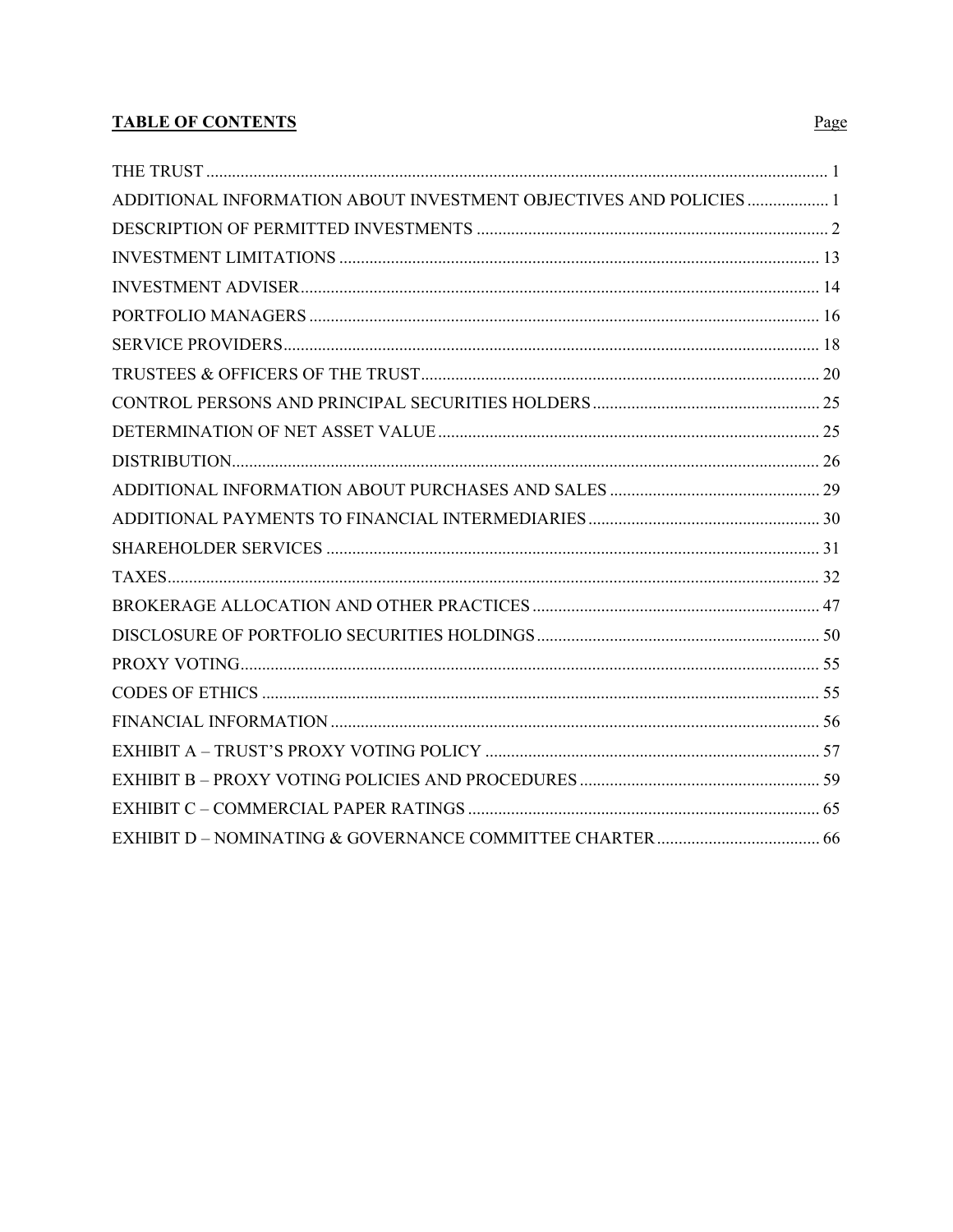# **TABLE OF CONTENTS**

| ADDITIONAL INFORMATION ABOUT INVESTMENT OBJECTIVES AND POLICIES1 |  |
|------------------------------------------------------------------|--|
|                                                                  |  |
|                                                                  |  |
|                                                                  |  |
|                                                                  |  |
|                                                                  |  |
|                                                                  |  |
|                                                                  |  |
|                                                                  |  |
|                                                                  |  |
|                                                                  |  |
|                                                                  |  |
|                                                                  |  |
|                                                                  |  |
|                                                                  |  |
|                                                                  |  |
|                                                                  |  |
|                                                                  |  |
|                                                                  |  |
|                                                                  |  |
|                                                                  |  |
|                                                                  |  |
|                                                                  |  |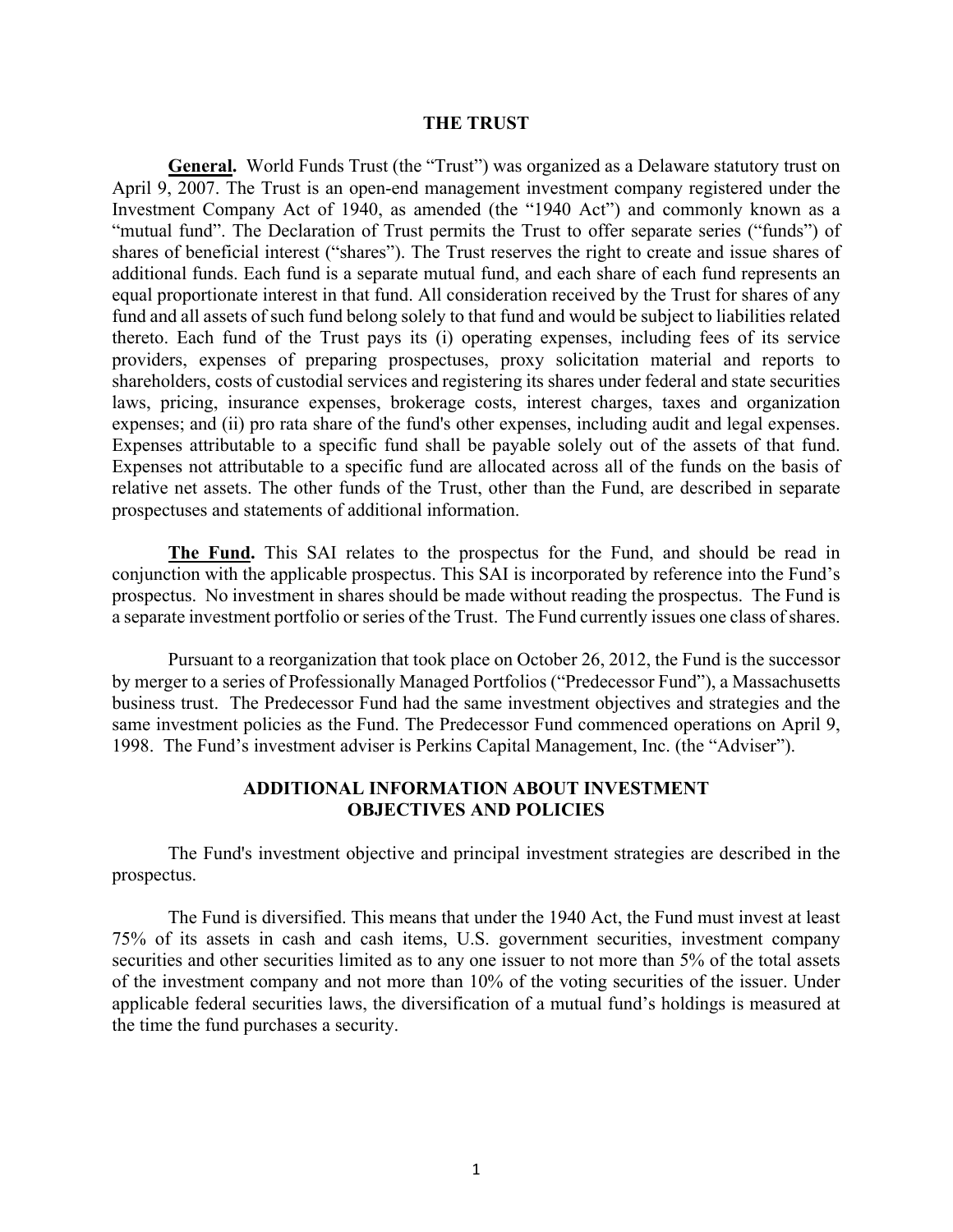#### **THE TRUST**

<span id="page-2-0"></span>**General.** World Funds Trust (the "Trust") was organized as a Delaware statutory trust on April 9, 2007. The Trust is an open-end management investment company registered under the Investment Company Act of 1940, as amended (the "1940 Act") and commonly known as a "mutual fund". The Declaration of Trust permits the Trust to offer separate series ("funds") of shares of beneficial interest ("shares"). The Trust reserves the right to create and issue shares of additional funds. Each fund is a separate mutual fund, and each share of each fund represents an equal proportionate interest in that fund. All consideration received by the Trust for shares of any fund and all assets of such fund belong solely to that fund and would be subject to liabilities related thereto. Each fund of the Trust pays its (i) operating expenses, including fees of its service providers, expenses of preparing prospectuses, proxy solicitation material and reports to shareholders, costs of custodial services and registering its shares under federal and state securities laws, pricing, insurance expenses, brokerage costs, interest charges, taxes and organization expenses; and (ii) pro rata share of the fund's other expenses, including audit and legal expenses. Expenses attributable to a specific fund shall be payable solely out of the assets of that fund. Expenses not attributable to a specific fund are allocated across all of the funds on the basis of relative net assets. The other funds of the Trust, other than the Fund, are described in separate prospectuses and statements of additional information.

**The Fund.** This SAI relates to the prospectus for the Fund, and should be read in conjunction with the applicable prospectus. This SAI is incorporated by reference into the Fund's prospectus. No investment in shares should be made without reading the prospectus. The Fund is a separate investment portfolio or series of the Trust. The Fund currently issues one class of shares.

Pursuant to a reorganization that took place on October 26, 2012, the Fund is the successor by merger to a series of Professionally Managed Portfolios ("Predecessor Fund"), a Massachusetts business trust. The Predecessor Fund had the same investment objectives and strategies and the same investment policies as the Fund. The Predecessor Fund commenced operations on April 9, 1998. The Fund's investment adviser is Perkins Capital Management, Inc. (the "Adviser").

## **ADDITIONAL INFORMATION ABOUT INVESTMENT OBJECTIVES AND POLICIES**

<span id="page-2-1"></span>The Fund's investment objective and principal investment strategies are described in the prospectus.

The Fund is diversified. This means that under the 1940 Act, the Fund must invest at least 75% of its assets in cash and cash items, U.S. government securities, investment company securities and other securities limited as to any one issuer to not more than 5% of the total assets of the investment company and not more than 10% of the voting securities of the issuer. Under applicable federal securities laws, the diversification of a mutual fund's holdings is measured at the time the fund purchases a security.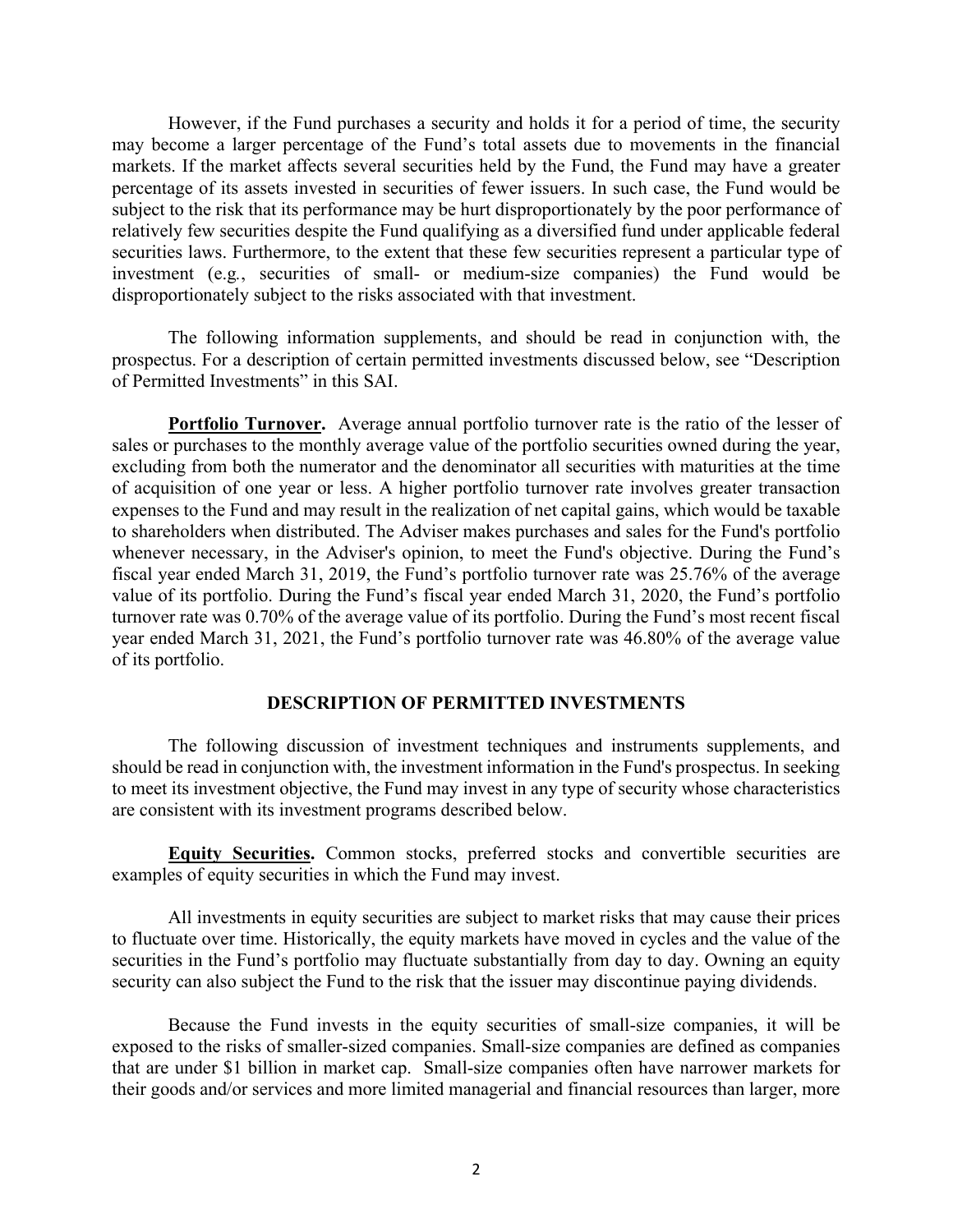However, if the Fund purchases a security and holds it for a period of time, the security may become a larger percentage of the Fund's total assets due to movements in the financial markets. If the market affects several securities held by the Fund, the Fund may have a greater percentage of its assets invested in securities of fewer issuers. In such case, the Fund would be subject to the risk that its performance may be hurt disproportionately by the poor performance of relatively few securities despite the Fund qualifying as a diversified fund under applicable federal securities laws. Furthermore, to the extent that these few securities represent a particular type of investment (e.g*.*, securities of small- or medium-size companies) the Fund would be disproportionately subject to the risks associated with that investment.

The following information supplements, and should be read in conjunction with, the prospectus. For a description of certain permitted investments discussed below, see "Description of Permitted Investments" in this SAI.

**Portfolio Turnover.** Average annual portfolio turnover rate is the ratio of the lesser of sales or purchases to the monthly average value of the portfolio securities owned during the year, excluding from both the numerator and the denominator all securities with maturities at the time of acquisition of one year or less. A higher portfolio turnover rate involves greater transaction expenses to the Fund and may result in the realization of net capital gains, which would be taxable to shareholders when distributed. The Adviser makes purchases and sales for the Fund's portfolio whenever necessary, in the Adviser's opinion, to meet the Fund's objective. During the Fund's fiscal year ended March 31, 2019, the Fund's portfolio turnover rate was 25.76% of the average value of its portfolio. During the Fund's fiscal year ended March 31, 2020, the Fund's portfolio turnover rate was 0.70% of the average value of its portfolio. During the Fund's most recent fiscal year ended March 31, 2021, the Fund's portfolio turnover rate was 46.80% of the average value of its portfolio.

#### **DESCRIPTION OF PERMITTED INVESTMENTS**

<span id="page-3-0"></span>The following discussion of investment techniques and instruments supplements, and should be read in conjunction with, the investment information in the Fund's prospectus. In seeking to meet its investment objective, the Fund may invest in any type of security whose characteristics are consistent with its investment programs described below.

**Equity Securities.** Common stocks, preferred stocks and convertible securities are examples of equity securities in which the Fund may invest.

All investments in equity securities are subject to market risks that may cause their prices to fluctuate over time. Historically, the equity markets have moved in cycles and the value of the securities in the Fund's portfolio may fluctuate substantially from day to day. Owning an equity security can also subject the Fund to the risk that the issuer may discontinue paying dividends.

Because the Fund invests in the equity securities of small-size companies, it will be exposed to the risks of smaller-sized companies. Small-size companies are defined as companies that are under \$1 billion in market cap. Small-size companies often have narrower markets for their goods and/or services and more limited managerial and financial resources than larger, more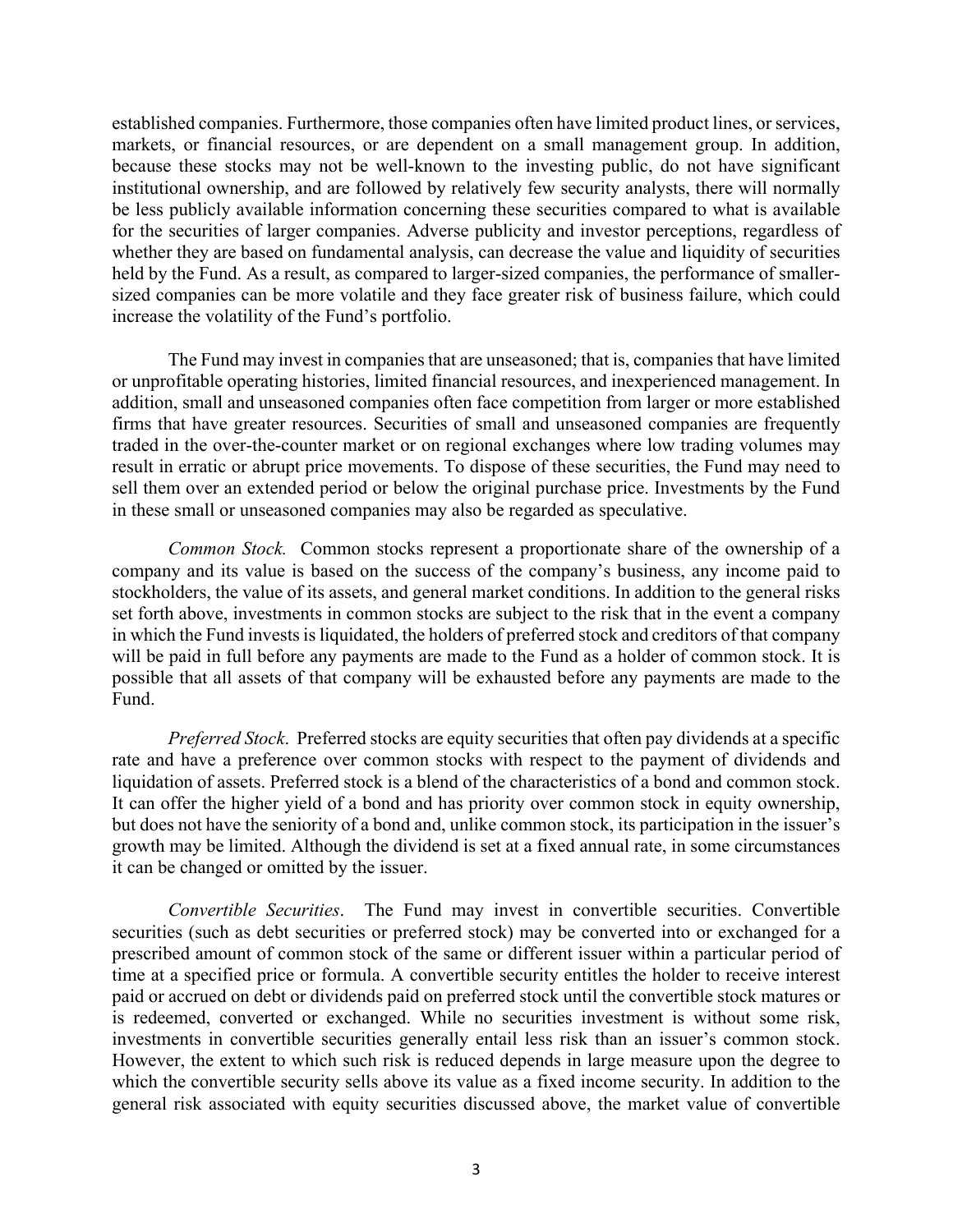established companies. Furthermore, those companies often have limited product lines, or services, markets, or financial resources, or are dependent on a small management group. In addition, because these stocks may not be well-known to the investing public, do not have significant institutional ownership, and are followed by relatively few security analysts, there will normally be less publicly available information concerning these securities compared to what is available for the securities of larger companies. Adverse publicity and investor perceptions, regardless of whether they are based on fundamental analysis, can decrease the value and liquidity of securities held by the Fund. As a result, as compared to larger-sized companies, the performance of smallersized companies can be more volatile and they face greater risk of business failure, which could increase the volatility of the Fund's portfolio.

The Fund may invest in companies that are unseasoned; that is, companies that have limited or unprofitable operating histories, limited financial resources, and inexperienced management. In addition, small and unseasoned companies often face competition from larger or more established firms that have greater resources. Securities of small and unseasoned companies are frequently traded in the over-the-counter market or on regional exchanges where low trading volumes may result in erratic or abrupt price movements. To dispose of these securities, the Fund may need to sell them over an extended period or below the original purchase price. Investments by the Fund in these small or unseasoned companies may also be regarded as speculative.

*Common Stock.* Common stocks represent a proportionate share of the ownership of a company and its value is based on the success of the company's business, any income paid to stockholders, the value of its assets, and general market conditions. In addition to the general risks set forth above, investments in common stocks are subject to the risk that in the event a company in which the Fund invests is liquidated, the holders of preferred stock and creditors of that company will be paid in full before any payments are made to the Fund as a holder of common stock. It is possible that all assets of that company will be exhausted before any payments are made to the Fund.

*Preferred Stock*. Preferred stocks are equity securities that often pay dividends at a specific rate and have a preference over common stocks with respect to the payment of dividends and liquidation of assets. Preferred stock is a blend of the characteristics of a bond and common stock. It can offer the higher yield of a bond and has priority over common stock in equity ownership, but does not have the seniority of a bond and, unlike common stock, its participation in the issuer's growth may be limited. Although the dividend is set at a fixed annual rate, in some circumstances it can be changed or omitted by the issuer.

*Convertible Securities*. The Fund may invest in convertible securities. Convertible securities (such as debt securities or preferred stock) may be converted into or exchanged for a prescribed amount of common stock of the same or different issuer within a particular period of time at a specified price or formula. A convertible security entitles the holder to receive interest paid or accrued on debt or dividends paid on preferred stock until the convertible stock matures or is redeemed, converted or exchanged. While no securities investment is without some risk, investments in convertible securities generally entail less risk than an issuer's common stock. However, the extent to which such risk is reduced depends in large measure upon the degree to which the convertible security sells above its value as a fixed income security. In addition to the general risk associated with equity securities discussed above, the market value of convertible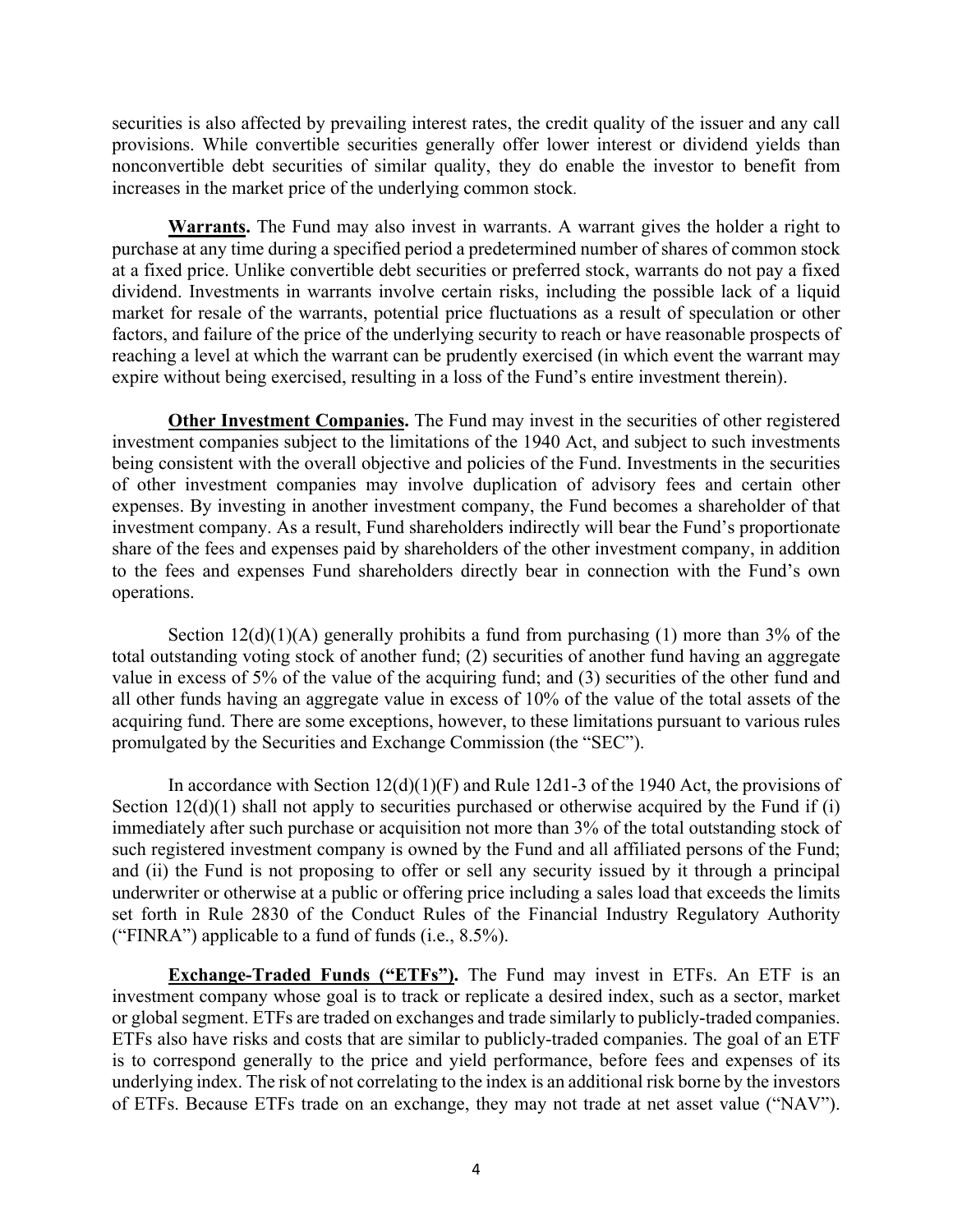securities is also affected by prevailing interest rates, the credit quality of the issuer and any call provisions. While convertible securities generally offer lower interest or dividend yields than nonconvertible debt securities of similar quality, they do enable the investor to benefit from increases in the market price of the underlying common stock.

**Warrants.** The Fund may also invest in warrants. A warrant gives the holder a right to purchase at any time during a specified period a predetermined number of shares of common stock at a fixed price. Unlike convertible debt securities or preferred stock, warrants do not pay a fixed dividend. Investments in warrants involve certain risks, including the possible lack of a liquid market for resale of the warrants, potential price fluctuations as a result of speculation or other factors, and failure of the price of the underlying security to reach or have reasonable prospects of reaching a level at which the warrant can be prudently exercised (in which event the warrant may expire without being exercised, resulting in a loss of the Fund's entire investment therein).

**Other Investment Companies.** The Fund may invest in the securities of other registered investment companies subject to the limitations of the 1940 Act, and subject to such investments being consistent with the overall objective and policies of the Fund. Investments in the securities of other investment companies may involve duplication of advisory fees and certain other expenses. By investing in another investment company, the Fund becomes a shareholder of that investment company. As a result, Fund shareholders indirectly will bear the Fund's proportionate share of the fees and expenses paid by shareholders of the other investment company, in addition to the fees and expenses Fund shareholders directly bear in connection with the Fund's own operations.

Section  $12(d)(1)(A)$  generally prohibits a fund from purchasing (1) more than 3% of the total outstanding voting stock of another fund; (2) securities of another fund having an aggregate value in excess of 5% of the value of the acquiring fund; and (3) securities of the other fund and all other funds having an aggregate value in excess of 10% of the value of the total assets of the acquiring fund. There are some exceptions, however, to these limitations pursuant to various rules promulgated by the Securities and Exchange Commission (the "SEC").

In accordance with Section  $12(d)(1)(F)$  and Rule 12d1-3 of the 1940 Act, the provisions of Section 12(d)(1) shall not apply to securities purchased or otherwise acquired by the Fund if (i) immediately after such purchase or acquisition not more than 3% of the total outstanding stock of such registered investment company is owned by the Fund and all affiliated persons of the Fund; and (ii) the Fund is not proposing to offer or sell any security issued by it through a principal underwriter or otherwise at a public or offering price including a sales load that exceeds the limits set forth in Rule 2830 of the Conduct Rules of the Financial Industry Regulatory Authority ("FINRA") applicable to a fund of funds (i.e., 8.5%).

**Exchange-Traded Funds ("ETFs").** The Fund may invest in ETFs. An ETF is an investment company whose goal is to track or replicate a desired index, such as a sector, market or global segment. ETFs are traded on exchanges and trade similarly to publicly-traded companies. ETFs also have risks and costs that are similar to publicly-traded companies. The goal of an ETF is to correspond generally to the price and yield performance, before fees and expenses of its underlying index. The risk of not correlating to the index is an additional risk borne by the investors of ETFs. Because ETFs trade on an exchange, they may not trade at net asset value ("NAV").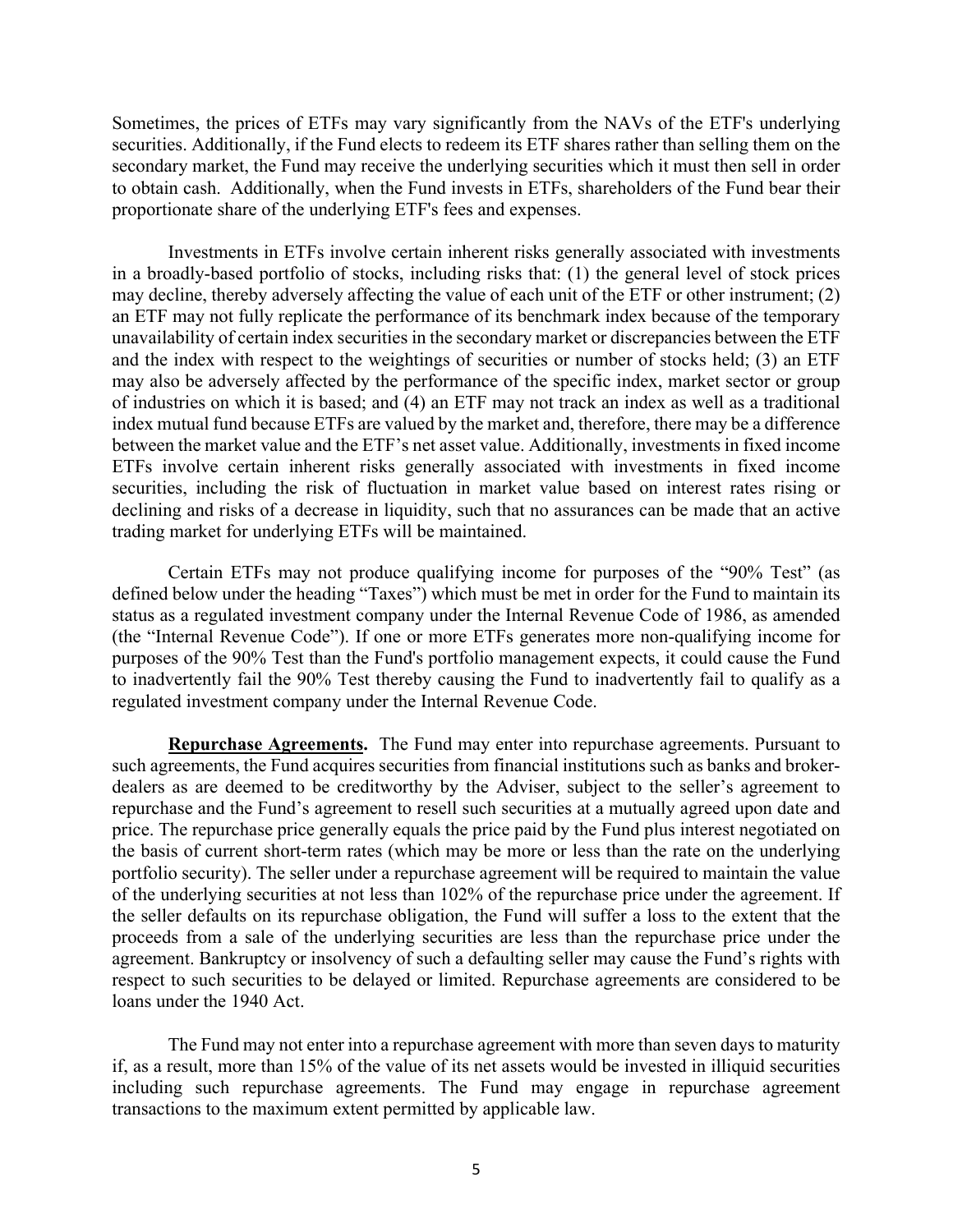Sometimes, the prices of ETFs may vary significantly from the NAVs of the ETF's underlying securities. Additionally, if the Fund elects to redeem its ETF shares rather than selling them on the secondary market, the Fund may receive the underlying securities which it must then sell in order to obtain cash. Additionally, when the Fund invests in ETFs, shareholders of the Fund bear their proportionate share of the underlying ETF's fees and expenses.

Investments in ETFs involve certain inherent risks generally associated with investments in a broadly-based portfolio of stocks, including risks that: (1) the general level of stock prices may decline, thereby adversely affecting the value of each unit of the ETF or other instrument; (2) an ETF may not fully replicate the performance of its benchmark index because of the temporary unavailability of certain index securities in the secondary market or discrepancies between the ETF and the index with respect to the weightings of securities or number of stocks held; (3) an ETF may also be adversely affected by the performance of the specific index, market sector or group of industries on which it is based; and (4) an ETF may not track an index as well as a traditional index mutual fund because ETFs are valued by the market and, therefore, there may be a difference between the market value and the ETF's net asset value. Additionally, investments in fixed income ETFs involve certain inherent risks generally associated with investments in fixed income securities, including the risk of fluctuation in market value based on interest rates rising or declining and risks of a decrease in liquidity, such that no assurances can be made that an active trading market for underlying ETFs will be maintained.

Certain ETFs may not produce qualifying income for purposes of the "90% Test" (as defined below under the heading "Taxes") which must be met in order for the Fund to maintain its status as a regulated investment company under the Internal Revenue Code of 1986, as amended (the "Internal Revenue Code"). If one or more ETFs generates more non-qualifying income for purposes of the 90% Test than the Fund's portfolio management expects, it could cause the Fund to inadvertently fail the 90% Test thereby causing the Fund to inadvertently fail to qualify as a regulated investment company under the Internal Revenue Code.

**Repurchase Agreements.** The Fund may enter into repurchase agreements. Pursuant to such agreements, the Fund acquires securities from financial institutions such as banks and brokerdealers as are deemed to be creditworthy by the Adviser, subject to the seller's agreement to repurchase and the Fund's agreement to resell such securities at a mutually agreed upon date and price. The repurchase price generally equals the price paid by the Fund plus interest negotiated on the basis of current short-term rates (which may be more or less than the rate on the underlying portfolio security). The seller under a repurchase agreement will be required to maintain the value of the underlying securities at not less than 102% of the repurchase price under the agreement. If the seller defaults on its repurchase obligation, the Fund will suffer a loss to the extent that the proceeds from a sale of the underlying securities are less than the repurchase price under the agreement. Bankruptcy or insolvency of such a defaulting seller may cause the Fund's rights with respect to such securities to be delayed or limited. Repurchase agreements are considered to be loans under the 1940 Act.

The Fund may not enter into a repurchase agreement with more than seven days to maturity if, as a result, more than 15% of the value of its net assets would be invested in illiquid securities including such repurchase agreements. The Fund may engage in repurchase agreement transactions to the maximum extent permitted by applicable law.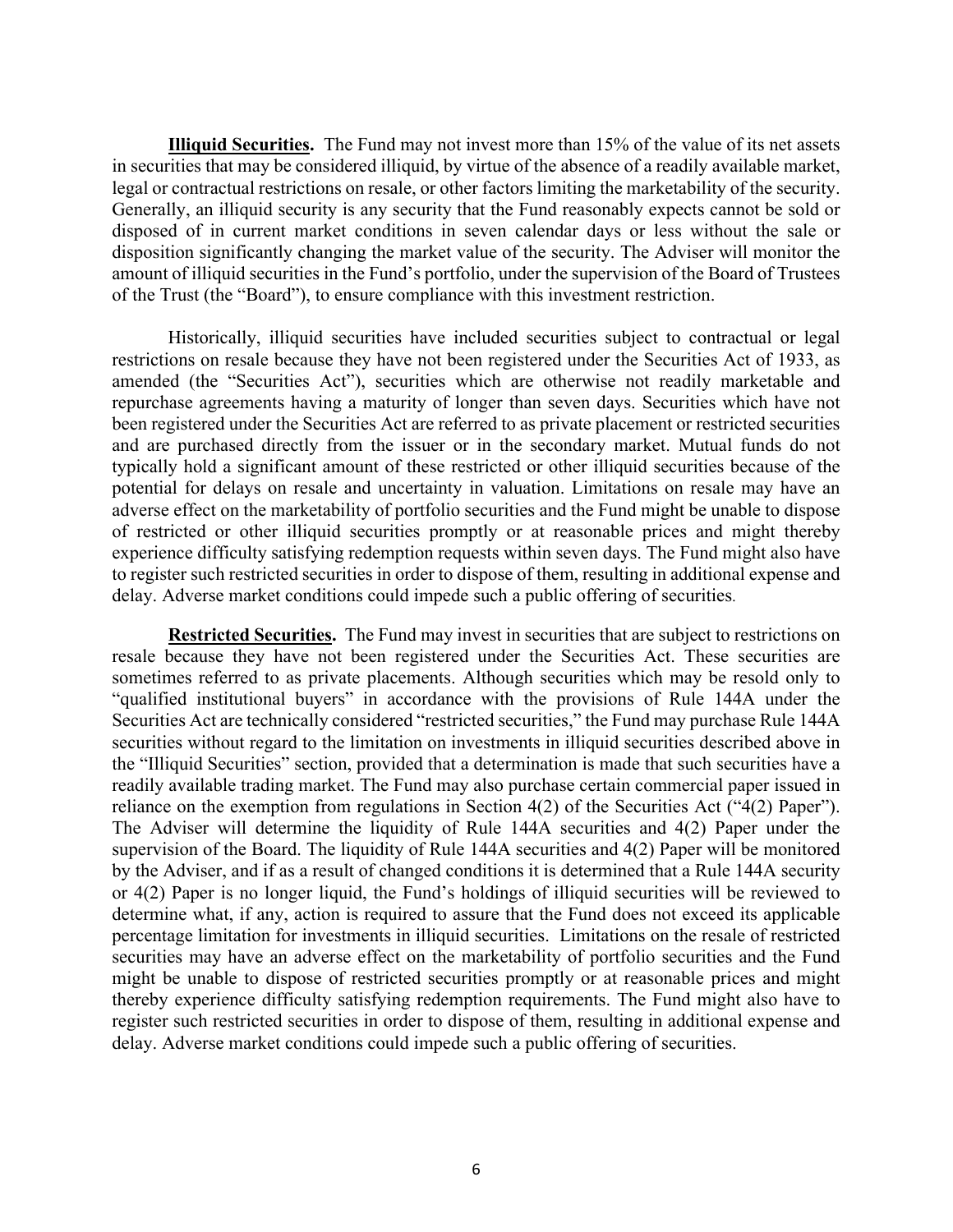**Illiquid Securities.** The Fund may not invest more than 15% of the value of its net assets in securities that may be considered illiquid, by virtue of the absence of a readily available market, legal or contractual restrictions on resale, or other factors limiting the marketability of the security. Generally, an illiquid security is any security that the Fund reasonably expects cannot be sold or disposed of in current market conditions in seven calendar days or less without the sale or disposition significantly changing the market value of the security. The Adviser will monitor the amount of illiquid securities in the Fund's portfolio, under the supervision of the Board of Trustees of the Trust (the "Board"), to ensure compliance with this investment restriction.

Historically, illiquid securities have included securities subject to contractual or legal restrictions on resale because they have not been registered under the Securities Act of 1933, as amended (the "Securities Act"), securities which are otherwise not readily marketable and repurchase agreements having a maturity of longer than seven days. Securities which have not been registered under the Securities Act are referred to as private placement or restricted securities and are purchased directly from the issuer or in the secondary market. Mutual funds do not typically hold a significant amount of these restricted or other illiquid securities because of the potential for delays on resale and uncertainty in valuation. Limitations on resale may have an adverse effect on the marketability of portfolio securities and the Fund might be unable to dispose of restricted or other illiquid securities promptly or at reasonable prices and might thereby experience difficulty satisfying redemption requests within seven days. The Fund might also have to register such restricted securities in order to dispose of them, resulting in additional expense and delay. Adverse market conditions could impede such a public offering of securities.

**Restricted Securities.** The Fund may invest in securities that are subject to restrictions on resale because they have not been registered under the Securities Act. These securities are sometimes referred to as private placements. Although securities which may be resold only to "qualified institutional buyers" in accordance with the provisions of Rule 144A under the Securities Act are technically considered "restricted securities," the Fund may purchase Rule 144A securities without regard to the limitation on investments in illiquid securities described above in the "Illiquid Securities" section, provided that a determination is made that such securities have a readily available trading market. The Fund may also purchase certain commercial paper issued in reliance on the exemption from regulations in Section 4(2) of the Securities Act ("4(2) Paper"). The Adviser will determine the liquidity of Rule 144A securities and 4(2) Paper under the supervision of the Board. The liquidity of Rule 144A securities and 4(2) Paper will be monitored by the Adviser, and if as a result of changed conditions it is determined that a Rule 144A security or 4(2) Paper is no longer liquid, the Fund's holdings of illiquid securities will be reviewed to determine what, if any, action is required to assure that the Fund does not exceed its applicable percentage limitation for investments in illiquid securities. Limitations on the resale of restricted securities may have an adverse effect on the marketability of portfolio securities and the Fund might be unable to dispose of restricted securities promptly or at reasonable prices and might thereby experience difficulty satisfying redemption requirements. The Fund might also have to register such restricted securities in order to dispose of them, resulting in additional expense and delay. Adverse market conditions could impede such a public offering of securities.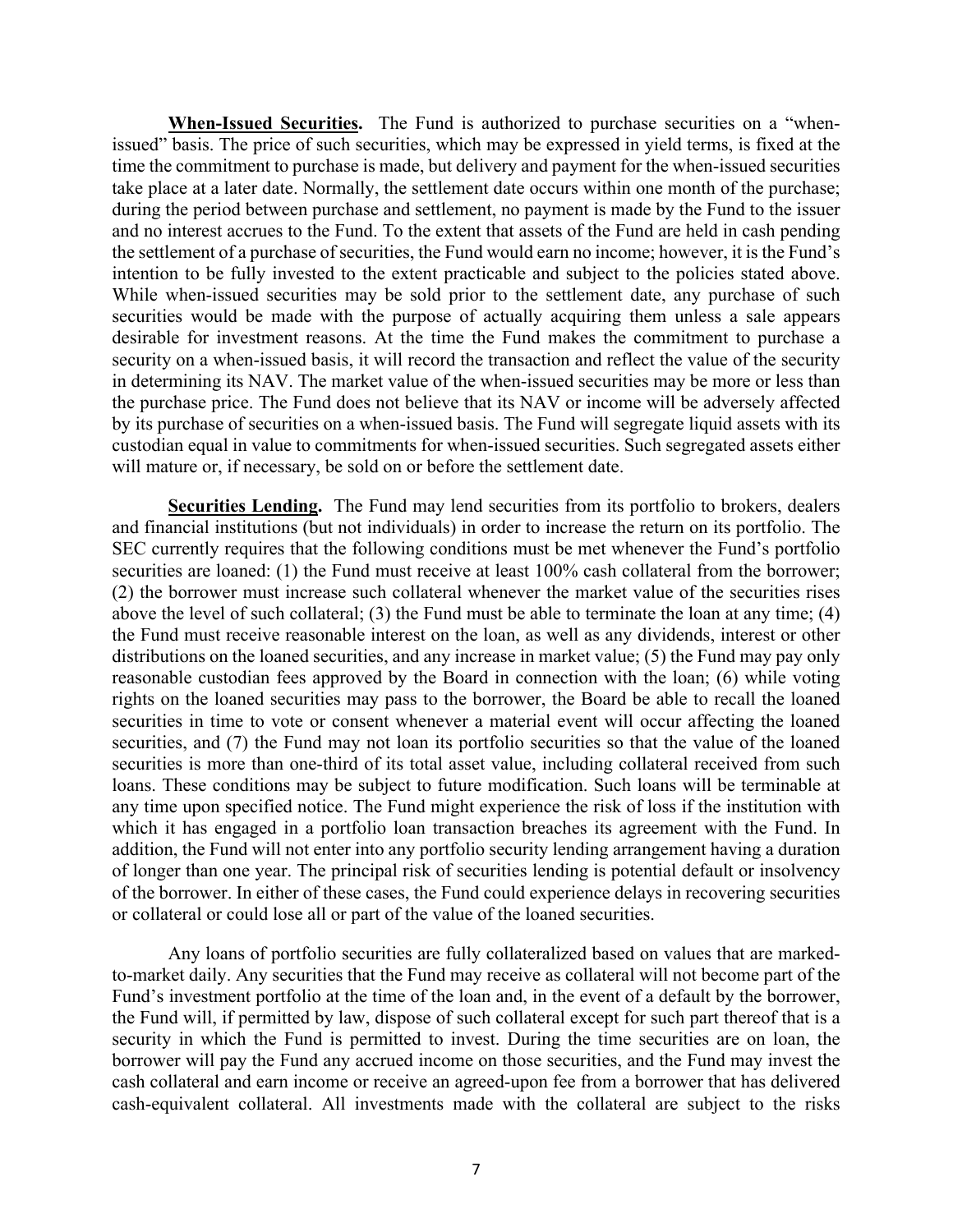**When-Issued Securities.** The Fund is authorized to purchase securities on a "whenissued" basis. The price of such securities, which may be expressed in yield terms, is fixed at the time the commitment to purchase is made, but delivery and payment for the when-issued securities take place at a later date. Normally, the settlement date occurs within one month of the purchase; during the period between purchase and settlement, no payment is made by the Fund to the issuer and no interest accrues to the Fund. To the extent that assets of the Fund are held in cash pending the settlement of a purchase of securities, the Fund would earn no income; however, it is the Fund's intention to be fully invested to the extent practicable and subject to the policies stated above. While when-issued securities may be sold prior to the settlement date, any purchase of such securities would be made with the purpose of actually acquiring them unless a sale appears desirable for investment reasons. At the time the Fund makes the commitment to purchase a security on a when-issued basis, it will record the transaction and reflect the value of the security in determining its NAV. The market value of the when-issued securities may be more or less than the purchase price. The Fund does not believe that its NAV or income will be adversely affected by its purchase of securities on a when-issued basis. The Fund will segregate liquid assets with its custodian equal in value to commitments for when-issued securities. Such segregated assets either will mature or, if necessary, be sold on or before the settlement date.

**Securities Lending.** The Fund may lend securities from its portfolio to brokers, dealers and financial institutions (but not individuals) in order to increase the return on its portfolio. The SEC currently requires that the following conditions must be met whenever the Fund's portfolio securities are loaned: (1) the Fund must receive at least 100% cash collateral from the borrower; (2) the borrower must increase such collateral whenever the market value of the securities rises above the level of such collateral; (3) the Fund must be able to terminate the loan at any time; (4) the Fund must receive reasonable interest on the loan, as well as any dividends, interest or other distributions on the loaned securities, and any increase in market value; (5) the Fund may pay only reasonable custodian fees approved by the Board in connection with the loan; (6) while voting rights on the loaned securities may pass to the borrower, the Board be able to recall the loaned securities in time to vote or consent whenever a material event will occur affecting the loaned securities, and (7) the Fund may not loan its portfolio securities so that the value of the loaned securities is more than one-third of its total asset value, including collateral received from such loans. These conditions may be subject to future modification. Such loans will be terminable at any time upon specified notice. The Fund might experience the risk of loss if the institution with which it has engaged in a portfolio loan transaction breaches its agreement with the Fund. In addition, the Fund will not enter into any portfolio security lending arrangement having a duration of longer than one year. The principal risk of securities lending is potential default or insolvency of the borrower. In either of these cases, the Fund could experience delays in recovering securities or collateral or could lose all or part of the value of the loaned securities.

Any loans of portfolio securities are fully collateralized based on values that are markedto-market daily. Any securities that the Fund may receive as collateral will not become part of the Fund's investment portfolio at the time of the loan and, in the event of a default by the borrower, the Fund will, if permitted by law, dispose of such collateral except for such part thereof that is a security in which the Fund is permitted to invest. During the time securities are on loan, the borrower will pay the Fund any accrued income on those securities, and the Fund may invest the cash collateral and earn income or receive an agreed-upon fee from a borrower that has delivered cash-equivalent collateral. All investments made with the collateral are subject to the risks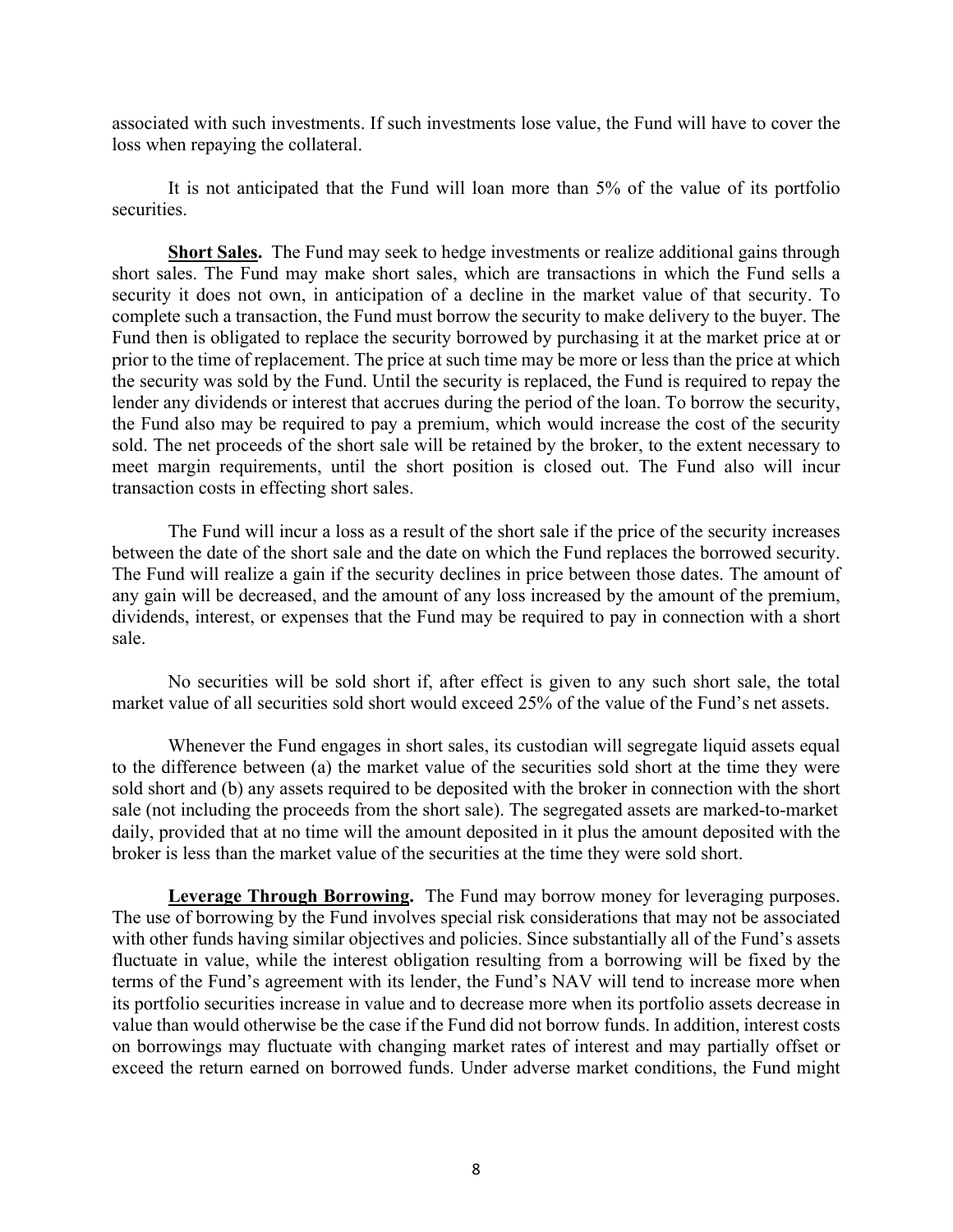associated with such investments. If such investments lose value, the Fund will have to cover the loss when repaying the collateral.

It is not anticipated that the Fund will loan more than 5% of the value of its portfolio securities.

**Short Sales.** The Fund may seek to hedge investments or realize additional gains through short sales. The Fund may make short sales, which are transactions in which the Fund sells a security it does not own, in anticipation of a decline in the market value of that security. To complete such a transaction, the Fund must borrow the security to make delivery to the buyer. The Fund then is obligated to replace the security borrowed by purchasing it at the market price at or prior to the time of replacement. The price at such time may be more or less than the price at which the security was sold by the Fund. Until the security is replaced, the Fund is required to repay the lender any dividends or interest that accrues during the period of the loan. To borrow the security, the Fund also may be required to pay a premium, which would increase the cost of the security sold. The net proceeds of the short sale will be retained by the broker, to the extent necessary to meet margin requirements, until the short position is closed out. The Fund also will incur transaction costs in effecting short sales.

The Fund will incur a loss as a result of the short sale if the price of the security increases between the date of the short sale and the date on which the Fund replaces the borrowed security. The Fund will realize a gain if the security declines in price between those dates. The amount of any gain will be decreased, and the amount of any loss increased by the amount of the premium, dividends, interest, or expenses that the Fund may be required to pay in connection with a short sale.

No securities will be sold short if, after effect is given to any such short sale, the total market value of all securities sold short would exceed 25% of the value of the Fund's net assets.

Whenever the Fund engages in short sales, its custodian will segregate liquid assets equal to the difference between (a) the market value of the securities sold short at the time they were sold short and (b) any assets required to be deposited with the broker in connection with the short sale (not including the proceeds from the short sale). The segregated assets are marked-to-market daily, provided that at no time will the amount deposited in it plus the amount deposited with the broker is less than the market value of the securities at the time they were sold short.

**Leverage Through Borrowing.** The Fund may borrow money for leveraging purposes. The use of borrowing by the Fund involves special risk considerations that may not be associated with other funds having similar objectives and policies. Since substantially all of the Fund's assets fluctuate in value, while the interest obligation resulting from a borrowing will be fixed by the terms of the Fund's agreement with its lender, the Fund's NAV will tend to increase more when its portfolio securities increase in value and to decrease more when its portfolio assets decrease in value than would otherwise be the case if the Fund did not borrow funds. In addition, interest costs on borrowings may fluctuate with changing market rates of interest and may partially offset or exceed the return earned on borrowed funds. Under adverse market conditions, the Fund might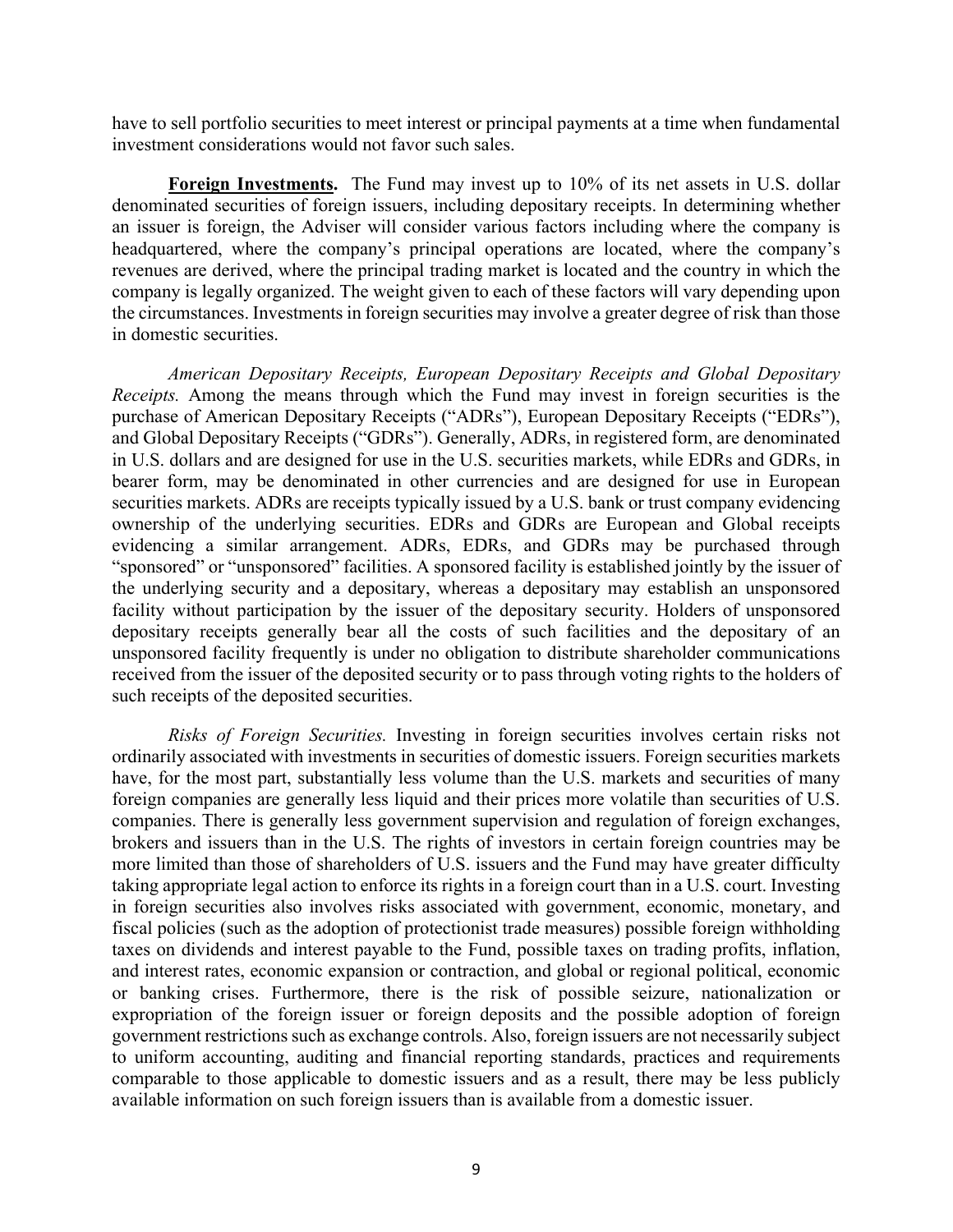have to sell portfolio securities to meet interest or principal payments at a time when fundamental investment considerations would not favor such sales.

**Foreign Investments.** The Fund may invest up to 10% of its net assets in U.S. dollar denominated securities of foreign issuers, including depositary receipts. In determining whether an issuer is foreign, the Adviser will consider various factors including where the company is headquartered, where the company's principal operations are located, where the company's revenues are derived, where the principal trading market is located and the country in which the company is legally organized. The weight given to each of these factors will vary depending upon the circumstances. Investments in foreign securities may involve a greater degree of risk than those in domestic securities.

*American Depositary Receipts, European Depositary Receipts and Global Depositary Receipts.* Among the means through which the Fund may invest in foreign securities is the purchase of American Depositary Receipts ("ADRs"), European Depositary Receipts ("EDRs"), and Global Depositary Receipts ("GDRs"). Generally, ADRs, in registered form, are denominated in U.S. dollars and are designed for use in the U.S. securities markets, while EDRs and GDRs, in bearer form, may be denominated in other currencies and are designed for use in European securities markets. ADRs are receipts typically issued by a U.S. bank or trust company evidencing ownership of the underlying securities. EDRs and GDRs are European and Global receipts evidencing a similar arrangement. ADRs, EDRs, and GDRs may be purchased through "sponsored" or "unsponsored" facilities. A sponsored facility is established jointly by the issuer of the underlying security and a depositary, whereas a depositary may establish an unsponsored facility without participation by the issuer of the depositary security. Holders of unsponsored depositary receipts generally bear all the costs of such facilities and the depositary of an unsponsored facility frequently is under no obligation to distribute shareholder communications received from the issuer of the deposited security or to pass through voting rights to the holders of such receipts of the deposited securities.

*Risks of Foreign Securities.* Investing in foreign securities involves certain risks not ordinarily associated with investments in securities of domestic issuers. Foreign securities markets have, for the most part, substantially less volume than the U.S. markets and securities of many foreign companies are generally less liquid and their prices more volatile than securities of U.S. companies. There is generally less government supervision and regulation of foreign exchanges, brokers and issuers than in the U.S. The rights of investors in certain foreign countries may be more limited than those of shareholders of U.S. issuers and the Fund may have greater difficulty taking appropriate legal action to enforce its rights in a foreign court than in a U.S. court. Investing in foreign securities also involves risks associated with government, economic, monetary, and fiscal policies (such as the adoption of protectionist trade measures) possible foreign withholding taxes on dividends and interest payable to the Fund, possible taxes on trading profits, inflation, and interest rates, economic expansion or contraction, and global or regional political, economic or banking crises. Furthermore, there is the risk of possible seizure, nationalization or expropriation of the foreign issuer or foreign deposits and the possible adoption of foreign government restrictions such as exchange controls. Also, foreign issuers are not necessarily subject to uniform accounting, auditing and financial reporting standards, practices and requirements comparable to those applicable to domestic issuers and as a result, there may be less publicly available information on such foreign issuers than is available from a domestic issuer.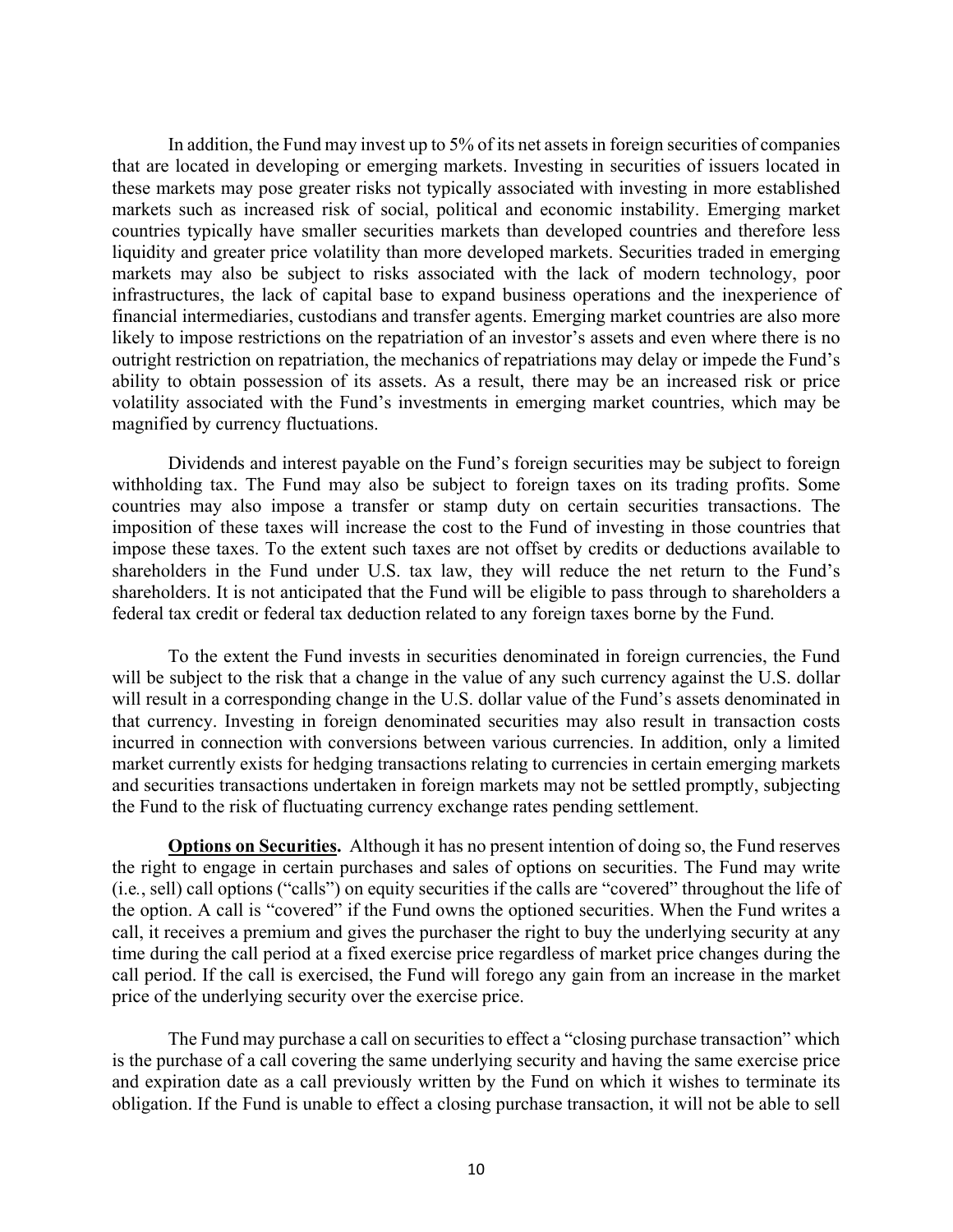In addition, the Fund may invest up to 5% of its net assets in foreign securities of companies that are located in developing or emerging markets. Investing in securities of issuers located in these markets may pose greater risks not typically associated with investing in more established markets such as increased risk of social, political and economic instability. Emerging market countries typically have smaller securities markets than developed countries and therefore less liquidity and greater price volatility than more developed markets. Securities traded in emerging markets may also be subject to risks associated with the lack of modern technology, poor infrastructures, the lack of capital base to expand business operations and the inexperience of financial intermediaries, custodians and transfer agents. Emerging market countries are also more likely to impose restrictions on the repatriation of an investor's assets and even where there is no outright restriction on repatriation, the mechanics of repatriations may delay or impede the Fund's ability to obtain possession of its assets. As a result, there may be an increased risk or price volatility associated with the Fund's investments in emerging market countries, which may be magnified by currency fluctuations.

Dividends and interest payable on the Fund's foreign securities may be subject to foreign withholding tax. The Fund may also be subject to foreign taxes on its trading profits. Some countries may also impose a transfer or stamp duty on certain securities transactions. The imposition of these taxes will increase the cost to the Fund of investing in those countries that impose these taxes. To the extent such taxes are not offset by credits or deductions available to shareholders in the Fund under U.S. tax law, they will reduce the net return to the Fund's shareholders. It is not anticipated that the Fund will be eligible to pass through to shareholders a federal tax credit or federal tax deduction related to any foreign taxes borne by the Fund.

To the extent the Fund invests in securities denominated in foreign currencies, the Fund will be subject to the risk that a change in the value of any such currency against the U.S. dollar will result in a corresponding change in the U.S. dollar value of the Fund's assets denominated in that currency. Investing in foreign denominated securities may also result in transaction costs incurred in connection with conversions between various currencies. In addition, only a limited market currently exists for hedging transactions relating to currencies in certain emerging markets and securities transactions undertaken in foreign markets may not be settled promptly, subjecting the Fund to the risk of fluctuating currency exchange rates pending settlement.

**Options on Securities.** Although it has no present intention of doing so, the Fund reserves the right to engage in certain purchases and sales of options on securities. The Fund may write (i.e*.*, sell) call options ("calls") on equity securities if the calls are "covered" throughout the life of the option. A call is "covered" if the Fund owns the optioned securities. When the Fund writes a call, it receives a premium and gives the purchaser the right to buy the underlying security at any time during the call period at a fixed exercise price regardless of market price changes during the call period. If the call is exercised, the Fund will forego any gain from an increase in the market price of the underlying security over the exercise price.

The Fund may purchase a call on securities to effect a "closing purchase transaction" which is the purchase of a call covering the same underlying security and having the same exercise price and expiration date as a call previously written by the Fund on which it wishes to terminate its obligation. If the Fund is unable to effect a closing purchase transaction, it will not be able to sell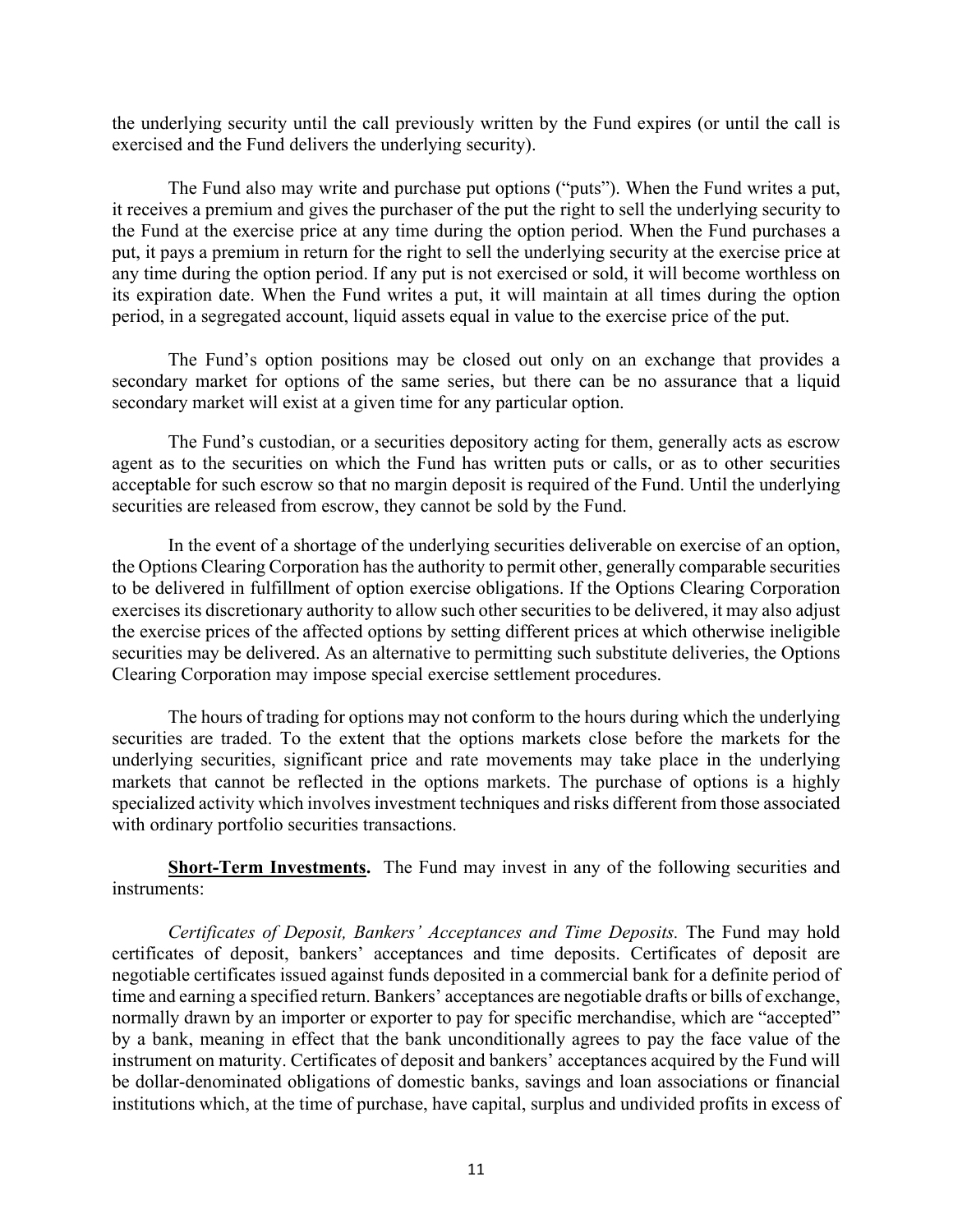the underlying security until the call previously written by the Fund expires (or until the call is exercised and the Fund delivers the underlying security).

The Fund also may write and purchase put options ("puts"). When the Fund writes a put, it receives a premium and gives the purchaser of the put the right to sell the underlying security to the Fund at the exercise price at any time during the option period. When the Fund purchases a put, it pays a premium in return for the right to sell the underlying security at the exercise price at any time during the option period. If any put is not exercised or sold, it will become worthless on its expiration date. When the Fund writes a put, it will maintain at all times during the option period, in a segregated account, liquid assets equal in value to the exercise price of the put.

The Fund's option positions may be closed out only on an exchange that provides a secondary market for options of the same series, but there can be no assurance that a liquid secondary market will exist at a given time for any particular option.

The Fund's custodian, or a securities depository acting for them, generally acts as escrow agent as to the securities on which the Fund has written puts or calls, or as to other securities acceptable for such escrow so that no margin deposit is required of the Fund. Until the underlying securities are released from escrow, they cannot be sold by the Fund.

In the event of a shortage of the underlying securities deliverable on exercise of an option, the Options Clearing Corporation has the authority to permit other, generally comparable securities to be delivered in fulfillment of option exercise obligations. If the Options Clearing Corporation exercises its discretionary authority to allow such other securities to be delivered, it may also adjust the exercise prices of the affected options by setting different prices at which otherwise ineligible securities may be delivered. As an alternative to permitting such substitute deliveries, the Options Clearing Corporation may impose special exercise settlement procedures.

The hours of trading for options may not conform to the hours during which the underlying securities are traded. To the extent that the options markets close before the markets for the underlying securities, significant price and rate movements may take place in the underlying markets that cannot be reflected in the options markets. The purchase of options is a highly specialized activity which involves investment techniques and risks different from those associated with ordinary portfolio securities transactions.

**Short-Term Investments.** The Fund may invest in any of the following securities and instruments:

*Certificates of Deposit, Bankers' Acceptances and Time Deposits.* The Fund may hold certificates of deposit, bankers' acceptances and time deposits. Certificates of deposit are negotiable certificates issued against funds deposited in a commercial bank for a definite period of time and earning a specified return. Bankers' acceptances are negotiable drafts or bills of exchange, normally drawn by an importer or exporter to pay for specific merchandise, which are "accepted" by a bank, meaning in effect that the bank unconditionally agrees to pay the face value of the instrument on maturity. Certificates of deposit and bankers' acceptances acquired by the Fund will be dollar-denominated obligations of domestic banks, savings and loan associations or financial institutions which, at the time of purchase, have capital, surplus and undivided profits in excess of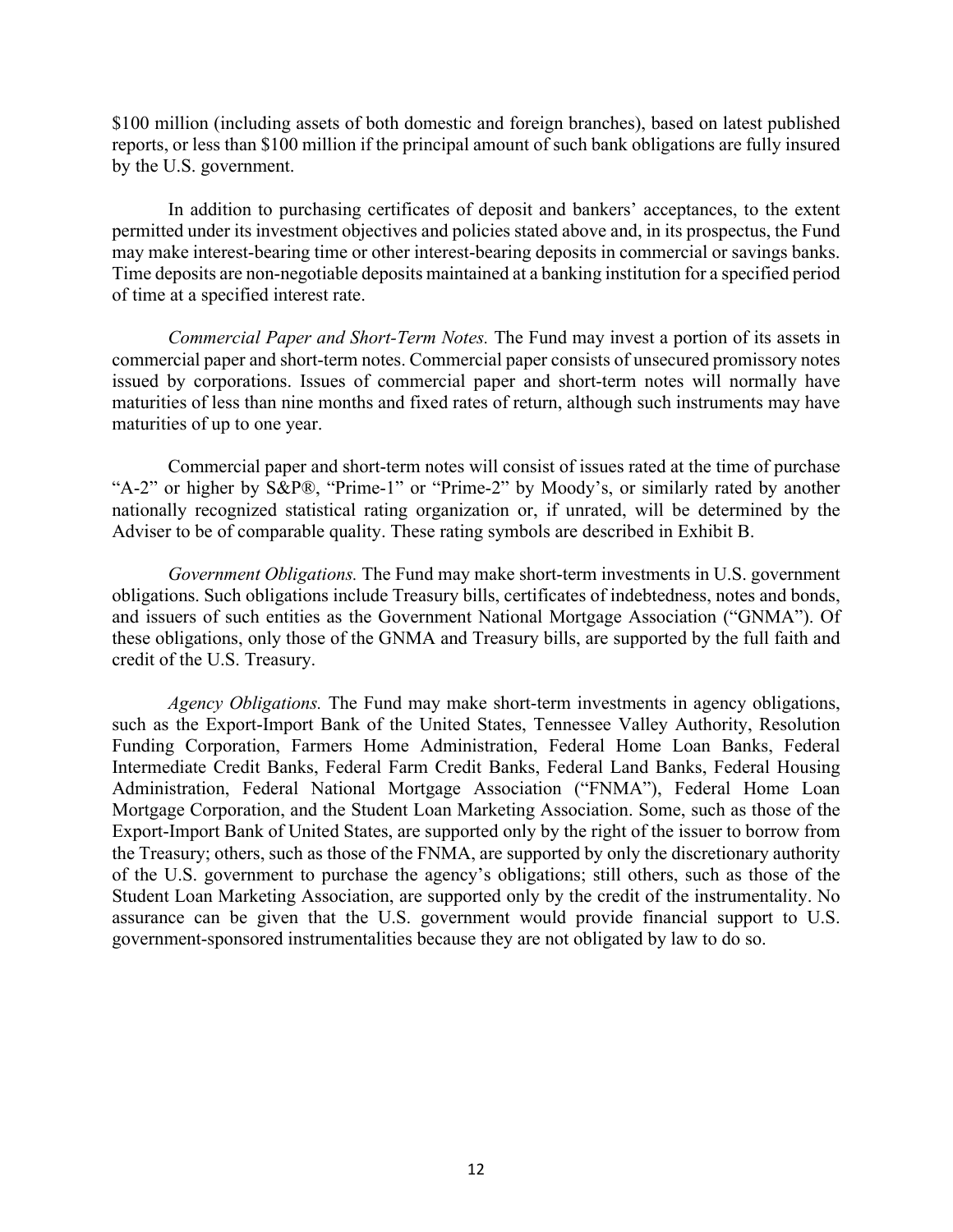\$100 million (including assets of both domestic and foreign branches), based on latest published reports, or less than \$100 million if the principal amount of such bank obligations are fully insured by the U.S. government.

In addition to purchasing certificates of deposit and bankers' acceptances, to the extent permitted under its investment objectives and policies stated above and, in its prospectus, the Fund may make interest-bearing time or other interest-bearing deposits in commercial or savings banks. Time deposits are non-negotiable deposits maintained at a banking institution for a specified period of time at a specified interest rate.

*Commercial Paper and Short-Term Notes.* The Fund may invest a portion of its assets in commercial paper and short-term notes. Commercial paper consists of unsecured promissory notes issued by corporations. Issues of commercial paper and short-term notes will normally have maturities of less than nine months and fixed rates of return, although such instruments may have maturities of up to one year.

Commercial paper and short-term notes will consist of issues rated at the time of purchase "A-2" or higher by S&P®, "Prime-1" or "Prime-2" by Moody's, or similarly rated by another nationally recognized statistical rating organization or, if unrated, will be determined by the Adviser to be of comparable quality. These rating symbols are described in Exhibit B.

*Government Obligations.* The Fund may make short-term investments in U.S. government obligations. Such obligations include Treasury bills, certificates of indebtedness, notes and bonds, and issuers of such entities as the Government National Mortgage Association ("GNMA"). Of these obligations, only those of the GNMA and Treasury bills, are supported by the full faith and credit of the U.S. Treasury.

*Agency Obligations.* The Fund may make short-term investments in agency obligations, such as the Export-Import Bank of the United States, Tennessee Valley Authority, Resolution Funding Corporation, Farmers Home Administration, Federal Home Loan Banks, Federal Intermediate Credit Banks, Federal Farm Credit Banks, Federal Land Banks, Federal Housing Administration, Federal National Mortgage Association ("FNMA"), Federal Home Loan Mortgage Corporation, and the Student Loan Marketing Association. Some, such as those of the Export-Import Bank of United States, are supported only by the right of the issuer to borrow from the Treasury; others, such as those of the FNMA, are supported by only the discretionary authority of the U.S. government to purchase the agency's obligations; still others, such as those of the Student Loan Marketing Association, are supported only by the credit of the instrumentality. No assurance can be given that the U.S. government would provide financial support to U.S. government-sponsored instrumentalities because they are not obligated by law to do so.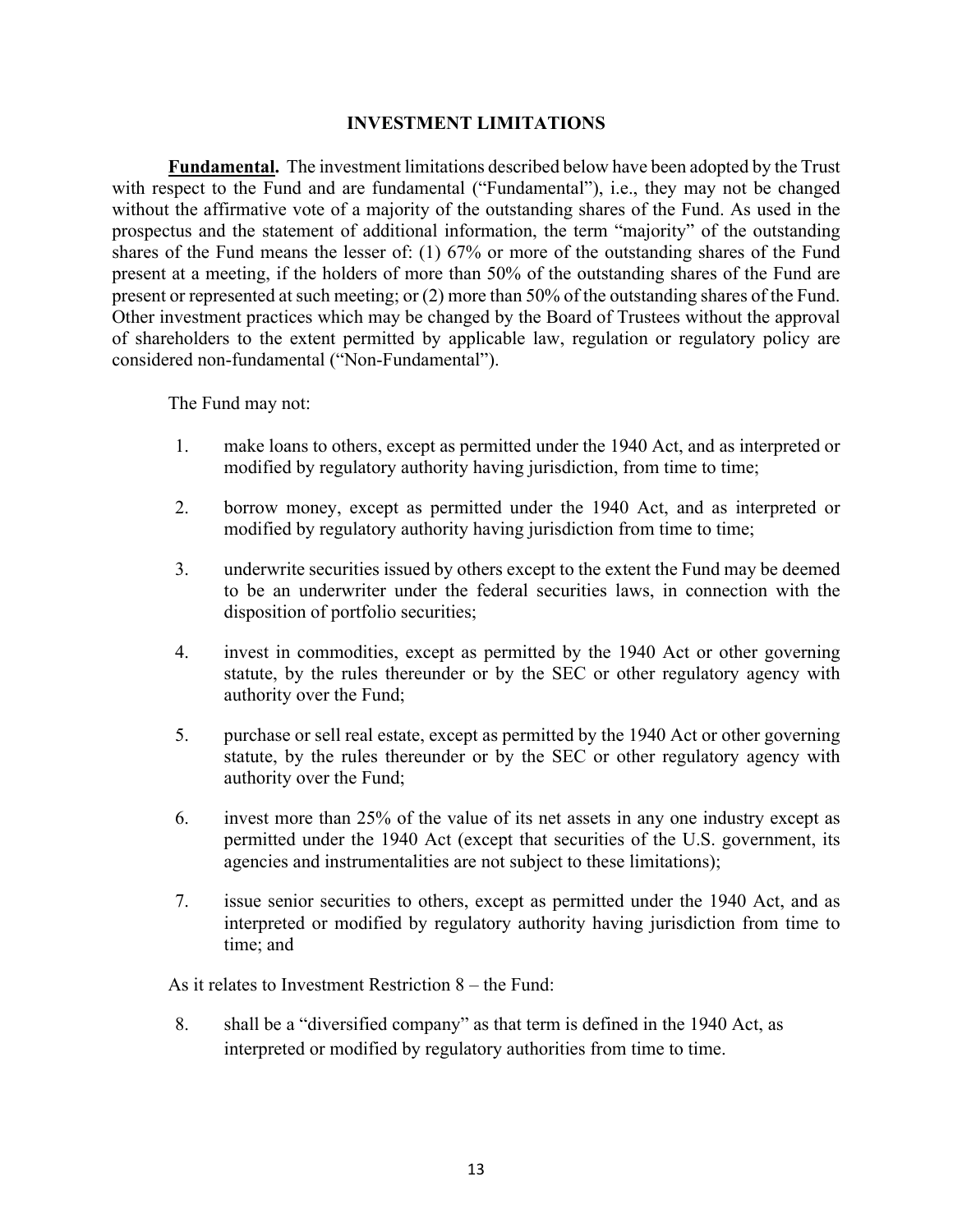### **INVESTMENT LIMITATIONS**

<span id="page-14-0"></span>**Fundamental.** The investment limitations described below have been adopted by the Trust with respect to the Fund and are fundamental ("Fundamental"), i.e., they may not be changed without the affirmative vote of a majority of the outstanding shares of the Fund. As used in the prospectus and the statement of additional information, the term "majority" of the outstanding shares of the Fund means the lesser of: (1) 67% or more of the outstanding shares of the Fund present at a meeting, if the holders of more than 50% of the outstanding shares of the Fund are present or represented at such meeting; or (2) more than 50% of the outstanding shares of the Fund. Other investment practices which may be changed by the Board of Trustees without the approval of shareholders to the extent permitted by applicable law, regulation or regulatory policy are considered non-fundamental ("Non-Fundamental").

The Fund may not:

- 1. make loans to others, except as permitted under the 1940 Act, and as interpreted or modified by regulatory authority having jurisdiction, from time to time;
- 2. borrow money, except as permitted under the 1940 Act, and as interpreted or modified by regulatory authority having jurisdiction from time to time;
- 3. underwrite securities issued by others except to the extent the Fund may be deemed to be an underwriter under the federal securities laws, in connection with the disposition of portfolio securities;
- 4. invest in commodities, except as permitted by the 1940 Act or other governing statute, by the rules thereunder or by the SEC or other regulatory agency with authority over the Fund;
- 5. purchase or sell real estate, except as permitted by the 1940 Act or other governing statute, by the rules thereunder or by the SEC or other regulatory agency with authority over the Fund;
- 6. invest more than 25% of the value of its net assets in any one industry except as permitted under the 1940 Act (except that securities of the U.S. government, its agencies and instrumentalities are not subject to these limitations);
- 7. issue senior securities to others, except as permitted under the 1940 Act, and as interpreted or modified by regulatory authority having jurisdiction from time to time; and

As it relates to Investment Restriction 8 – the Fund:

8. shall be a "diversified company" as that term is defined in the 1940 Act, as interpreted or modified by regulatory authorities from time to time.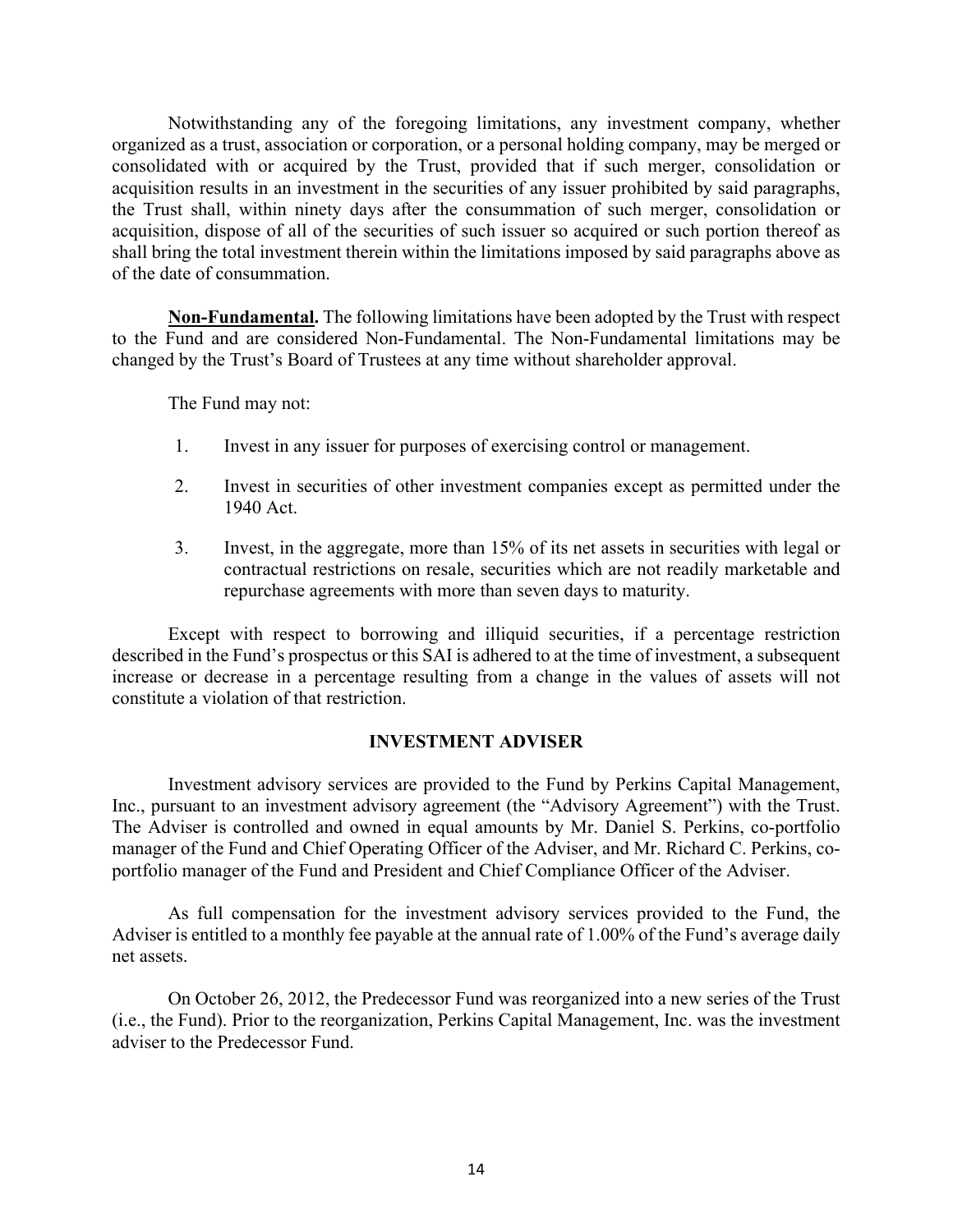Notwithstanding any of the foregoing limitations, any investment company, whether organized as a trust, association or corporation, or a personal holding company, may be merged or consolidated with or acquired by the Trust, provided that if such merger, consolidation or acquisition results in an investment in the securities of any issuer prohibited by said paragraphs, the Trust shall, within ninety days after the consummation of such merger, consolidation or acquisition, dispose of all of the securities of such issuer so acquired or such portion thereof as shall bring the total investment therein within the limitations imposed by said paragraphs above as of the date of consummation.

**Non-Fundamental.** The following limitations have been adopted by the Trust with respect to the Fund and are considered Non-Fundamental. The Non-Fundamental limitations may be changed by the Trust's Board of Trustees at any time without shareholder approval.

The Fund may not:

- 1. Invest in any issuer for purposes of exercising control or management.
- 2. Invest in securities of other investment companies except as permitted under the 1940 Act.
- 3. Invest, in the aggregate, more than 15% of its net assets in securities with legal or contractual restrictions on resale, securities which are not readily marketable and repurchase agreements with more than seven days to maturity.

Except with respect to borrowing and illiquid securities, if a percentage restriction described in the Fund's prospectus or this SAI is adhered to at the time of investment, a subsequent increase or decrease in a percentage resulting from a change in the values of assets will not constitute a violation of that restriction.

## **INVESTMENT ADVISER**

<span id="page-15-0"></span>Investment advisory services are provided to the Fund by Perkins Capital Management, Inc., pursuant to an investment advisory agreement (the "Advisory Agreement") with the Trust. The Adviser is controlled and owned in equal amounts by Mr. Daniel S. Perkins, co-portfolio manager of the Fund and Chief Operating Officer of the Adviser, and Mr. Richard C. Perkins, coportfolio manager of the Fund and President and Chief Compliance Officer of the Adviser.

As full compensation for the investment advisory services provided to the Fund, the Adviser is entitled to a monthly fee payable at the annual rate of 1.00% of the Fund's average daily net assets.

On October 26, 2012, the Predecessor Fund was reorganized into a new series of the Trust (i.e., the Fund). Prior to the reorganization, Perkins Capital Management, Inc. was the investment adviser to the Predecessor Fund.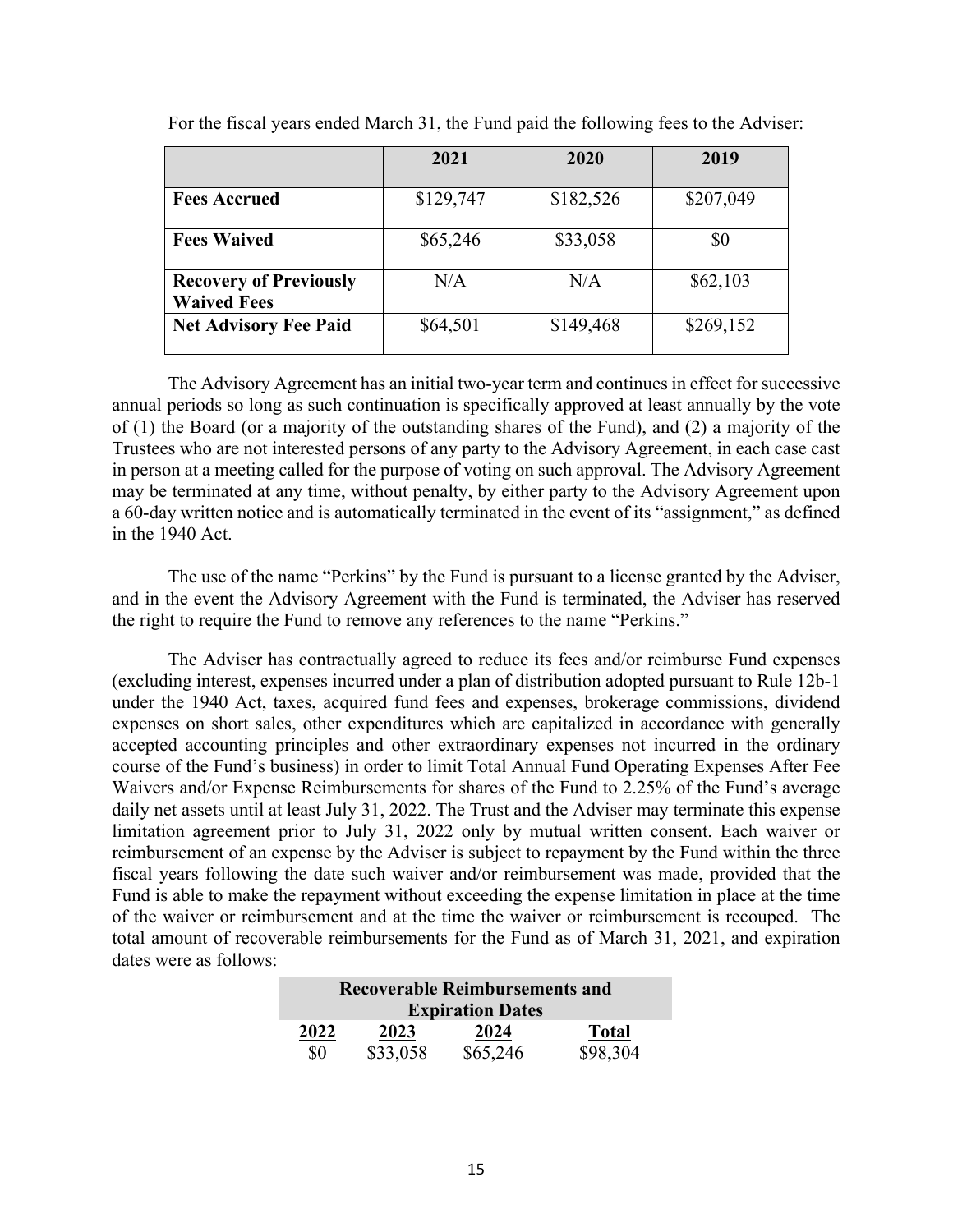|                                                     | 2021      | 2020      | 2019      |
|-----------------------------------------------------|-----------|-----------|-----------|
| <b>Fees Accrued</b>                                 | \$129,747 | \$182,526 | \$207,049 |
| <b>Fees Waived</b>                                  | \$65,246  | \$33,058  | \$0       |
| <b>Recovery of Previously</b><br><b>Waived Fees</b> | N/A       | N/A       | \$62,103  |
| <b>Net Advisory Fee Paid</b>                        | \$64,501  | \$149,468 | \$269,152 |

For the fiscal years ended March 31, the Fund paid the following fees to the Adviser:

The Advisory Agreement has an initial two-year term and continues in effect for successive annual periods so long as such continuation is specifically approved at least annually by the vote of (1) the Board (or a majority of the outstanding shares of the Fund), and (2) a majority of the Trustees who are not interested persons of any party to the Advisory Agreement, in each case cast in person at a meeting called for the purpose of voting on such approval. The Advisory Agreement may be terminated at any time, without penalty, by either party to the Advisory Agreement upon a 60-day written notice and is automatically terminated in the event of its "assignment," as defined in the 1940 Act.

The use of the name "Perkins" by the Fund is pursuant to a license granted by the Adviser, and in the event the Advisory Agreement with the Fund is terminated, the Adviser has reserved the right to require the Fund to remove any references to the name "Perkins."

The Adviser has contractually agreed to reduce its fees and/or reimburse Fund expenses (excluding interest, expenses incurred under a plan of distribution adopted pursuant to Rule 12b-1 under the 1940 Act, taxes, acquired fund fees and expenses, brokerage commissions, dividend expenses on short sales, other expenditures which are capitalized in accordance with generally accepted accounting principles and other extraordinary expenses not incurred in the ordinary course of the Fund's business) in order to limit Total Annual Fund Operating Expenses After Fee Waivers and/or Expense Reimbursements for shares of the Fund to 2.25% of the Fund's average daily net assets until at least July 31, 2022. The Trust and the Adviser may terminate this expense limitation agreement prior to July 31, 2022 only by mutual written consent. Each waiver or reimbursement of an expense by the Adviser is subject to repayment by the Fund within the three fiscal years following the date such waiver and/or reimbursement was made, provided that the Fund is able to make the repayment without exceeding the expense limitation in place at the time of the waiver or reimbursement and at the time the waiver or reimbursement is recouped. The total amount of recoverable reimbursements for the Fund as of March 31, 2021, and expiration dates were as follows:

| <b>Recoverable Reimbursements and</b> |          |          |              |
|---------------------------------------|----------|----------|--------------|
| <b>Expiration Dates</b>               |          |          |              |
| 2022                                  | 2023     | 2024     | <b>Total</b> |
| \$0                                   | \$33,058 | \$65,246 | \$98,304     |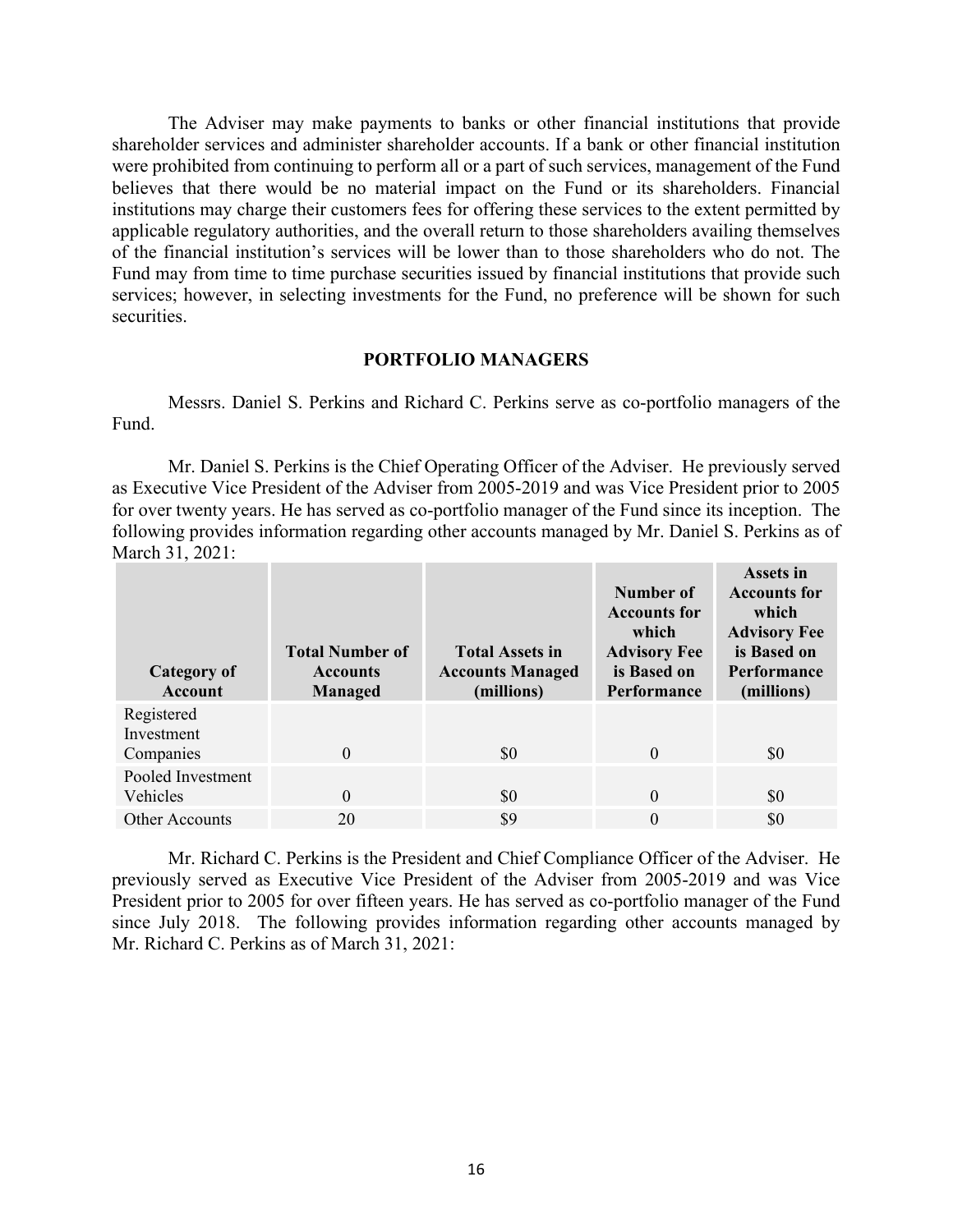The Adviser may make payments to banks or other financial institutions that provide shareholder services and administer shareholder accounts. If a bank or other financial institution were prohibited from continuing to perform all or a part of such services, management of the Fund believes that there would be no material impact on the Fund or its shareholders. Financial institutions may charge their customers fees for offering these services to the extent permitted by applicable regulatory authorities, and the overall return to those shareholders availing themselves of the financial institution's services will be lower than to those shareholders who do not. The Fund may from time to time purchase securities issued by financial institutions that provide such services; however, in selecting investments for the Fund, no preference will be shown for such securities.

### **PORTFOLIO MANAGERS**

<span id="page-17-0"></span>Messrs. Daniel S. Perkins and Richard C. Perkins serve as co-portfolio managers of the Fund.

Mr. Daniel S. Perkins is the Chief Operating Officer of the Adviser. He previously served as Executive Vice President of the Adviser from 2005-2019 and was Vice President prior to 2005 for over twenty years. He has served as co-portfolio manager of the Fund since its inception. The following provides information regarding other accounts managed by Mr. Daniel S. Perkins as of March 31, 2021:

| Category of<br>Account                | <b>Total Number of</b><br><b>Accounts</b><br><b>Managed</b> | <b>Total Assets in</b><br><b>Accounts Managed</b><br>(millions) | Number of<br><b>Accounts for</b><br>which<br><b>Advisory Fee</b><br>is Based on<br><b>Performance</b> | Assets in<br><b>Accounts for</b><br>which<br><b>Advisory Fee</b><br>is Based on<br><b>Performance</b><br>(millions) |
|---------------------------------------|-------------------------------------------------------------|-----------------------------------------------------------------|-------------------------------------------------------------------------------------------------------|---------------------------------------------------------------------------------------------------------------------|
| Registered<br>Investment<br>Companies | $\Omega$                                                    | \$0                                                             | $\Omega$                                                                                              | \$0                                                                                                                 |
| Pooled Investment<br><b>Vehicles</b>  | $\theta$                                                    | \$0                                                             | $\theta$                                                                                              | \$0                                                                                                                 |
| <b>Other Accounts</b>                 | 20                                                          | \$9                                                             | $\theta$                                                                                              | \$0                                                                                                                 |

Mr. Richard C. Perkins is the President and Chief Compliance Officer of the Adviser. He previously served as Executive Vice President of the Adviser from 2005-2019 and was Vice President prior to 2005 for over fifteen years. He has served as co-portfolio manager of the Fund since July 2018. The following provides information regarding other accounts managed by Mr. Richard C. Perkins as of March 31, 2021: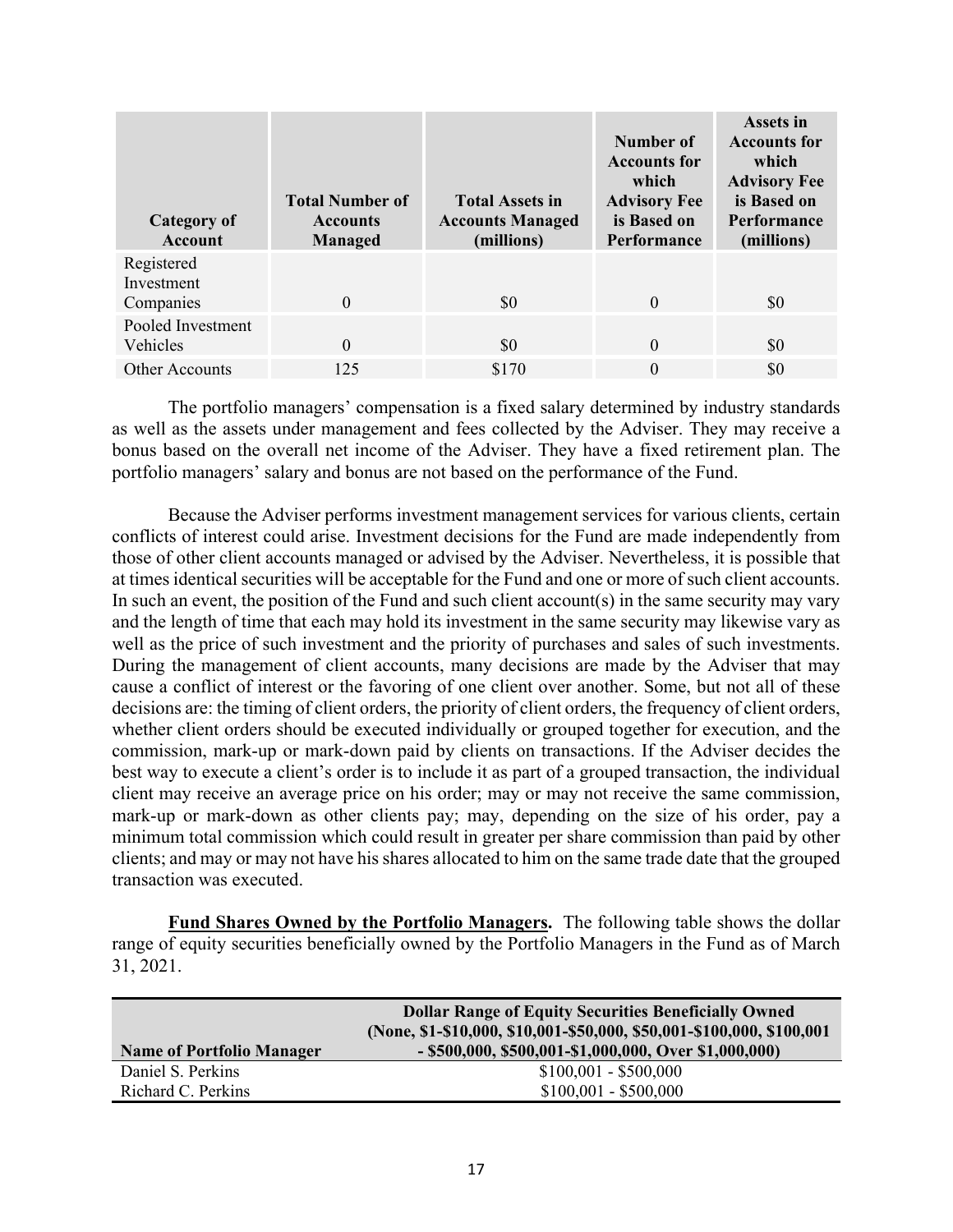| Category of<br><b>Account</b>         | <b>Total Number of</b><br><b>Accounts</b><br><b>Managed</b> | <b>Total Assets in</b><br><b>Accounts Managed</b><br>(millions) | Number of<br><b>Accounts for</b><br>which<br><b>Advisory Fee</b><br>is Based on<br><b>Performance</b> | <b>Assets in</b><br><b>Accounts for</b><br>which<br><b>Advisory Fee</b><br>is Based on<br><b>Performance</b><br>(millions) |
|---------------------------------------|-------------------------------------------------------------|-----------------------------------------------------------------|-------------------------------------------------------------------------------------------------------|----------------------------------------------------------------------------------------------------------------------------|
| Registered<br>Investment<br>Companies | $\Omega$                                                    | \$0                                                             | $\Omega$                                                                                              | \$0                                                                                                                        |
| Pooled Investment<br>Vehicles         | $\Omega$                                                    | \$0                                                             | $\Omega$                                                                                              | \$0                                                                                                                        |
| Other Accounts                        | 125                                                         | \$170                                                           | $\theta$                                                                                              | \$0                                                                                                                        |

The portfolio managers' compensation is a fixed salary determined by industry standards as well as the assets under management and fees collected by the Adviser. They may receive a bonus based on the overall net income of the Adviser. They have a fixed retirement plan. The portfolio managers' salary and bonus are not based on the performance of the Fund.

Because the Adviser performs investment management services for various clients, certain conflicts of interest could arise. Investment decisions for the Fund are made independently from those of other client accounts managed or advised by the Adviser. Nevertheless, it is possible that at times identical securities will be acceptable for the Fund and one or more of such client accounts. In such an event, the position of the Fund and such client  $account(s)$  in the same security may vary and the length of time that each may hold its investment in the same security may likewise vary as well as the price of such investment and the priority of purchases and sales of such investments. During the management of client accounts, many decisions are made by the Adviser that may cause a conflict of interest or the favoring of one client over another. Some, but not all of these decisions are: the timing of client orders, the priority of client orders, the frequency of client orders, whether client orders should be executed individually or grouped together for execution, and the commission, mark-up or mark-down paid by clients on transactions. If the Adviser decides the best way to execute a client's order is to include it as part of a grouped transaction, the individual client may receive an average price on his order; may or may not receive the same commission, mark-up or mark-down as other clients pay; may, depending on the size of his order, pay a minimum total commission which could result in greater per share commission than paid by other clients; and may or may not have his shares allocated to him on the same trade date that the grouped transaction was executed.

**Fund Shares Owned by the Portfolio Managers.** The following table shows the dollar range of equity securities beneficially owned by the Portfolio Managers in the Fund as of March 31, 2021.

|                                  | <b>Dollar Range of Equity Securities Beneficially Owned</b><br>(None, \$1-\$10,000, \$10,001-\$50,000, \$50,001-\$100,000, \$100,001 |  |  |
|----------------------------------|--------------------------------------------------------------------------------------------------------------------------------------|--|--|
| <b>Name of Portfolio Manager</b> | $-$ \$500,000, \$500,001-\$1,000,000, Over \$1,000,000)                                                                              |  |  |
| Daniel S. Perkins                | $$100,001 - $500,000$                                                                                                                |  |  |
| Richard C. Perkins               | $$100,001 - $500,000$                                                                                                                |  |  |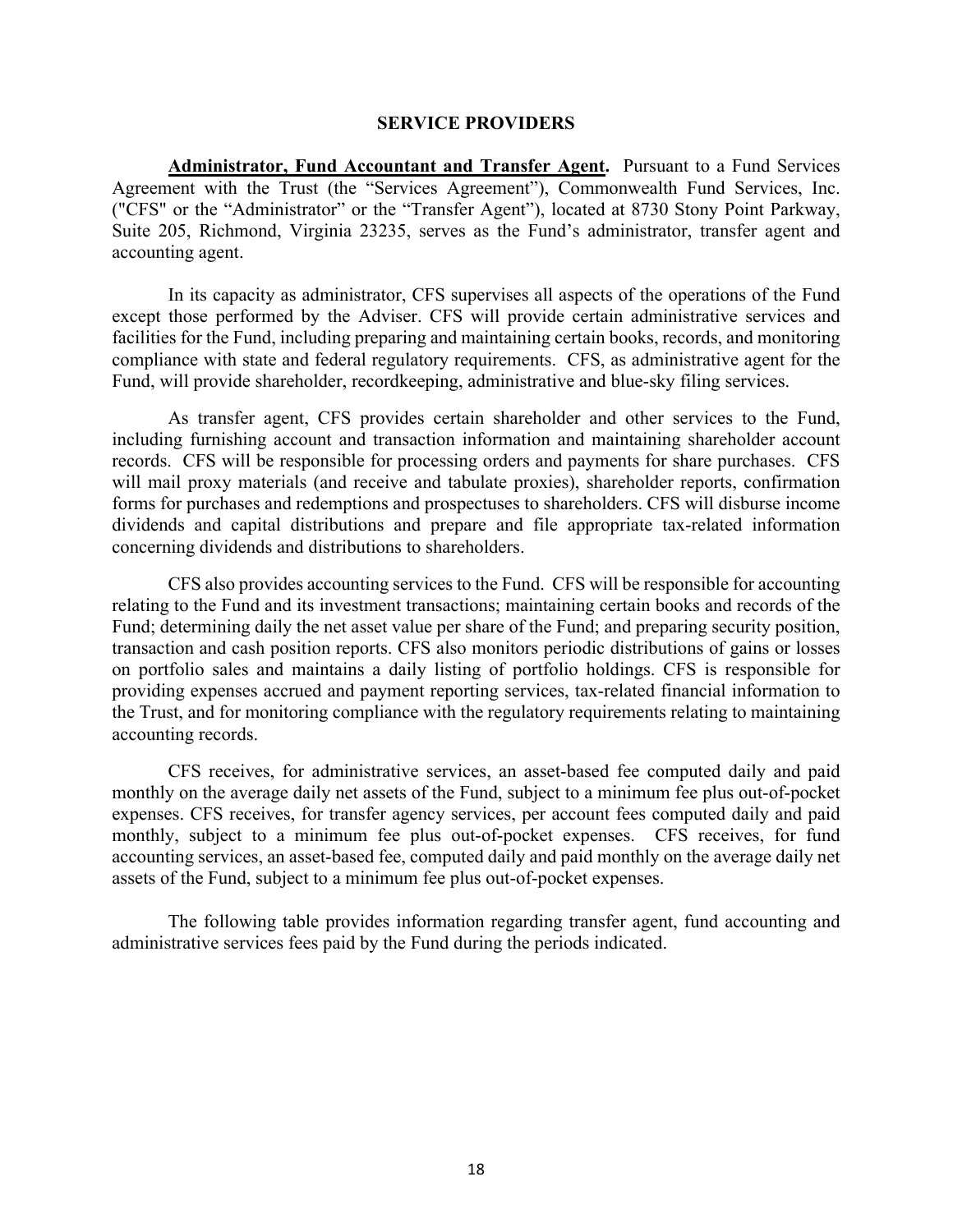#### **SERVICE PROVIDERS**

<span id="page-19-0"></span>**Administrator, Fund Accountant and Transfer Agent.** Pursuant to a Fund Services Agreement with the Trust (the "Services Agreement"), Commonwealth Fund Services, Inc. ("CFS" or the "Administrator" or the "Transfer Agent"), located at 8730 Stony Point Parkway, Suite 205, Richmond, Virginia 23235, serves as the Fund's administrator, transfer agent and accounting agent.

In its capacity as administrator, CFS supervises all aspects of the operations of the Fund except those performed by the Adviser. CFS will provide certain administrative services and facilities for the Fund, including preparing and maintaining certain books, records, and monitoring compliance with state and federal regulatory requirements. CFS, as administrative agent for the Fund, will provide shareholder, recordkeeping, administrative and blue-sky filing services.

As transfer agent, CFS provides certain shareholder and other services to the Fund, including furnishing account and transaction information and maintaining shareholder account records. CFS will be responsible for processing orders and payments for share purchases. CFS will mail proxy materials (and receive and tabulate proxies), shareholder reports, confirmation forms for purchases and redemptions and prospectuses to shareholders. CFS will disburse income dividends and capital distributions and prepare and file appropriate tax-related information concerning dividends and distributions to shareholders.

CFS also provides accounting services to the Fund. CFS will be responsible for accounting relating to the Fund and its investment transactions; maintaining certain books and records of the Fund; determining daily the net asset value per share of the Fund; and preparing security position, transaction and cash position reports. CFS also monitors periodic distributions of gains or losses on portfolio sales and maintains a daily listing of portfolio holdings. CFS is responsible for providing expenses accrued and payment reporting services, tax-related financial information to the Trust, and for monitoring compliance with the regulatory requirements relating to maintaining accounting records.

CFS receives, for administrative services, an asset-based fee computed daily and paid monthly on the average daily net assets of the Fund, subject to a minimum fee plus out-of-pocket expenses. CFS receives, for transfer agency services, per account fees computed daily and paid monthly, subject to a minimum fee plus out-of-pocket expenses. CFS receives, for fund accounting services, an asset-based fee, computed daily and paid monthly on the average daily net assets of the Fund, subject to a minimum fee plus out-of-pocket expenses.

The following table provides information regarding transfer agent, fund accounting and administrative services fees paid by the Fund during the periods indicated.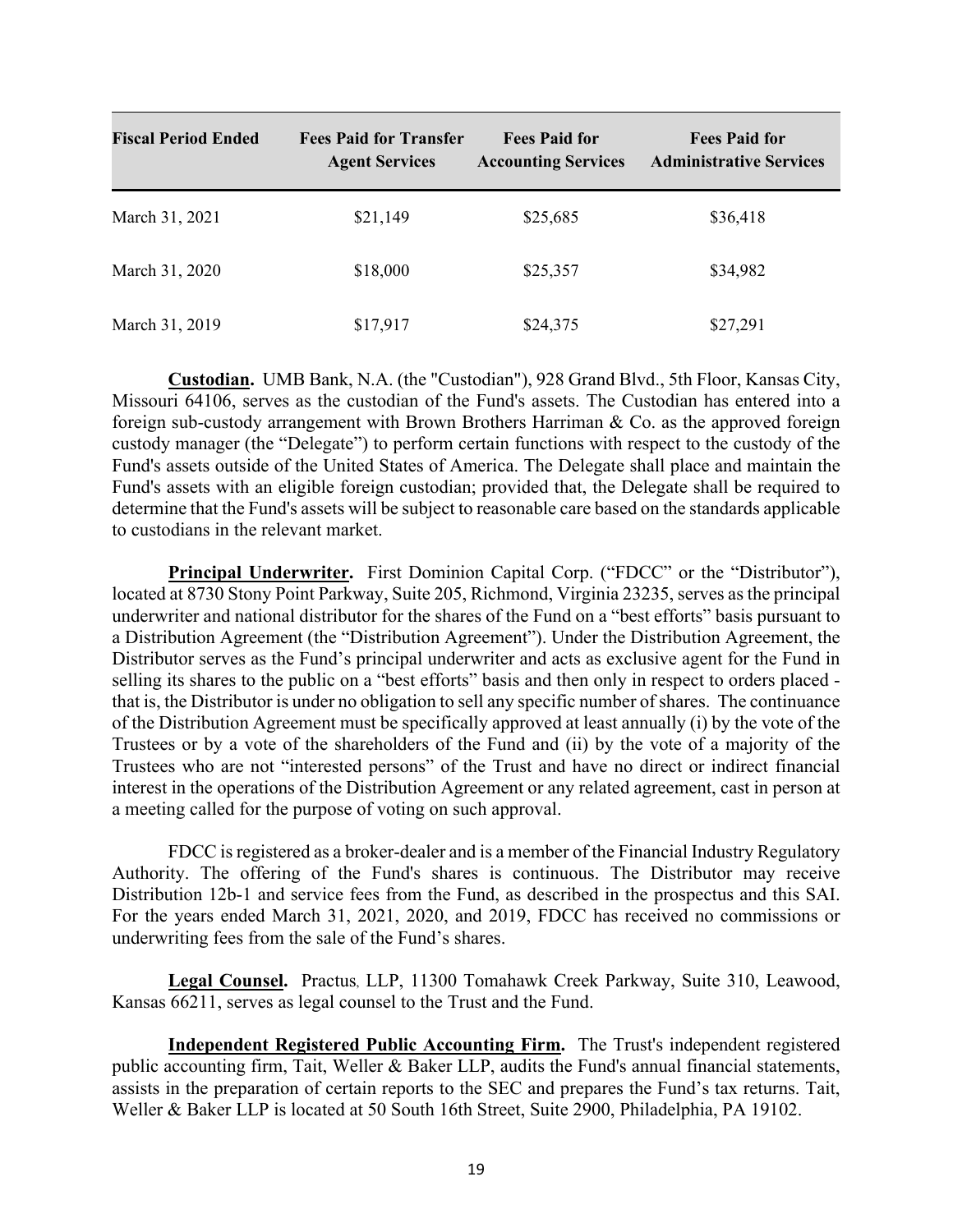| <b>Fiscal Period Ended</b> | <b>Fees Paid for Transfer</b><br><b>Agent Services</b> | <b>Fees Paid for</b><br><b>Accounting Services</b> | <b>Fees Paid for</b><br><b>Administrative Services</b> |
|----------------------------|--------------------------------------------------------|----------------------------------------------------|--------------------------------------------------------|
| March 31, 2021             | \$21,149                                               | \$25,685                                           | \$36,418                                               |
| March 31, 2020             | \$18,000                                               | \$25,357                                           | \$34,982                                               |
| March 31, 2019             | \$17,917                                               | \$24,375                                           | \$27,291                                               |

**Custodian.** UMB Bank, N.A. (the "Custodian"), 928 Grand Blvd., 5th Floor, Kansas City, Missouri 64106, serves as the custodian of the Fund's assets. The Custodian has entered into a foreign sub-custody arrangement with Brown Brothers Harriman & Co. as the approved foreign custody manager (the "Delegate") to perform certain functions with respect to the custody of the Fund's assets outside of the United States of America. The Delegate shall place and maintain the Fund's assets with an eligible foreign custodian; provided that, the Delegate shall be required to determine that the Fund's assets will be subject to reasonable care based on the standards applicable to custodians in the relevant market.

**Principal Underwriter.** First Dominion Capital Corp. ("FDCC" or the "Distributor"), located at 8730 Stony Point Parkway, Suite 205, Richmond, Virginia 23235, serves as the principal underwriter and national distributor for the shares of the Fund on a "best efforts" basis pursuant to a Distribution Agreement (the "Distribution Agreement"). Under the Distribution Agreement, the Distributor serves as the Fund's principal underwriter and acts as exclusive agent for the Fund in selling its shares to the public on a "best efforts" basis and then only in respect to orders placed that is, the Distributor is under no obligation to sell any specific number of shares. The continuance of the Distribution Agreement must be specifically approved at least annually (i) by the vote of the Trustees or by a vote of the shareholders of the Fund and (ii) by the vote of a majority of the Trustees who are not "interested persons" of the Trust and have no direct or indirect financial interest in the operations of the Distribution Agreement or any related agreement, cast in person at a meeting called for the purpose of voting on such approval.

FDCC is registered as a broker-dealer and is a member of the Financial Industry Regulatory Authority. The offering of the Fund's shares is continuous. The Distributor may receive Distribution 12b-1 and service fees from the Fund, as described in the prospectus and this SAI. For the years ended March 31, 2021, 2020, and 2019, FDCC has received no commissions or underwriting fees from the sale of the Fund's shares.

**Legal Counsel.** Practus, LLP, 11300 Tomahawk Creek Parkway, Suite 310, Leawood, Kansas 66211, serves as legal counsel to the Trust and the Fund.

**Independent Registered Public Accounting Firm.** The Trust's independent registered public accounting firm, Tait, Weller & Baker LLP, audits the Fund's annual financial statements, assists in the preparation of certain reports to the SEC and prepares the Fund's tax returns. Tait, Weller & Baker LLP is located at 50 South 16th Street, Suite 2900, Philadelphia, PA 19102.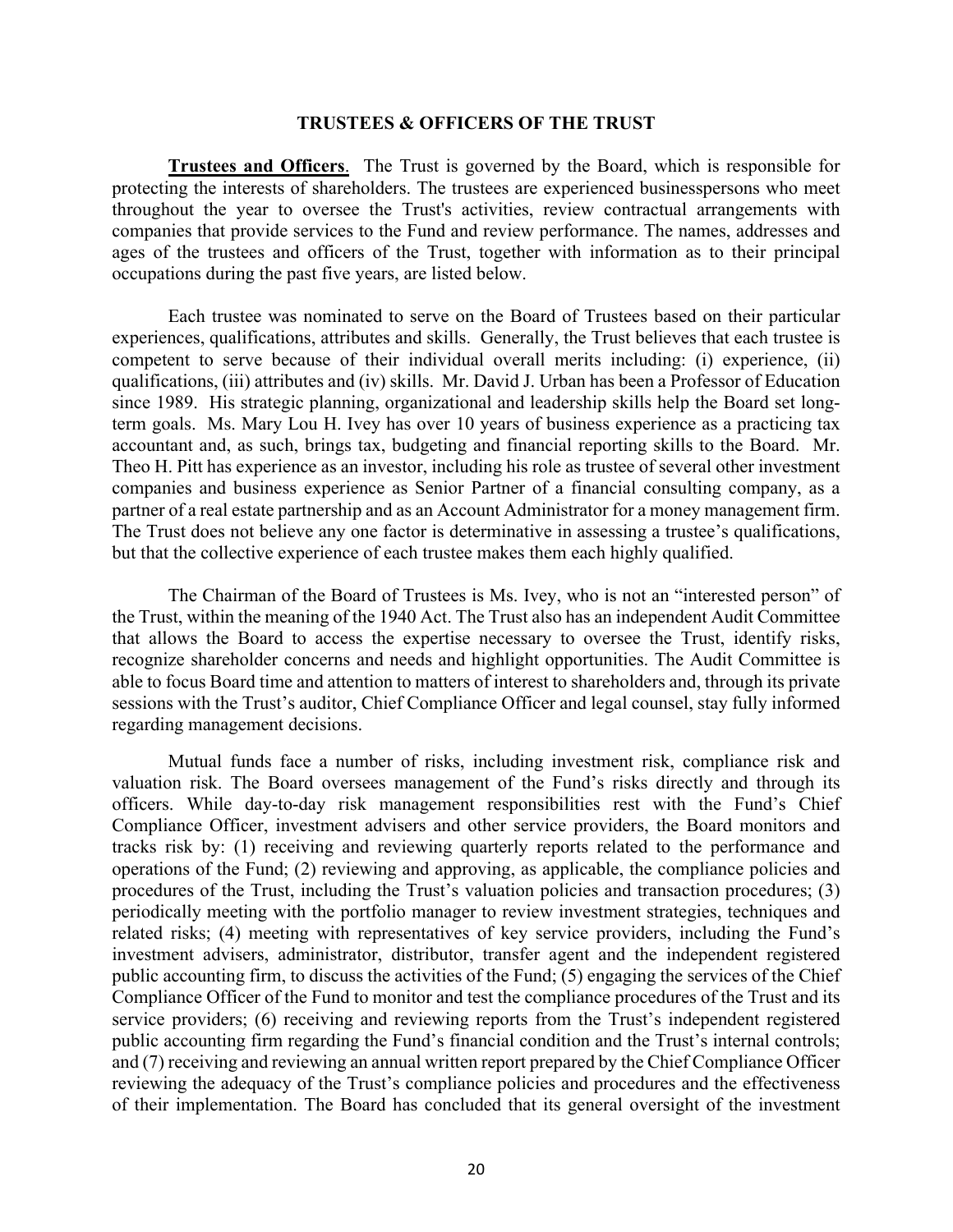#### **TRUSTEES & OFFICERS OF THE TRUST**

<span id="page-21-0"></span>**Trustees and Officers**. The Trust is governed by the Board, which is responsible for protecting the interests of shareholders. The trustees are experienced businesspersons who meet throughout the year to oversee the Trust's activities, review contractual arrangements with companies that provide services to the Fund and review performance. The names, addresses and ages of the trustees and officers of the Trust, together with information as to their principal occupations during the past five years, are listed below.

Each trustee was nominated to serve on the Board of Trustees based on their particular experiences, qualifications, attributes and skills. Generally, the Trust believes that each trustee is competent to serve because of their individual overall merits including: (i) experience, (ii) qualifications, (iii) attributes and (iv) skills. Mr. David J. Urban has been a Professor of Education since 1989. His strategic planning, organizational and leadership skills help the Board set longterm goals. Ms. Mary Lou H. Ivey has over 10 years of business experience as a practicing tax accountant and, as such, brings tax, budgeting and financial reporting skills to the Board. Mr. Theo H. Pitt has experience as an investor, including his role as trustee of several other investment companies and business experience as Senior Partner of a financial consulting company, as a partner of a real estate partnership and as an Account Administrator for a money management firm. The Trust does not believe any one factor is determinative in assessing a trustee's qualifications, but that the collective experience of each trustee makes them each highly qualified.

The Chairman of the Board of Trustees is Ms. Ivey, who is not an "interested person" of the Trust, within the meaning of the 1940 Act. The Trust also has an independent Audit Committee that allows the Board to access the expertise necessary to oversee the Trust, identify risks, recognize shareholder concerns and needs and highlight opportunities. The Audit Committee is able to focus Board time and attention to matters of interest to shareholders and, through its private sessions with the Trust's auditor, Chief Compliance Officer and legal counsel, stay fully informed regarding management decisions.

Mutual funds face a number of risks, including investment risk, compliance risk and valuation risk. The Board oversees management of the Fund's risks directly and through its officers. While day-to-day risk management responsibilities rest with the Fund's Chief Compliance Officer, investment advisers and other service providers, the Board monitors and tracks risk by: (1) receiving and reviewing quarterly reports related to the performance and operations of the Fund; (2) reviewing and approving, as applicable, the compliance policies and procedures of the Trust, including the Trust's valuation policies and transaction procedures; (3) periodically meeting with the portfolio manager to review investment strategies, techniques and related risks; (4) meeting with representatives of key service providers, including the Fund's investment advisers, administrator, distributor, transfer agent and the independent registered public accounting firm, to discuss the activities of the Fund; (5) engaging the services of the Chief Compliance Officer of the Fund to monitor and test the compliance procedures of the Trust and its service providers; (6) receiving and reviewing reports from the Trust's independent registered public accounting firm regarding the Fund's financial condition and the Trust's internal controls; and (7) receiving and reviewing an annual written report prepared by the Chief Compliance Officer reviewing the adequacy of the Trust's compliance policies and procedures and the effectiveness of their implementation. The Board has concluded that its general oversight of the investment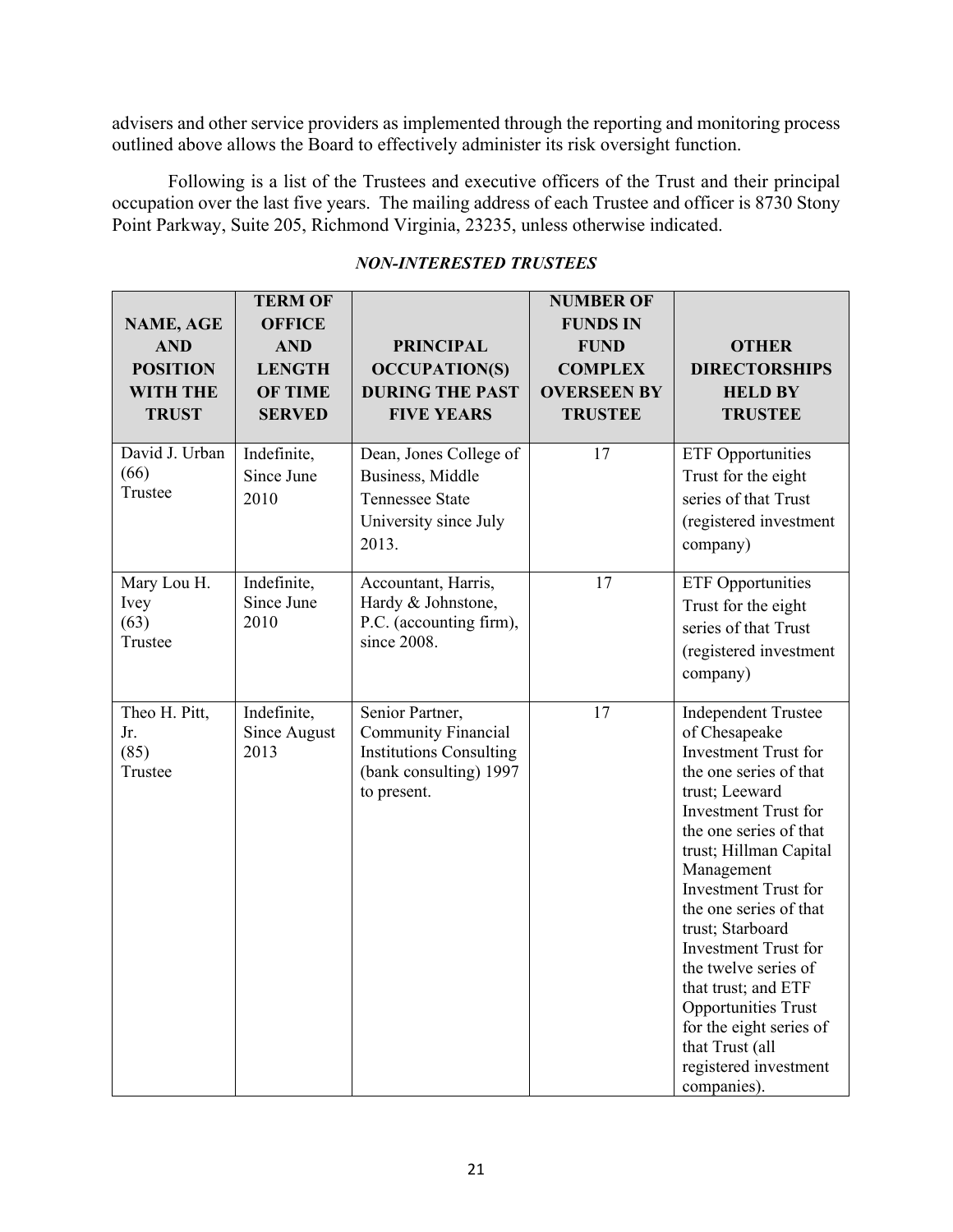advisers and other service providers as implemented through the reporting and monitoring process outlined above allows the Board to effectively administer its risk oversight function.

Following is a list of the Trustees and executive officers of the Trust and their principal occupation over the last five years. The mailing address of each Trustee and officer is 8730 Stony Point Parkway, Suite 205, Richmond Virginia, 23235, unless otherwise indicated.

|                 | <b>TERM OF</b> |                                       | <b>NUMBER OF</b>   |                                                       |
|-----------------|----------------|---------------------------------------|--------------------|-------------------------------------------------------|
| NAME, AGE       | <b>OFFICE</b>  |                                       | <b>FUNDS IN</b>    |                                                       |
| <b>AND</b>      | <b>AND</b>     | <b>PRINCIPAL</b>                      | <b>FUND</b>        | <b>OTHER</b>                                          |
| <b>POSITION</b> | <b>LENGTH</b>  | <b>OCCUPATION(S)</b>                  | <b>COMPLEX</b>     | <b>DIRECTORSHIPS</b>                                  |
| <b>WITH THE</b> | <b>OF TIME</b> | <b>DURING THE PAST</b>                | <b>OVERSEEN BY</b> | <b>HELD BY</b>                                        |
| <b>TRUST</b>    | <b>SERVED</b>  | <b>FIVE YEARS</b>                     | <b>TRUSTEE</b>     | <b>TRUSTEE</b>                                        |
|                 |                |                                       |                    |                                                       |
| David J. Urban  | Indefinite,    | Dean, Jones College of                | 17                 | <b>ETF</b> Opportunities                              |
| (66)            | Since June     | Business, Middle                      |                    | Trust for the eight                                   |
| Trustee         | 2010           | <b>Tennessee State</b>                |                    | series of that Trust                                  |
|                 |                | University since July                 |                    | (registered investment                                |
|                 |                | 2013.                                 |                    | company)                                              |
|                 |                |                                       |                    |                                                       |
| Mary Lou H.     | Indefinite,    | Accountant, Harris,                   | 17                 | <b>ETF</b> Opportunities                              |
| Ivey            | Since June     | Hardy & Johnstone,                    |                    | Trust for the eight                                   |
| (63)            | 2010           | P.C. (accounting firm),               |                    | series of that Trust                                  |
| Trustee         |                | since 2008.                           |                    | (registered investment                                |
|                 |                |                                       |                    | company)                                              |
|                 |                |                                       |                    |                                                       |
| Theo H. Pitt,   | Indefinite,    | Senior Partner,                       | 17                 | <b>Independent Trustee</b>                            |
| Jr.             | Since August   | <b>Community Financial</b>            |                    | of Chesapeake                                         |
| (85)<br>Trustee | 2013           | <b>Institutions Consulting</b>        |                    | <b>Investment Trust for</b><br>the one series of that |
|                 |                | (bank consulting) 1997<br>to present. |                    | trust; Leeward                                        |
|                 |                |                                       |                    | <b>Investment Trust for</b>                           |
|                 |                |                                       |                    | the one series of that                                |
|                 |                |                                       |                    | trust; Hillman Capital                                |
|                 |                |                                       |                    | Management                                            |
|                 |                |                                       |                    | <b>Investment Trust for</b>                           |
|                 |                |                                       |                    | the one series of that                                |
|                 |                |                                       |                    | trust; Starboard                                      |
|                 |                |                                       |                    | <b>Investment Trust for</b>                           |
|                 |                |                                       |                    | the twelve series of<br>that trust; and ETF           |
|                 |                |                                       |                    | <b>Opportunities Trust</b>                            |
|                 |                |                                       |                    | for the eight series of                               |
|                 |                |                                       |                    | that Trust (all                                       |
|                 |                |                                       |                    | registered investment                                 |
|                 |                |                                       |                    | companies).                                           |

### *NON-INTERESTED TRUSTEES*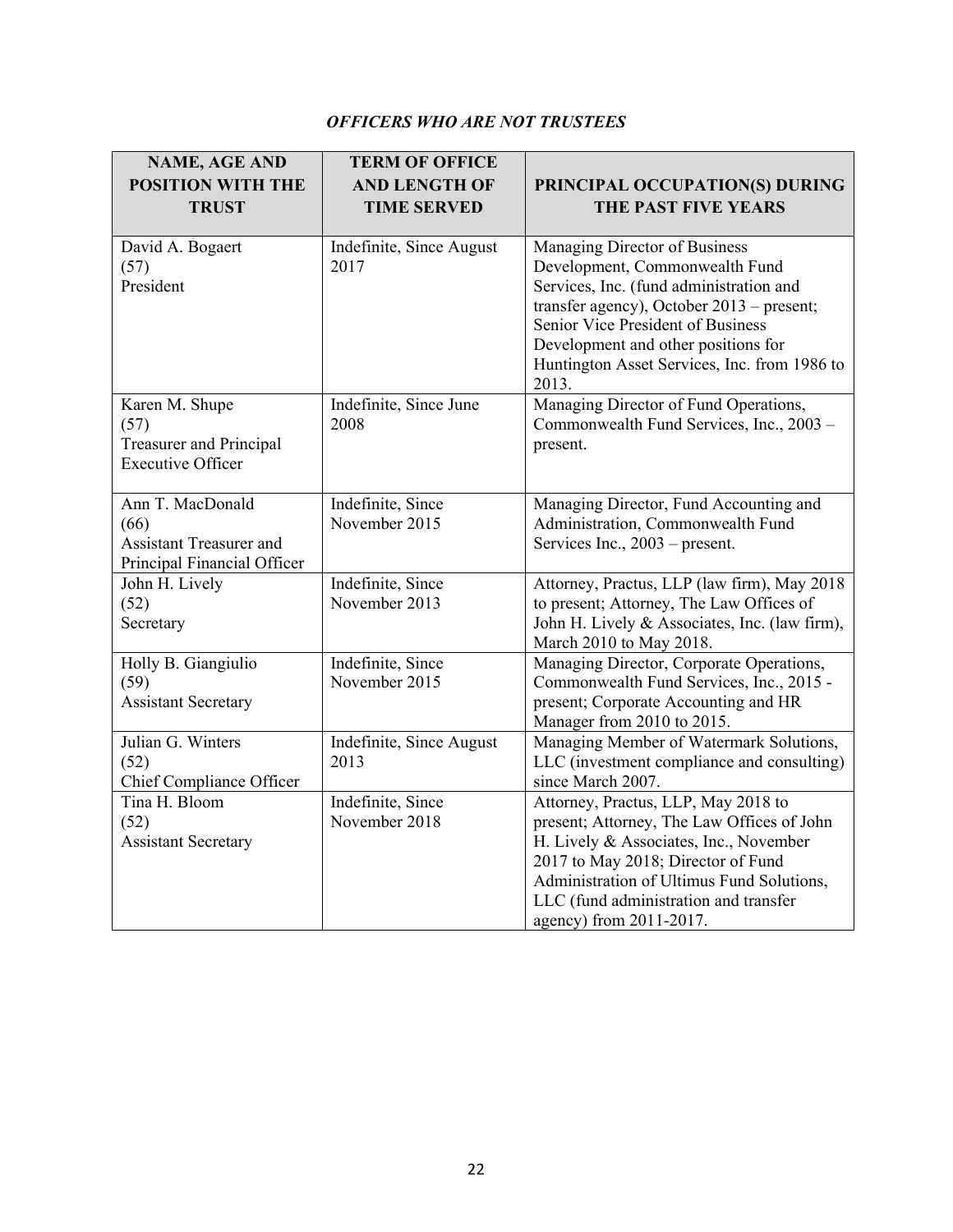# *OFFICERS WHO ARE NOT TRUSTEES*

| <b>NAME, AGE AND</b>                                                                      | <b>TERM OF OFFICE</b>              |                                                                                                                                                                                                                                                                                              |
|-------------------------------------------------------------------------------------------|------------------------------------|----------------------------------------------------------------------------------------------------------------------------------------------------------------------------------------------------------------------------------------------------------------------------------------------|
| <b>POSITION WITH THE</b>                                                                  | <b>AND LENGTH OF</b>               | PRINCIPAL OCCUPATION(S) DURING                                                                                                                                                                                                                                                               |
| <b>TRUST</b>                                                                              | <b>TIME SERVED</b>                 | <b>THE PAST FIVE YEARS</b>                                                                                                                                                                                                                                                                   |
| David A. Bogaert<br>(57)<br>President                                                     | Indefinite, Since August<br>2017   | Managing Director of Business<br>Development, Commonwealth Fund<br>Services, Inc. (fund administration and<br>transfer agency), October 2013 - present;<br>Senior Vice President of Business<br>Development and other positions for<br>Huntington Asset Services, Inc. from 1986 to<br>2013. |
| Karen M. Shupe<br>(57)<br><b>Treasurer and Principal</b><br><b>Executive Officer</b>      | Indefinite, Since June<br>2008     | Managing Director of Fund Operations,<br>Commonwealth Fund Services, Inc., 2003 -<br>present.                                                                                                                                                                                                |
| Ann T. MacDonald<br>(66)<br><b>Assistant Treasurer and</b><br>Principal Financial Officer | Indefinite, Since<br>November 2015 | Managing Director, Fund Accounting and<br>Administration, Commonwealth Fund<br>Services Inc., 2003 – present.                                                                                                                                                                                |
| John H. Lively<br>(52)<br>Secretary                                                       | Indefinite, Since<br>November 2013 | Attorney, Practus, LLP (law firm), May 2018<br>to present; Attorney, The Law Offices of<br>John H. Lively & Associates, Inc. (law firm),<br>March 2010 to May 2018.                                                                                                                          |
| Holly B. Giangiulio<br>(59)<br><b>Assistant Secretary</b>                                 | Indefinite, Since<br>November 2015 | Managing Director, Corporate Operations,<br>Commonwealth Fund Services, Inc., 2015 -<br>present; Corporate Accounting and HR<br>Manager from 2010 to 2015.                                                                                                                                   |
| Julian G. Winters<br>(52)<br>Chief Compliance Officer                                     | Indefinite, Since August<br>2013   | Managing Member of Watermark Solutions,<br>LLC (investment compliance and consulting)<br>since March 2007.                                                                                                                                                                                   |
| Tina H. Bloom<br>(52)<br><b>Assistant Secretary</b>                                       | Indefinite, Since<br>November 2018 | Attorney, Practus, LLP, May 2018 to<br>present; Attorney, The Law Offices of John<br>H. Lively & Associates, Inc., November<br>2017 to May 2018; Director of Fund<br>Administration of Ultimus Fund Solutions,<br>LLC (fund administration and transfer<br>agency) from 2011-2017.           |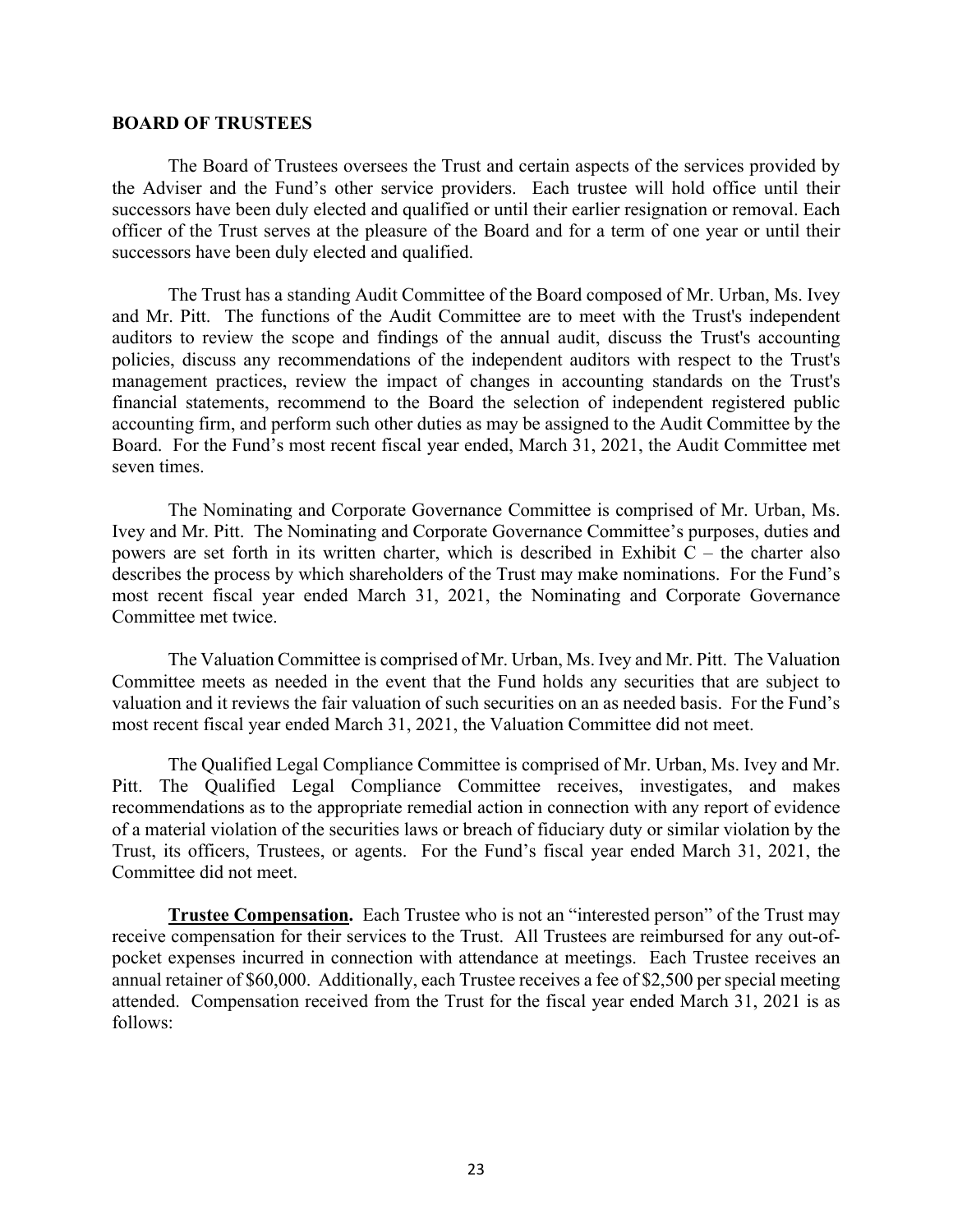#### **BOARD OF TRUSTEES**

The Board of Trustees oversees the Trust and certain aspects of the services provided by the Adviser and the Fund's other service providers. Each trustee will hold office until their successors have been duly elected and qualified or until their earlier resignation or removal. Each officer of the Trust serves at the pleasure of the Board and for a term of one year or until their successors have been duly elected and qualified.

The Trust has a standing Audit Committee of the Board composed of Mr. Urban, Ms. Ivey and Mr. Pitt. The functions of the Audit Committee are to meet with the Trust's independent auditors to review the scope and findings of the annual audit, discuss the Trust's accounting policies, discuss any recommendations of the independent auditors with respect to the Trust's management practices, review the impact of changes in accounting standards on the Trust's financial statements, recommend to the Board the selection of independent registered public accounting firm, and perform such other duties as may be assigned to the Audit Committee by the Board. For the Fund's most recent fiscal year ended, March 31, 2021, the Audit Committee met seven times.

The Nominating and Corporate Governance Committee is comprised of Mr. Urban, Ms. Ivey and Mr. Pitt. The Nominating and Corporate Governance Committee's purposes, duties and powers are set forth in its written charter, which is described in Exhibit  $C -$  the charter also describes the process by which shareholders of the Trust may make nominations. For the Fund's most recent fiscal year ended March 31, 2021, the Nominating and Corporate Governance Committee met twice.

The Valuation Committee is comprised of Mr. Urban, Ms. Ivey and Mr. Pitt. The Valuation Committee meets as needed in the event that the Fund holds any securities that are subject to valuation and it reviews the fair valuation of such securities on an as needed basis. For the Fund's most recent fiscal year ended March 31, 2021, the Valuation Committee did not meet.

The Qualified Legal Compliance Committee is comprised of Mr. Urban, Ms. Ivey and Mr. Pitt. The Qualified Legal Compliance Committee receives, investigates, and makes recommendations as to the appropriate remedial action in connection with any report of evidence of a material violation of the securities laws or breach of fiduciary duty or similar violation by the Trust, its officers, Trustees, or agents. For the Fund's fiscal year ended March 31, 2021, the Committee did not meet.

**Trustee Compensation.** Each Trustee who is not an "interested person" of the Trust may receive compensation for their services to the Trust. All Trustees are reimbursed for any out-ofpocket expenses incurred in connection with attendance at meetings. Each Trustee receives an annual retainer of \$60,000. Additionally, each Trustee receives a fee of \$2,500 per special meeting attended. Compensation received from the Trust for the fiscal year ended March 31, 2021 is as follows: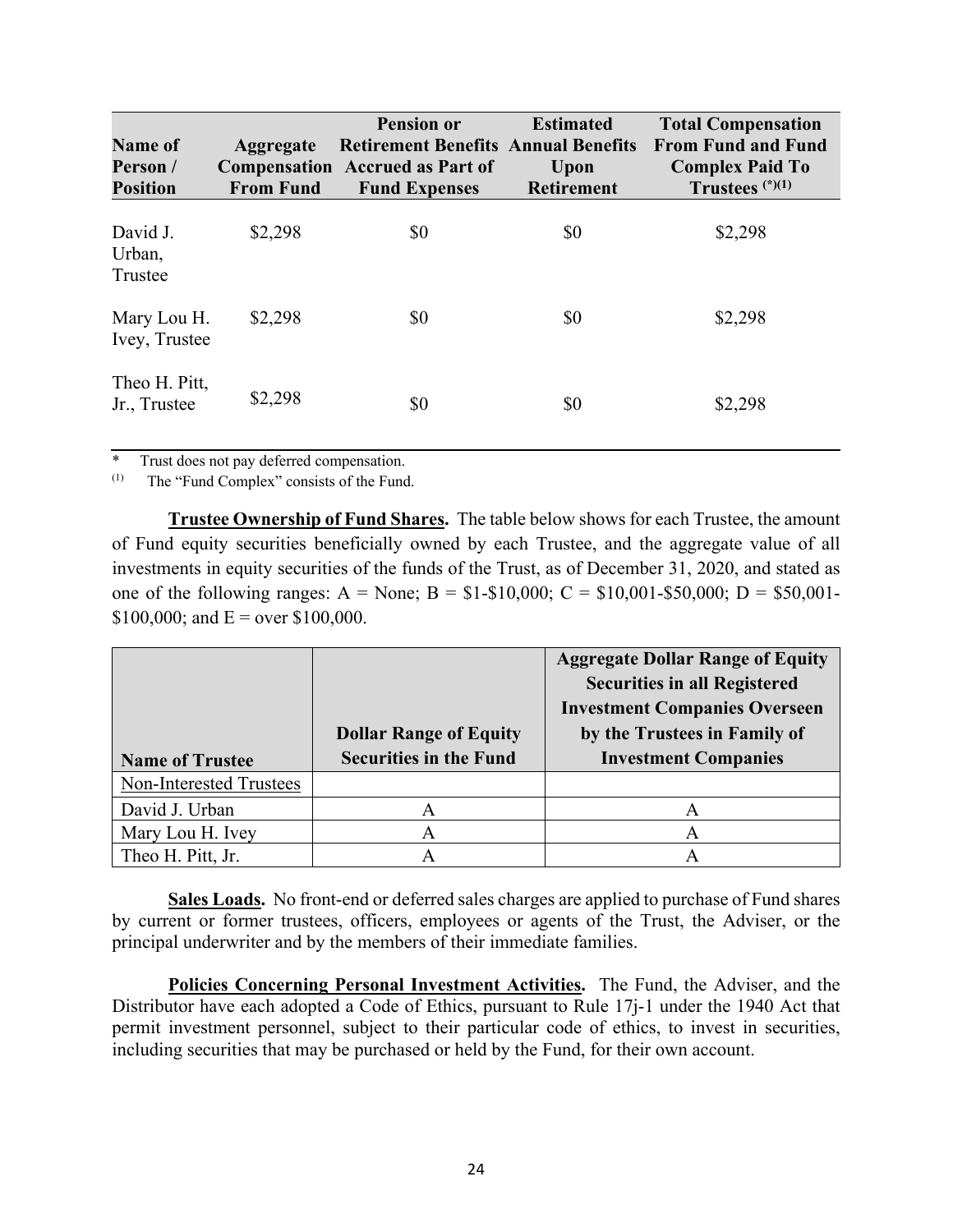| <b>Name of</b><br>Person /<br><b>Position</b> | Aggregate<br><b>From Fund</b> | <b>Pension or</b><br><b>Retirement Benefits Annual Benefits</b><br><b>Compensation</b> Accrued as Part of<br><b>Fund Expenses</b> | <b>Estimated</b><br>Upon<br><b>Retirement</b> | <b>Total Compensation</b><br><b>From Fund and Fund</b><br><b>Complex Paid To</b><br>Trustees $(*)$ (1) |
|-----------------------------------------------|-------------------------------|-----------------------------------------------------------------------------------------------------------------------------------|-----------------------------------------------|--------------------------------------------------------------------------------------------------------|
| David J.<br>Urban,<br>Trustee                 | \$2,298                       | \$0                                                                                                                               | \$0                                           | \$2,298                                                                                                |
| Mary Lou H.<br>Ivey, Trustee                  | \$2,298                       | \$0                                                                                                                               | \$0                                           | \$2,298                                                                                                |
| Theo H. Pitt,<br>Jr., Trustee                 | \$2,298                       | \$0                                                                                                                               | \$0                                           | \$2,298                                                                                                |

\* Trust does not pay deferred compensation.<br>(1) The "Fund Complex" consists of the Fund

The "Fund Complex" consists of the Fund.

**Trustee Ownership of Fund Shares.** The table below shows for each Trustee, the amount of Fund equity securities beneficially owned by each Trustee, and the aggregate value of all investments in equity securities of the funds of the Trust, as of December 31, 2020, and stated as one of the following ranges: A = None; B =  $$1-$10,000$ ; C =  $$10,001-$50,000$ ; D =  $$50,001-$ \$100,000; and  $E = over $100,000$ .

|                         |                               | <b>Aggregate Dollar Range of Equity</b> |
|-------------------------|-------------------------------|-----------------------------------------|
|                         |                               | <b>Securities in all Registered</b>     |
|                         |                               | <b>Investment Companies Overseen</b>    |
|                         | <b>Dollar Range of Equity</b> | by the Trustees in Family of            |
| <b>Name of Trustee</b>  | <b>Securities in the Fund</b> | <b>Investment Companies</b>             |
| Non-Interested Trustees |                               |                                         |
| David J. Urban          | A                             | A                                       |
| Mary Lou H. Ivey        | A                             | A                                       |
| Theo H. Pitt, Jr.       | A                             | A                                       |

**Sales Loads.** No front-end or deferred sales charges are applied to purchase of Fund shares by current or former trustees, officers, employees or agents of the Trust, the Adviser, or the principal underwriter and by the members of their immediate families.

**Policies Concerning Personal Investment Activities.** The Fund, the Adviser, and the Distributor have each adopted a Code of Ethics, pursuant to Rule 17j-1 under the 1940 Act that permit investment personnel, subject to their particular code of ethics, to invest in securities, including securities that may be purchased or held by the Fund, for their own account.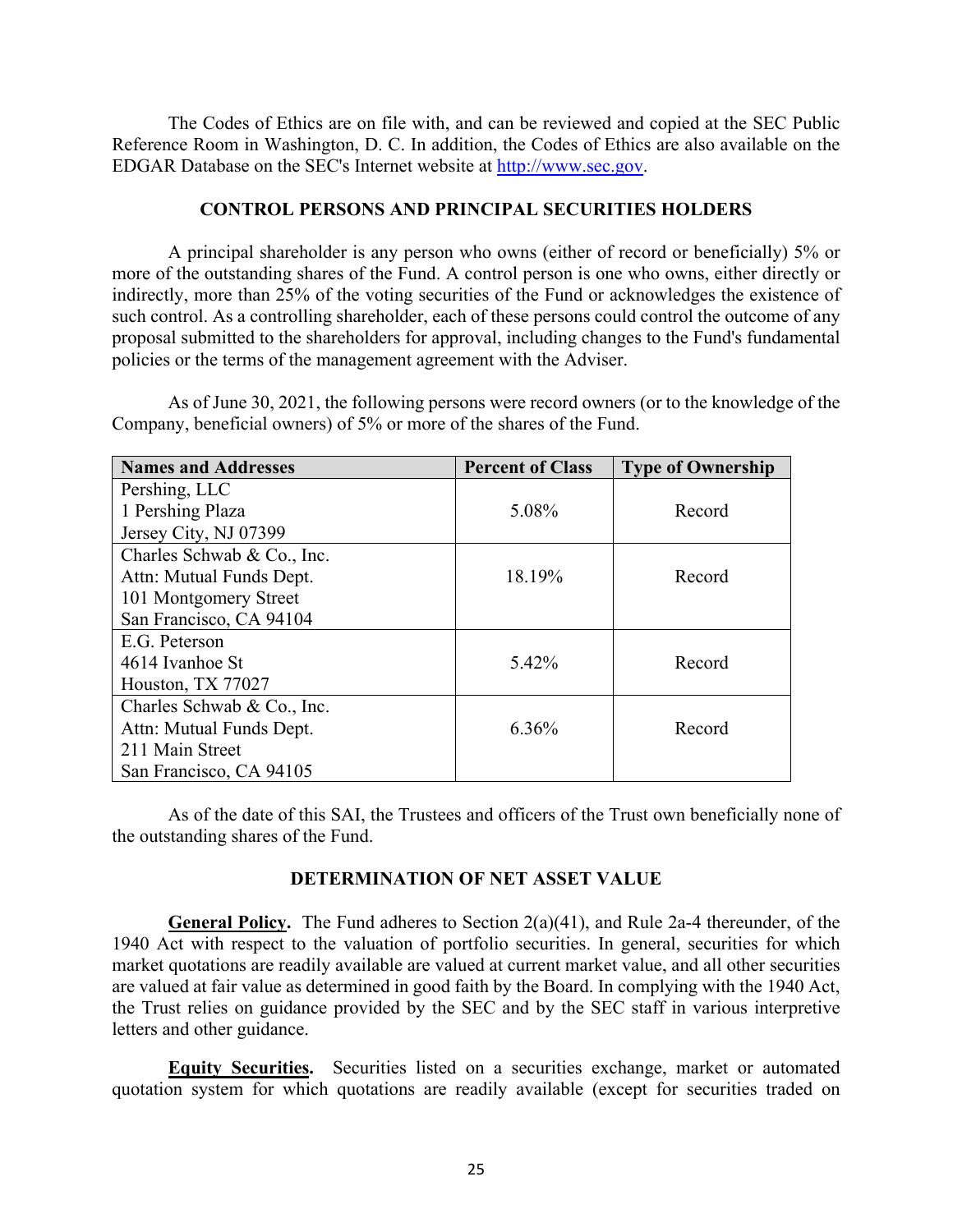The Codes of Ethics are on file with, and can be reviewed and copied at the SEC Public Reference Room in Washington, D. C. In addition, the Codes of Ethics are also available on the EDGAR Database on the SEC's Internet website at [http://www.sec.gov.](http://www.sec.gov/)

### **CONTROL PERSONS AND PRINCIPAL SECURITIES HOLDERS**

<span id="page-26-0"></span>A principal shareholder is any person who owns (either of record or beneficially) 5% or more of the outstanding shares of the Fund. A control person is one who owns, either directly or indirectly, more than 25% of the voting securities of the Fund or acknowledges the existence of such control. As a controlling shareholder, each of these persons could control the outcome of any proposal submitted to the shareholders for approval, including changes to the Fund's fundamental policies or the terms of the management agreement with the Adviser.

As of June 30, 2021, the following persons were record owners (or to the knowledge of the Company, beneficial owners) of 5% or more of the shares of the Fund.

| <b>Names and Addresses</b> | <b>Percent of Class</b> | <b>Type of Ownership</b> |
|----------------------------|-------------------------|--------------------------|
| Pershing, LLC              |                         |                          |
| 1 Pershing Plaza           | 5.08%                   | Record                   |
| Jersey City, NJ 07399      |                         |                          |
| Charles Schwab & Co., Inc. |                         |                          |
| Attn: Mutual Funds Dept.   | 18.19%                  | Record                   |
| 101 Montgomery Street      |                         |                          |
| San Francisco, CA 94104    |                         |                          |
| E.G. Peterson              |                         |                          |
| 4614 Ivanhoe St            | 5.42%                   | Record                   |
| Houston, TX 77027          |                         |                          |
| Charles Schwab & Co., Inc. |                         |                          |
| Attn: Mutual Funds Dept.   | 6.36%                   | Record                   |
| 211 Main Street            |                         |                          |
| San Francisco, CA 94105    |                         |                          |

As of the date of this SAI, the Trustees and officers of the Trust own beneficially none of the outstanding shares of the Fund.

## **DETERMINATION OF NET ASSET VALUE**

<span id="page-26-1"></span>**General Policy.** The Fund adheres to Section 2(a)(41), and Rule 2a-4 thereunder, of the 1940 Act with respect to the valuation of portfolio securities. In general, securities for which market quotations are readily available are valued at current market value, and all other securities are valued at fair value as determined in good faith by the Board. In complying with the 1940 Act, the Trust relies on guidance provided by the SEC and by the SEC staff in various interpretive letters and other guidance.

**Equity Securities.** Securities listed on a securities exchange, market or automated quotation system for which quotations are readily available (except for securities traded on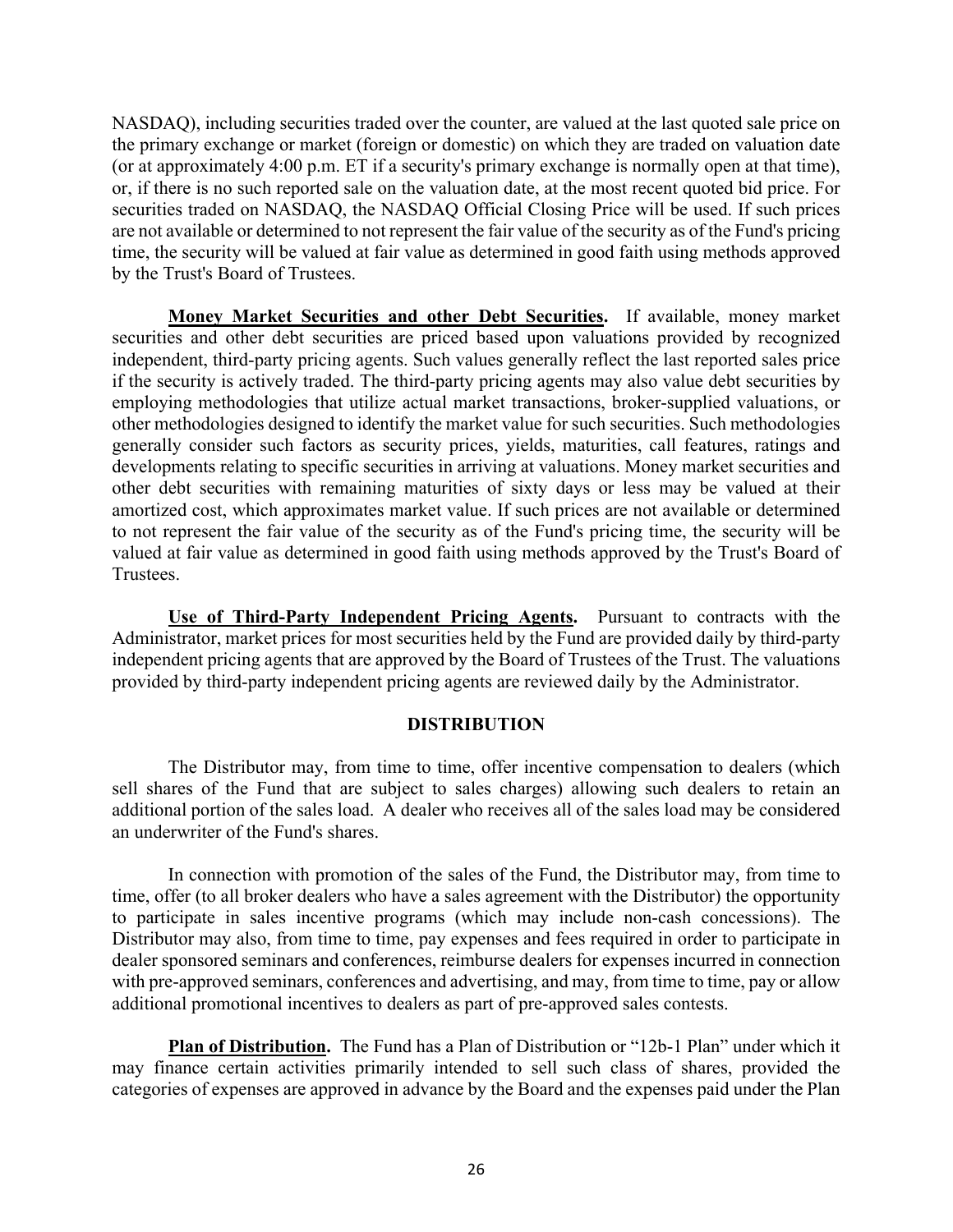NASDAQ), including securities traded over the counter, are valued at the last quoted sale price on the primary exchange or market (foreign or domestic) on which they are traded on valuation date (or at approximately 4:00 p.m. ET if a security's primary exchange is normally open at that time), or, if there is no such reported sale on the valuation date, at the most recent quoted bid price. For securities traded on NASDAQ, the NASDAQ Official Closing Price will be used. If such prices are not available or determined to not represent the fair value of the security as of the Fund's pricing time, the security will be valued at fair value as determined in good faith using methods approved by the Trust's Board of Trustees.

**Money Market Securities and other Debt Securities.** If available, money market securities and other debt securities are priced based upon valuations provided by recognized independent, third-party pricing agents. Such values generally reflect the last reported sales price if the security is actively traded. The third-party pricing agents may also value debt securities by employing methodologies that utilize actual market transactions, broker-supplied valuations, or other methodologies designed to identify the market value for such securities. Such methodologies generally consider such factors as security prices, yields, maturities, call features, ratings and developments relating to specific securities in arriving at valuations. Money market securities and other debt securities with remaining maturities of sixty days or less may be valued at their amortized cost, which approximates market value. If such prices are not available or determined to not represent the fair value of the security as of the Fund's pricing time, the security will be valued at fair value as determined in good faith using methods approved by the Trust's Board of Trustees.

**Use of Third-Party Independent Pricing Agents.** Pursuant to contracts with the Administrator, market prices for most securities held by the Fund are provided daily by third-party independent pricing agents that are approved by the Board of Trustees of the Trust. The valuations provided by third-party independent pricing agents are reviewed daily by the Administrator.

## **DISTRIBUTION**

<span id="page-27-0"></span>The Distributor may, from time to time, offer incentive compensation to dealers (which sell shares of the Fund that are subject to sales charges) allowing such dealers to retain an additional portion of the sales load. A dealer who receives all of the sales load may be considered an underwriter of the Fund's shares.

In connection with promotion of the sales of the Fund, the Distributor may, from time to time, offer (to all broker dealers who have a sales agreement with the Distributor) the opportunity to participate in sales incentive programs (which may include non-cash concessions). The Distributor may also, from time to time, pay expenses and fees required in order to participate in dealer sponsored seminars and conferences, reimburse dealers for expenses incurred in connection with pre-approved seminars, conferences and advertising, and may, from time to time, pay or allow additional promotional incentives to dealers as part of pre-approved sales contests.

**Plan of Distribution.** The Fund has a Plan of Distribution or "12b-1 Plan" under which it may finance certain activities primarily intended to sell such class of shares, provided the categories of expenses are approved in advance by the Board and the expenses paid under the Plan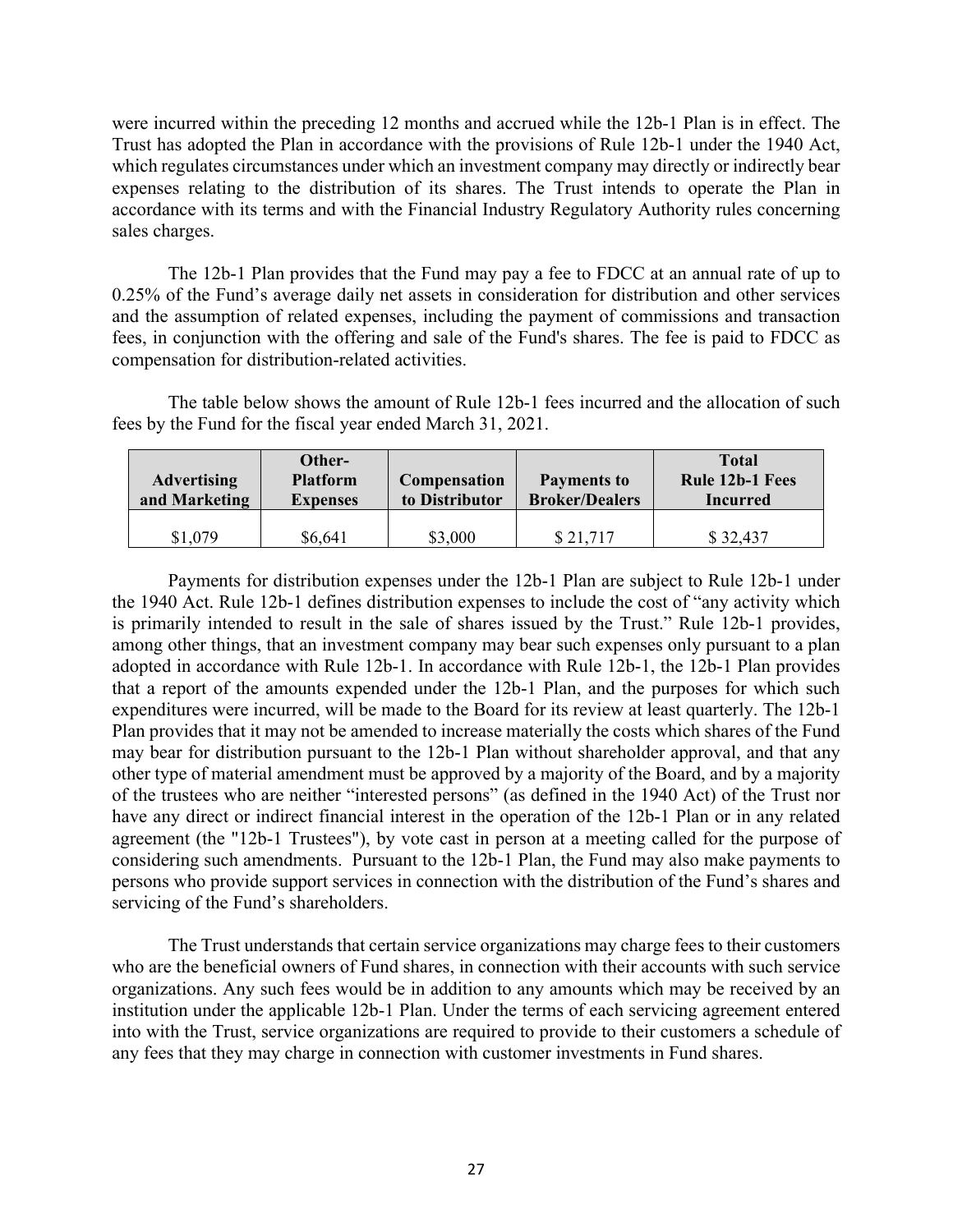were incurred within the preceding 12 months and accrued while the 12b-1 Plan is in effect. The Trust has adopted the Plan in accordance with the provisions of Rule 12b-1 under the 1940 Act, which regulates circumstances under which an investment company may directly or indirectly bear expenses relating to the distribution of its shares. The Trust intends to operate the Plan in accordance with its terms and with the Financial Industry Regulatory Authority rules concerning sales charges.

The 12b-1 Plan provides that the Fund may pay a fee to FDCC at an annual rate of up to 0.25% of the Fund's average daily net assets in consideration for distribution and other services and the assumption of related expenses, including the payment of commissions and transaction fees, in conjunction with the offering and sale of the Fund's shares. The fee is paid to FDCC as compensation for distribution-related activities.

The table below shows the amount of Rule 12b-1 fees incurred and the allocation of such fees by the Fund for the fiscal year ended March 31, 2021.

| <b>Advertising</b><br>and Marketing | Other-<br><b>Platform</b><br><b>Expenses</b> | <b>Compensation</b><br>to Distributor | Payments to<br><b>Broker/Dealers</b> | <b>Total</b><br><b>Rule 12b-1 Fees</b><br><b>Incurred</b> |
|-------------------------------------|----------------------------------------------|---------------------------------------|--------------------------------------|-----------------------------------------------------------|
| \$1,079                             | \$6,641                                      | \$3,000                               | \$21,717                             | \$32,437                                                  |

Payments for distribution expenses under the 12b-1 Plan are subject to Rule 12b-1 under the 1940 Act. Rule 12b-1 defines distribution expenses to include the cost of "any activity which is primarily intended to result in the sale of shares issued by the Trust." Rule 12b-1 provides, among other things, that an investment company may bear such expenses only pursuant to a plan adopted in accordance with Rule 12b-1. In accordance with Rule 12b-1, the 12b-1 Plan provides that a report of the amounts expended under the 12b-1 Plan, and the purposes for which such expenditures were incurred, will be made to the Board for its review at least quarterly. The 12b-1 Plan provides that it may not be amended to increase materially the costs which shares of the Fund may bear for distribution pursuant to the 12b-1 Plan without shareholder approval, and that any other type of material amendment must be approved by a majority of the Board, and by a majority of the trustees who are neither "interested persons" (as defined in the 1940 Act) of the Trust nor have any direct or indirect financial interest in the operation of the 12b-1 Plan or in any related agreement (the "12b-1 Trustees"), by vote cast in person at a meeting called for the purpose of considering such amendments. Pursuant to the 12b-1 Plan, the Fund may also make payments to persons who provide support services in connection with the distribution of the Fund's shares and servicing of the Fund's shareholders.

The Trust understands that certain service organizations may charge fees to their customers who are the beneficial owners of Fund shares, in connection with their accounts with such service organizations. Any such fees would be in addition to any amounts which may be received by an institution under the applicable 12b-1 Plan. Under the terms of each servicing agreement entered into with the Trust, service organizations are required to provide to their customers a schedule of any fees that they may charge in connection with customer investments in Fund shares.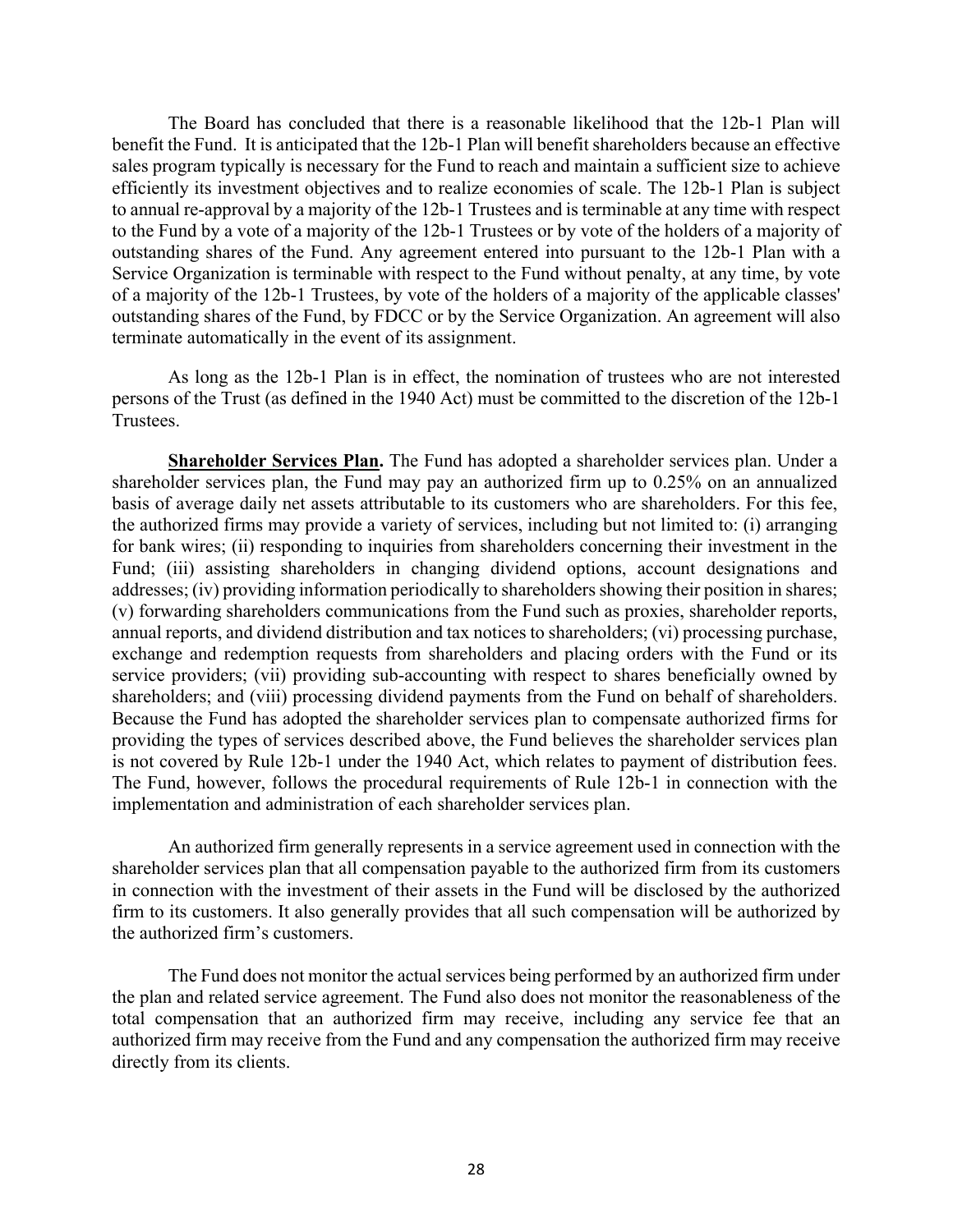The Board has concluded that there is a reasonable likelihood that the 12b-1 Plan will benefit the Fund. It is anticipated that the 12b-1 Plan will benefit shareholders because an effective sales program typically is necessary for the Fund to reach and maintain a sufficient size to achieve efficiently its investment objectives and to realize economies of scale. The 12b-1 Plan is subject to annual re-approval by a majority of the 12b-1 Trustees and is terminable at any time with respect to the Fund by a vote of a majority of the 12b-1 Trustees or by vote of the holders of a majority of outstanding shares of the Fund. Any agreement entered into pursuant to the 12b-1 Plan with a Service Organization is terminable with respect to the Fund without penalty, at any time, by vote of a majority of the 12b-1 Trustees, by vote of the holders of a majority of the applicable classes' outstanding shares of the Fund, by FDCC or by the Service Organization. An agreement will also terminate automatically in the event of its assignment.

As long as the 12b-1 Plan is in effect, the nomination of trustees who are not interested persons of the Trust (as defined in the 1940 Act) must be committed to the discretion of the 12b-1 Trustees.

**Shareholder Services Plan.** The Fund has adopted a shareholder services plan. Under a shareholder services plan, the Fund may pay an authorized firm up to 0.25% on an annualized basis of average daily net assets attributable to its customers who are shareholders. For this fee, the authorized firms may provide a variety of services, including but not limited to: (i) arranging for bank wires; (ii) responding to inquiries from shareholders concerning their investment in the Fund; (iii) assisting shareholders in changing dividend options, account designations and addresses; (iv) providing information periodically to shareholders showing their position in shares; (v) forwarding shareholders communications from the Fund such as proxies, shareholder reports, annual reports, and dividend distribution and tax notices to shareholders; (vi) processing purchase, exchange and redemption requests from shareholders and placing orders with the Fund or its service providers; (vii) providing sub-accounting with respect to shares beneficially owned by shareholders; and (viii) processing dividend payments from the Fund on behalf of shareholders. Because the Fund has adopted the shareholder services plan to compensate authorized firms for providing the types of services described above, the Fund believes the shareholder services plan is not covered by Rule 12b-1 under the 1940 Act, which relates to payment of distribution fees. The Fund, however, follows the procedural requirements of Rule 12b-1 in connection with the implementation and administration of each shareholder services plan.

An authorized firm generally represents in a service agreement used in connection with the shareholder services plan that all compensation payable to the authorized firm from its customers in connection with the investment of their assets in the Fund will be disclosed by the authorized firm to its customers. It also generally provides that all such compensation will be authorized by the authorized firm's customers.

The Fund does not monitor the actual services being performed by an authorized firm under the plan and related service agreement. The Fund also does not monitor the reasonableness of the total compensation that an authorized firm may receive, including any service fee that an authorized firm may receive from the Fund and any compensation the authorized firm may receive directly from its clients.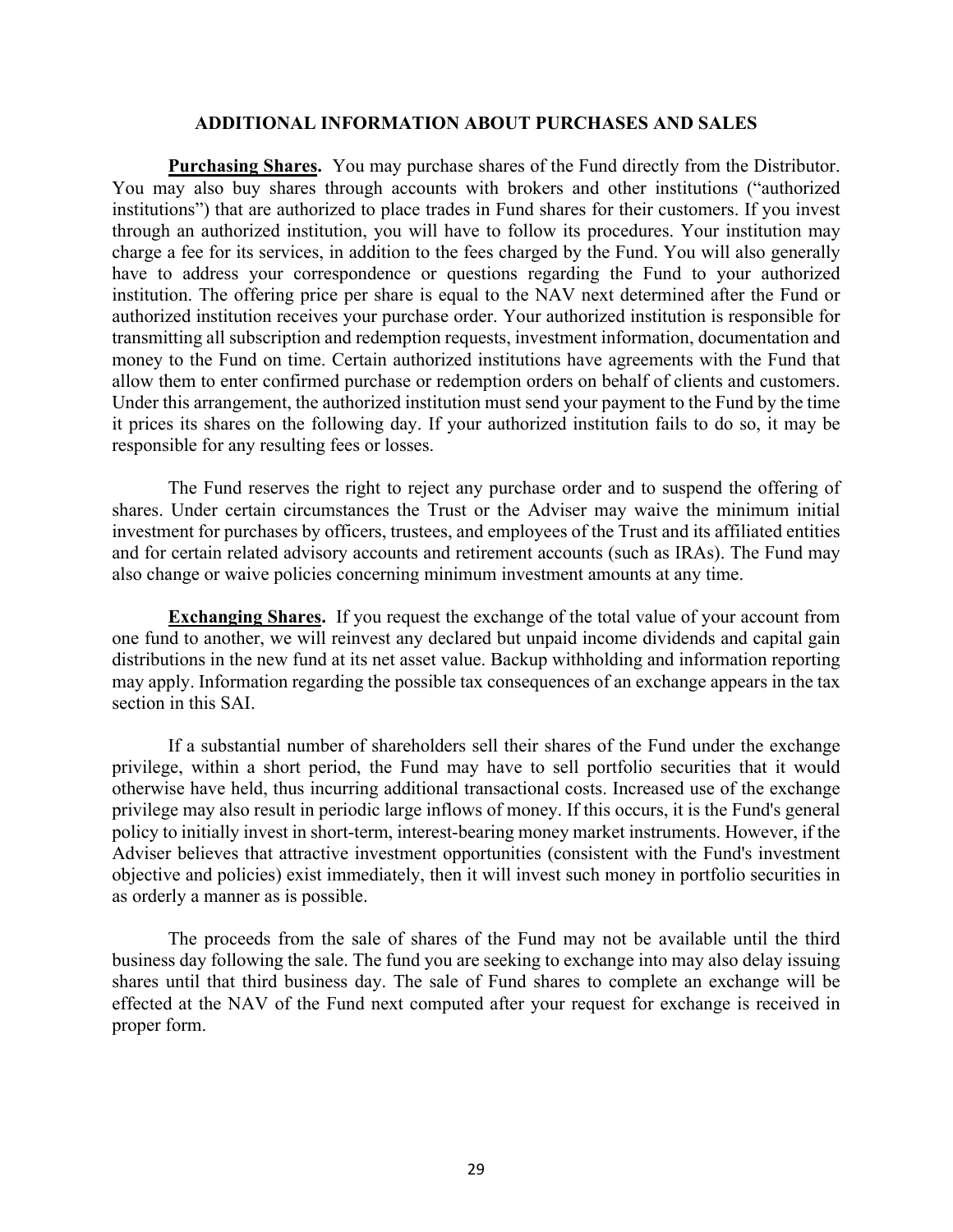#### **ADDITIONAL INFORMATION ABOUT PURCHASES AND SALES**

<span id="page-30-0"></span>**Purchasing Shares.** You may purchase shares of the Fund directly from the Distributor. You may also buy shares through accounts with brokers and other institutions ("authorized institutions") that are authorized to place trades in Fund shares for their customers. If you invest through an authorized institution, you will have to follow its procedures. Your institution may charge a fee for its services, in addition to the fees charged by the Fund. You will also generally have to address your correspondence or questions regarding the Fund to your authorized institution. The offering price per share is equal to the NAV next determined after the Fund or authorized institution receives your purchase order. Your authorized institution is responsible for transmitting all subscription and redemption requests, investment information, documentation and money to the Fund on time. Certain authorized institutions have agreements with the Fund that allow them to enter confirmed purchase or redemption orders on behalf of clients and customers. Under this arrangement, the authorized institution must send your payment to the Fund by the time it prices its shares on the following day. If your authorized institution fails to do so, it may be responsible for any resulting fees or losses.

The Fund reserves the right to reject any purchase order and to suspend the offering of shares. Under certain circumstances the Trust or the Adviser may waive the minimum initial investment for purchases by officers, trustees, and employees of the Trust and its affiliated entities and for certain related advisory accounts and retirement accounts (such as IRAs). The Fund may also change or waive policies concerning minimum investment amounts at any time.

**Exchanging Shares.** If you request the exchange of the total value of your account from one fund to another, we will reinvest any declared but unpaid income dividends and capital gain distributions in the new fund at its net asset value. Backup withholding and information reporting may apply. Information regarding the possible tax consequences of an exchange appears in the tax section in this SAI.

If a substantial number of shareholders sell their shares of the Fund under the exchange privilege, within a short period, the Fund may have to sell portfolio securities that it would otherwise have held, thus incurring additional transactional costs. Increased use of the exchange privilege may also result in periodic large inflows of money. If this occurs, it is the Fund's general policy to initially invest in short-term, interest-bearing money market instruments. However, if the Adviser believes that attractive investment opportunities (consistent with the Fund's investment objective and policies) exist immediately, then it will invest such money in portfolio securities in as orderly a manner as is possible.

The proceeds from the sale of shares of the Fund may not be available until the third business day following the sale. The fund you are seeking to exchange into may also delay issuing shares until that third business day. The sale of Fund shares to complete an exchange will be effected at the NAV of the Fund next computed after your request for exchange is received in proper form.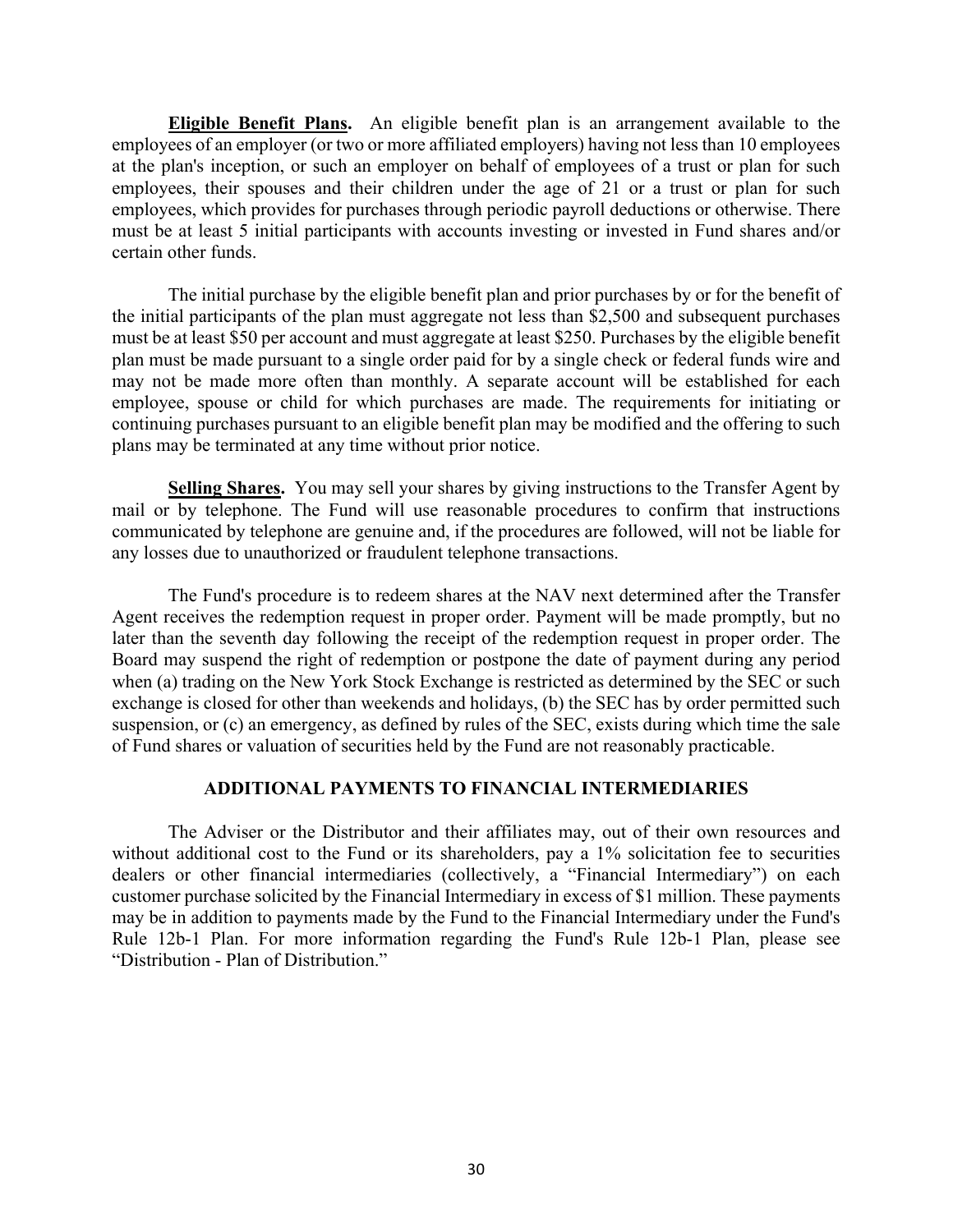**Eligible Benefit Plans.** An eligible benefit plan is an arrangement available to the employees of an employer (or two or more affiliated employers) having not less than 10 employees at the plan's inception, or such an employer on behalf of employees of a trust or plan for such employees, their spouses and their children under the age of 21 or a trust or plan for such employees, which provides for purchases through periodic payroll deductions or otherwise. There must be at least 5 initial participants with accounts investing or invested in Fund shares and/or certain other funds.

The initial purchase by the eligible benefit plan and prior purchases by or for the benefit of the initial participants of the plan must aggregate not less than \$2,500 and subsequent purchases must be at least \$50 per account and must aggregate at least \$250. Purchases by the eligible benefit plan must be made pursuant to a single order paid for by a single check or federal funds wire and may not be made more often than monthly. A separate account will be established for each employee, spouse or child for which purchases are made. The requirements for initiating or continuing purchases pursuant to an eligible benefit plan may be modified and the offering to such plans may be terminated at any time without prior notice.

**Selling Shares.** You may sell your shares by giving instructions to the Transfer Agent by mail or by telephone. The Fund will use reasonable procedures to confirm that instructions communicated by telephone are genuine and, if the procedures are followed, will not be liable for any losses due to unauthorized or fraudulent telephone transactions.

The Fund's procedure is to redeem shares at the NAV next determined after the Transfer Agent receives the redemption request in proper order. Payment will be made promptly, but no later than the seventh day following the receipt of the redemption request in proper order. The Board may suspend the right of redemption or postpone the date of payment during any period when (a) trading on the New York Stock Exchange is restricted as determined by the SEC or such exchange is closed for other than weekends and holidays, (b) the SEC has by order permitted such suspension, or (c) an emergency, as defined by rules of the SEC, exists during which time the sale of Fund shares or valuation of securities held by the Fund are not reasonably practicable.

### **ADDITIONAL PAYMENTS TO FINANCIAL INTERMEDIARIES**

<span id="page-31-0"></span>The Adviser or the Distributor and their affiliates may, out of their own resources and without additional cost to the Fund or its shareholders, pay a 1% solicitation fee to securities dealers or other financial intermediaries (collectively, a "Financial Intermediary") on each customer purchase solicited by the Financial Intermediary in excess of \$1 million. These payments may be in addition to payments made by the Fund to the Financial Intermediary under the Fund's Rule 12b-1 Plan. For more information regarding the Fund's Rule 12b-1 Plan, please see "Distribution - Plan of Distribution."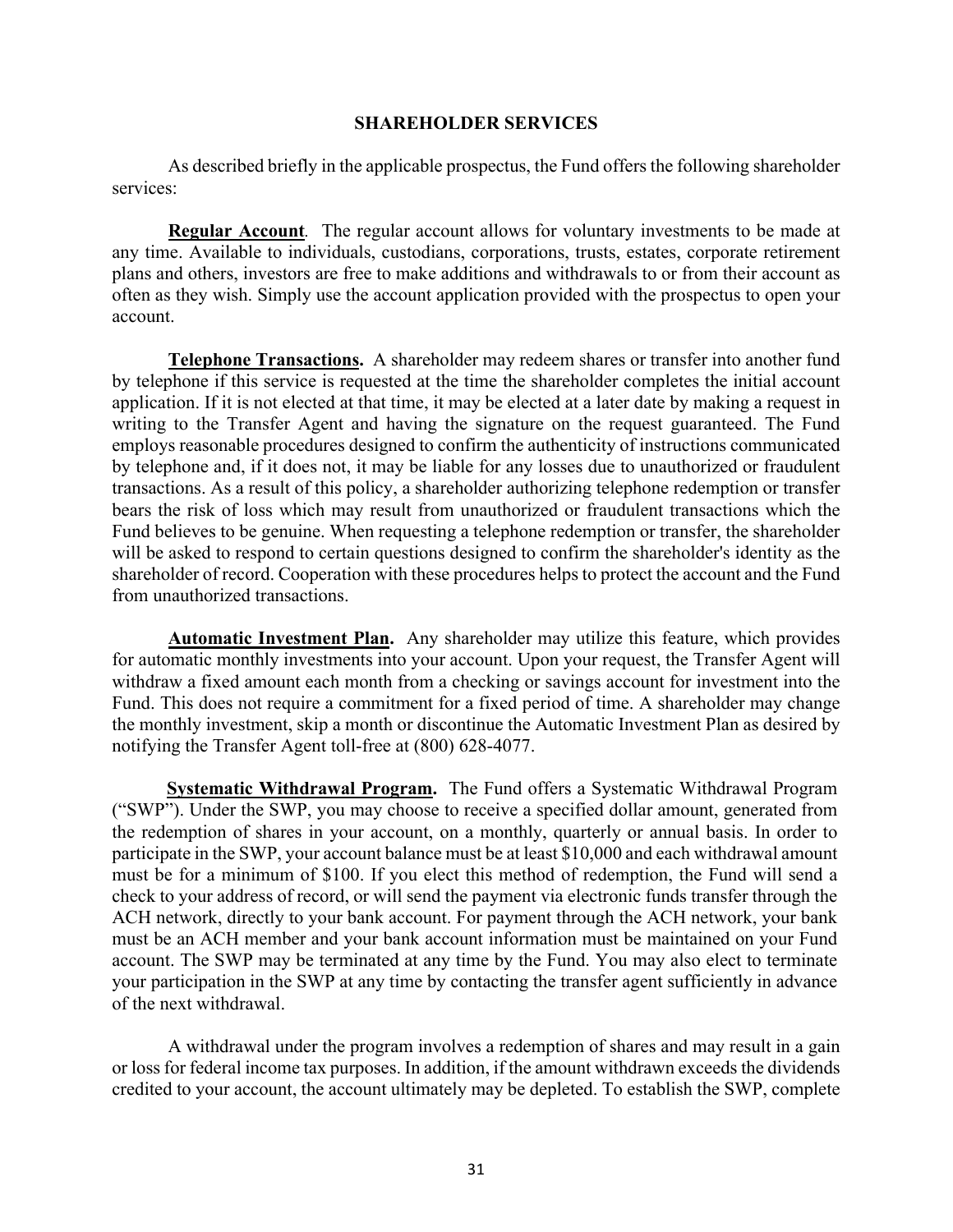### **SHAREHOLDER SERVICES**

<span id="page-32-0"></span>As described briefly in the applicable prospectus, the Fund offers the following shareholder services:

**Regular Account***.* The regular account allows for voluntary investments to be made at any time. Available to individuals, custodians, corporations, trusts, estates, corporate retirement plans and others, investors are free to make additions and withdrawals to or from their account as often as they wish. Simply use the account application provided with the prospectus to open your account.

**Telephone Transactions.** A shareholder may redeem shares or transfer into another fund by telephone if this service is requested at the time the shareholder completes the initial account application. If it is not elected at that time, it may be elected at a later date by making a request in writing to the Transfer Agent and having the signature on the request guaranteed. The Fund employs reasonable procedures designed to confirm the authenticity of instructions communicated by telephone and, if it does not, it may be liable for any losses due to unauthorized or fraudulent transactions. As a result of this policy, a shareholder authorizing telephone redemption or transfer bears the risk of loss which may result from unauthorized or fraudulent transactions which the Fund believes to be genuine. When requesting a telephone redemption or transfer, the shareholder will be asked to respond to certain questions designed to confirm the shareholder's identity as the shareholder of record. Cooperation with these procedures helps to protect the account and the Fund from unauthorized transactions.

**Automatic Investment Plan.** Any shareholder may utilize this feature, which provides for automatic monthly investments into your account. Upon your request, the Transfer Agent will withdraw a fixed amount each month from a checking or savings account for investment into the Fund. This does not require a commitment for a fixed period of time. A shareholder may change the monthly investment, skip a month or discontinue the Automatic Investment Plan as desired by notifying the Transfer Agent toll-free at (800) 628-4077.

**Systematic Withdrawal Program.** The Fund offers a Systematic Withdrawal Program ("SWP"). Under the SWP, you may choose to receive a specified dollar amount, generated from the redemption of shares in your account, on a monthly, quarterly or annual basis. In order to participate in the SWP, your account balance must be at least \$10,000 and each withdrawal amount must be for a minimum of \$100. If you elect this method of redemption, the Fund will send a check to your address of record, or will send the payment via electronic funds transfer through the ACH network, directly to your bank account. For payment through the ACH network, your bank must be an ACH member and your bank account information must be maintained on your Fund account. The SWP may be terminated at any time by the Fund. You may also elect to terminate your participation in the SWP at any time by contacting the transfer agent sufficiently in advance of the next withdrawal.

A withdrawal under the program involves a redemption of shares and may result in a gain or loss for federal income tax purposes. In addition, if the amount withdrawn exceeds the dividends credited to your account, the account ultimately may be depleted. To establish the SWP, complete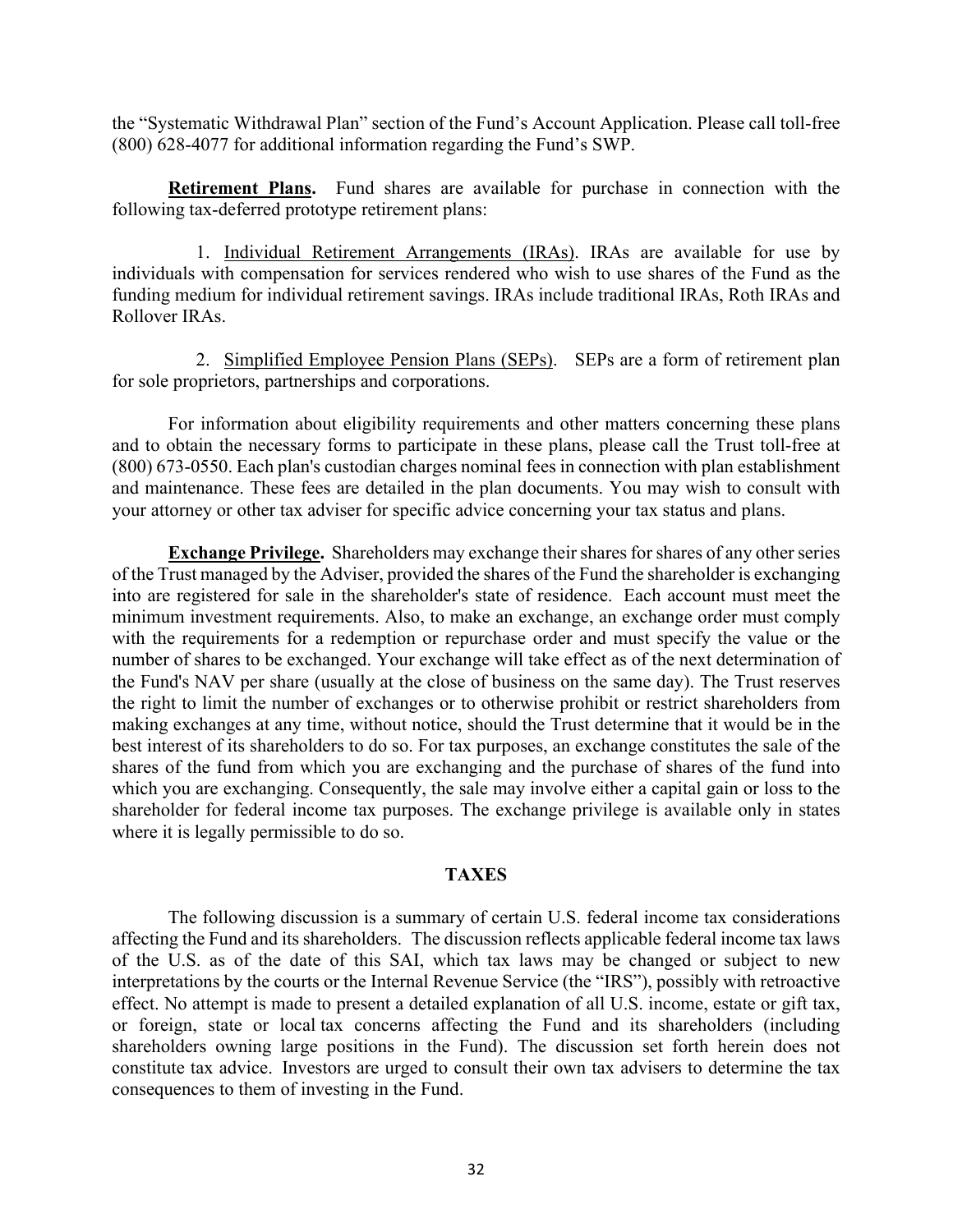the "Systematic Withdrawal Plan" section of the Fund's Account Application. Please call toll-free (800) 628-4077 for additional information regarding the Fund's SWP.

**Retirement Plans.** Fund shares are available for purchase in connection with the following tax-deferred prototype retirement plans:

1. Individual Retirement Arrangements (IRAs). IRAs are available for use by individuals with compensation for services rendered who wish to use shares of the Fund as the funding medium for individual retirement savings. IRAs include traditional IRAs, Roth IRAs and Rollover IRAs.

2. Simplified Employee Pension Plans (SEPs). SEPs are a form of retirement plan for sole proprietors, partnerships and corporations.

For information about eligibility requirements and other matters concerning these plans and to obtain the necessary forms to participate in these plans, please call the Trust toll-free at (800) 673-0550. Each plan's custodian charges nominal fees in connection with plan establishment and maintenance. These fees are detailed in the plan documents. You may wish to consult with your attorney or other tax adviser for specific advice concerning your tax status and plans.

**Exchange Privilege.** Shareholders may exchange their shares for shares of any other series of the Trust managed by the Adviser, provided the shares of the Fund the shareholder is exchanging into are registered for sale in the shareholder's state of residence. Each account must meet the minimum investment requirements. Also, to make an exchange, an exchange order must comply with the requirements for a redemption or repurchase order and must specify the value or the number of shares to be exchanged. Your exchange will take effect as of the next determination of the Fund's NAV per share (usually at the close of business on the same day). The Trust reserves the right to limit the number of exchanges or to otherwise prohibit or restrict shareholders from making exchanges at any time, without notice, should the Trust determine that it would be in the best interest of its shareholders to do so. For tax purposes, an exchange constitutes the sale of the shares of the fund from which you are exchanging and the purchase of shares of the fund into which you are exchanging. Consequently, the sale may involve either a capital gain or loss to the shareholder for federal income tax purposes. The exchange privilege is available only in states where it is legally permissible to do so.

### **TAXES**

<span id="page-33-0"></span>The following discussion is a summary of certain U.S. federal income tax considerations affecting the Fund and its shareholders. The discussion reflects applicable federal income tax laws of the U.S. as of the date of this SAI, which tax laws may be changed or subject to new interpretations by the courts or the Internal Revenue Service (the "IRS"), possibly with retroactive effect. No attempt is made to present a detailed explanation of all U.S. income, estate or gift tax, or foreign, state or local tax concerns affecting the Fund and its shareholders (including shareholders owning large positions in the Fund). The discussion set forth herein does not constitute tax advice. Investors are urged to consult their own tax advisers to determine the tax consequences to them of investing in the Fund.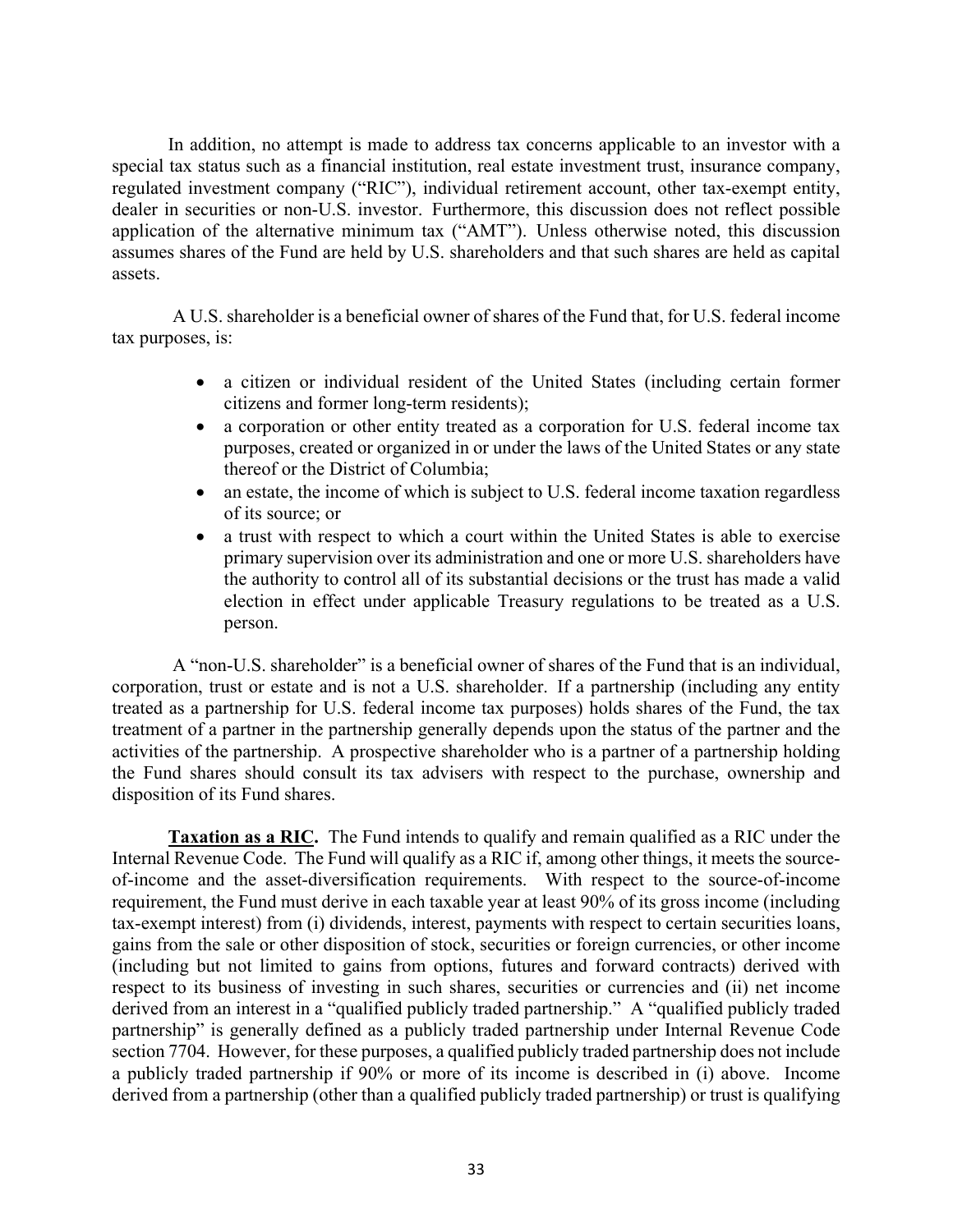In addition, no attempt is made to address tax concerns applicable to an investor with a special tax status such as a financial institution, real estate investment trust, insurance company, regulated investment company ("RIC"), individual retirement account, other tax-exempt entity, dealer in securities or non-U.S. investor. Furthermore, this discussion does not reflect possible application of the alternative minimum tax ("AMT"). Unless otherwise noted, this discussion assumes shares of the Fund are held by U.S. shareholders and that such shares are held as capital assets.

A U.S. shareholder is a beneficial owner of shares of the Fund that, for U.S. federal income tax purposes, is:

- a citizen or individual resident of the United States (including certain former citizens and former long-term residents);
- a corporation or other entity treated as a corporation for U.S. federal income tax purposes, created or organized in or under the laws of the United States or any state thereof or the District of Columbia;
- an estate, the income of which is subject to U.S. federal income taxation regardless of its source; or
- a trust with respect to which a court within the United States is able to exercise primary supervision over its administration and one or more U.S. shareholders have the authority to control all of its substantial decisions or the trust has made a valid election in effect under applicable Treasury regulations to be treated as a U.S. person.

A "non-U.S. shareholder" is a beneficial owner of shares of the Fund that is an individual, corporation, trust or estate and is not a U.S. shareholder. If a partnership (including any entity treated as a partnership for U.S. federal income tax purposes) holds shares of the Fund, the tax treatment of a partner in the partnership generally depends upon the status of the partner and the activities of the partnership. A prospective shareholder who is a partner of a partnership holding the Fund shares should consult its tax advisers with respect to the purchase, ownership and disposition of its Fund shares.

**Taxation as a RIC.** The Fund intends to qualify and remain qualified as a RIC under the Internal Revenue Code. The Fund will qualify as a RIC if, among other things, it meets the sourceof-income and the asset-diversification requirements. With respect to the source-of-income requirement, the Fund must derive in each taxable year at least 90% of its gross income (including tax-exempt interest) from (i) dividends, interest, payments with respect to certain securities loans, gains from the sale or other disposition of stock, securities or foreign currencies, or other income (including but not limited to gains from options, futures and forward contracts) derived with respect to its business of investing in such shares, securities or currencies and (ii) net income derived from an interest in a "qualified publicly traded partnership." A "qualified publicly traded partnership" is generally defined as a publicly traded partnership under Internal Revenue Code section 7704. However, for these purposes, a qualified publicly traded partnership does not include a publicly traded partnership if 90% or more of its income is described in (i) above. Income derived from a partnership (other than a qualified publicly traded partnership) or trust is qualifying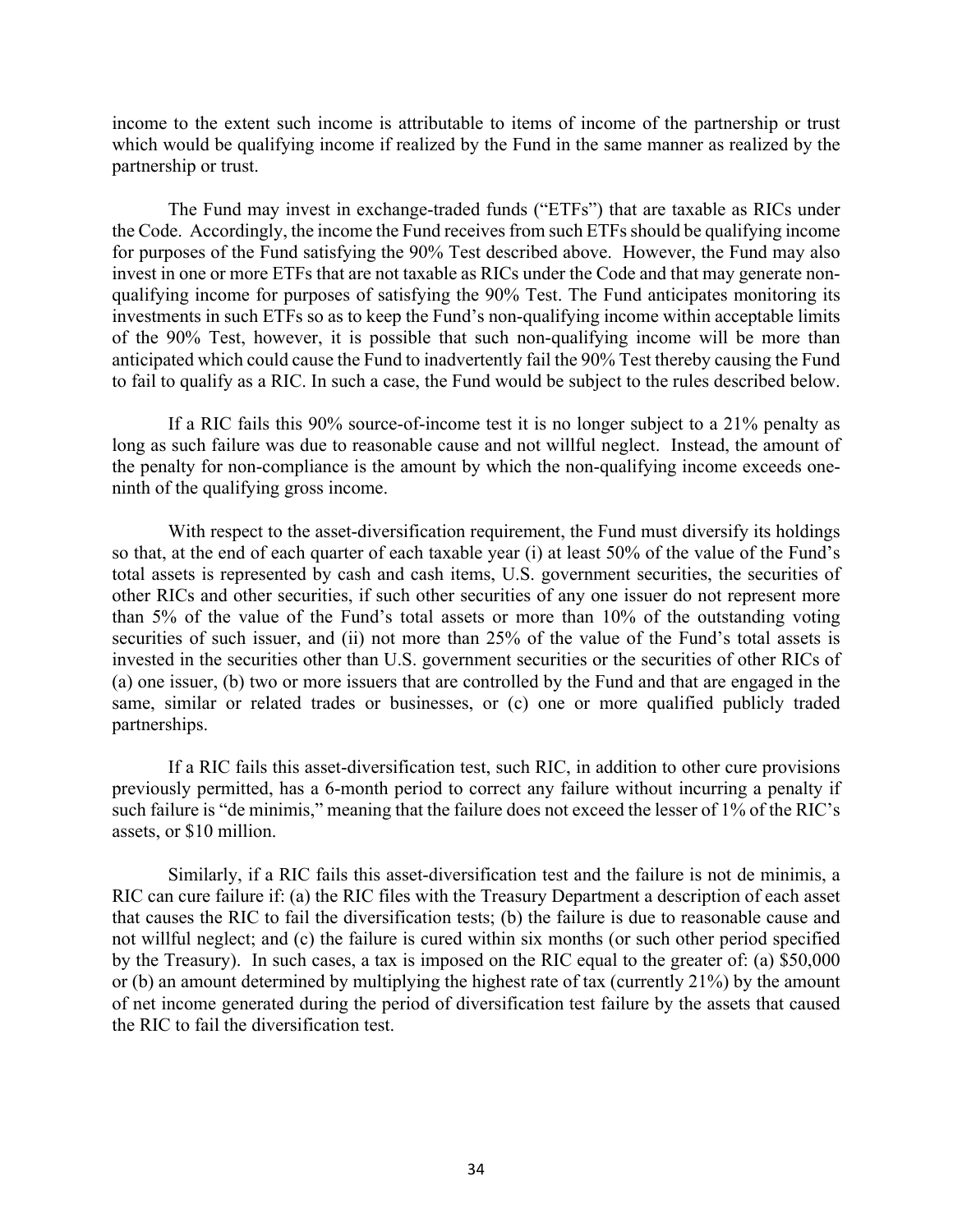income to the extent such income is attributable to items of income of the partnership or trust which would be qualifying income if realized by the Fund in the same manner as realized by the partnership or trust.

The Fund may invest in exchange-traded funds ("ETFs") that are taxable as RICs under the Code. Accordingly, the income the Fund receives from such ETFs should be qualifying income for purposes of the Fund satisfying the 90% Test described above. However, the Fund may also invest in one or more ETFs that are not taxable as RICs under the Code and that may generate nonqualifying income for purposes of satisfying the 90% Test. The Fund anticipates monitoring its investments in such ETFs so as to keep the Fund's non-qualifying income within acceptable limits of the 90% Test, however, it is possible that such non-qualifying income will be more than anticipated which could cause the Fund to inadvertently fail the 90% Test thereby causing the Fund to fail to qualify as a RIC. In such a case, the Fund would be subject to the rules described below.

If a RIC fails this 90% source-of-income test it is no longer subject to a 21% penalty as long as such failure was due to reasonable cause and not willful neglect. Instead, the amount of the penalty for non-compliance is the amount by which the non-qualifying income exceeds oneninth of the qualifying gross income.

With respect to the asset-diversification requirement, the Fund must diversify its holdings so that, at the end of each quarter of each taxable year (i) at least 50% of the value of the Fund's total assets is represented by cash and cash items, U.S. government securities, the securities of other RICs and other securities, if such other securities of any one issuer do not represent more than 5% of the value of the Fund's total assets or more than 10% of the outstanding voting securities of such issuer, and (ii) not more than 25% of the value of the Fund's total assets is invested in the securities other than U.S. government securities or the securities of other RICs of (a) one issuer, (b) two or more issuers that are controlled by the Fund and that are engaged in the same, similar or related trades or businesses, or (c) one or more qualified publicly traded partnerships.

If a RIC fails this asset-diversification test, such RIC, in addition to other cure provisions previously permitted, has a 6-month period to correct any failure without incurring a penalty if such failure is "de minimis," meaning that the failure does not exceed the lesser of 1% of the RIC's assets, or \$10 million.

Similarly, if a RIC fails this asset-diversification test and the failure is not de minimis, a RIC can cure failure if: (a) the RIC files with the Treasury Department a description of each asset that causes the RIC to fail the diversification tests; (b) the failure is due to reasonable cause and not willful neglect; and (c) the failure is cured within six months (or such other period specified by the Treasury). In such cases, a tax is imposed on the RIC equal to the greater of: (a) \$50,000 or (b) an amount determined by multiplying the highest rate of tax (currently 21%) by the amount of net income generated during the period of diversification test failure by the assets that caused the RIC to fail the diversification test.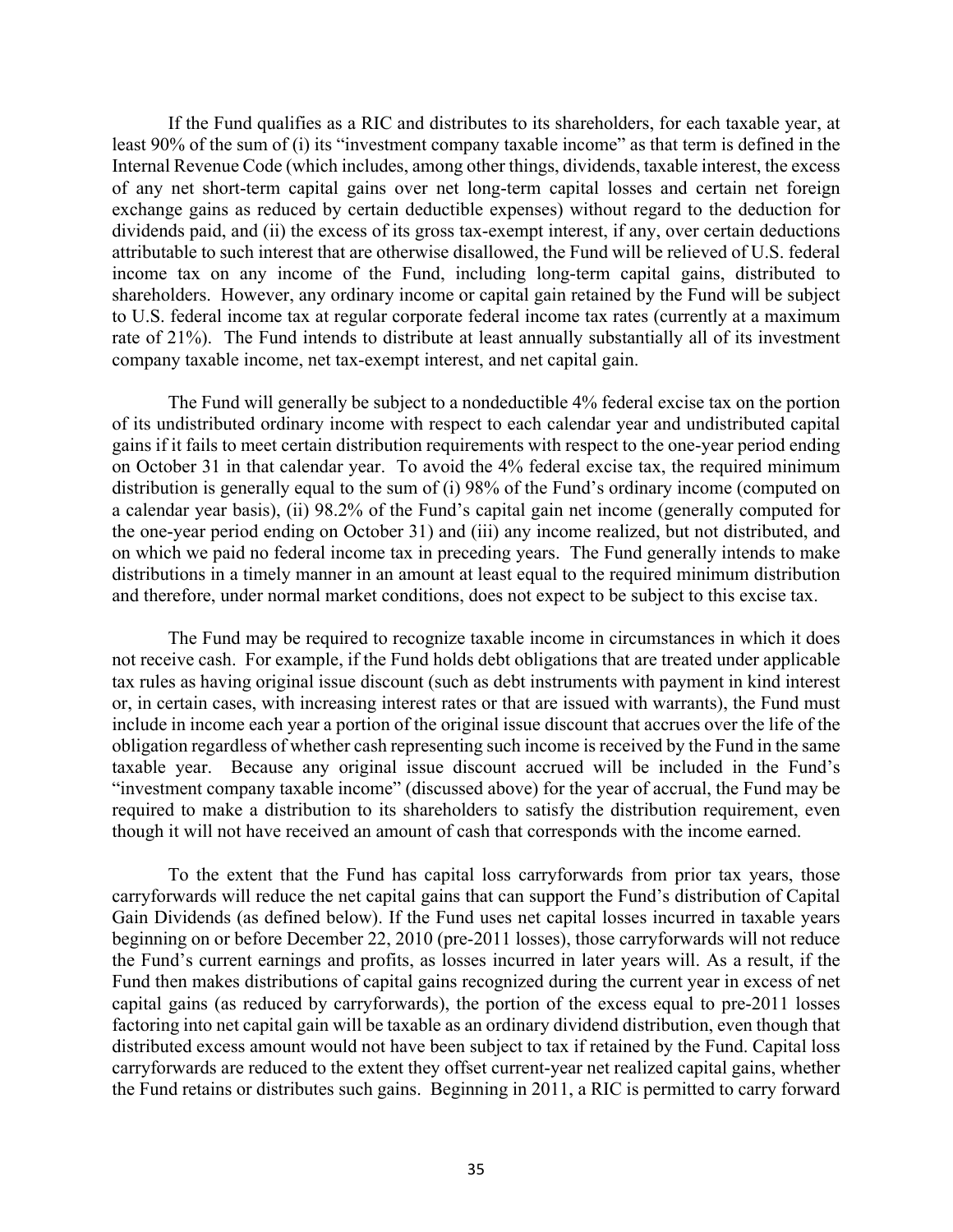If the Fund qualifies as a RIC and distributes to its shareholders, for each taxable year, at least 90% of the sum of (i) its "investment company taxable income" as that term is defined in the Internal Revenue Code (which includes, among other things, dividends, taxable interest, the excess of any net short-term capital gains over net long-term capital losses and certain net foreign exchange gains as reduced by certain deductible expenses) without regard to the deduction for dividends paid, and (ii) the excess of its gross tax-exempt interest, if any, over certain deductions attributable to such interest that are otherwise disallowed, the Fund will be relieved of U.S. federal income tax on any income of the Fund, including long-term capital gains, distributed to shareholders. However, any ordinary income or capital gain retained by the Fund will be subject to U.S. federal income tax at regular corporate federal income tax rates (currently at a maximum rate of 21%). The Fund intends to distribute at least annually substantially all of its investment company taxable income, net tax-exempt interest, and net capital gain.

The Fund will generally be subject to a nondeductible 4% federal excise tax on the portion of its undistributed ordinary income with respect to each calendar year and undistributed capital gains if it fails to meet certain distribution requirements with respect to the one-year period ending on October 31 in that calendar year. To avoid the 4% federal excise tax, the required minimum distribution is generally equal to the sum of (i) 98% of the Fund's ordinary income (computed on a calendar year basis), (ii) 98.2% of the Fund's capital gain net income (generally computed for the one-year period ending on October 31) and (iii) any income realized, but not distributed, and on which we paid no federal income tax in preceding years. The Fund generally intends to make distributions in a timely manner in an amount at least equal to the required minimum distribution and therefore, under normal market conditions, does not expect to be subject to this excise tax.

The Fund may be required to recognize taxable income in circumstances in which it does not receive cash. For example, if the Fund holds debt obligations that are treated under applicable tax rules as having original issue discount (such as debt instruments with payment in kind interest or, in certain cases, with increasing interest rates or that are issued with warrants), the Fund must include in income each year a portion of the original issue discount that accrues over the life of the obligation regardless of whether cash representing such income is received by the Fund in the same taxable year. Because any original issue discount accrued will be included in the Fund's "investment company taxable income" (discussed above) for the year of accrual, the Fund may be required to make a distribution to its shareholders to satisfy the distribution requirement, even though it will not have received an amount of cash that corresponds with the income earned.

To the extent that the Fund has capital loss carryforwards from prior tax years, those carryforwards will reduce the net capital gains that can support the Fund's distribution of Capital Gain Dividends (as defined below). If the Fund uses net capital losses incurred in taxable years beginning on or before December 22, 2010 (pre-2011 losses), those carryforwards will not reduce the Fund's current earnings and profits, as losses incurred in later years will. As a result, if the Fund then makes distributions of capital gains recognized during the current year in excess of net capital gains (as reduced by carryforwards), the portion of the excess equal to pre-2011 losses factoring into net capital gain will be taxable as an ordinary dividend distribution, even though that distributed excess amount would not have been subject to tax if retained by the Fund. Capital loss carryforwards are reduced to the extent they offset current-year net realized capital gains, whether the Fund retains or distributes such gains. Beginning in 2011, a RIC is permitted to carry forward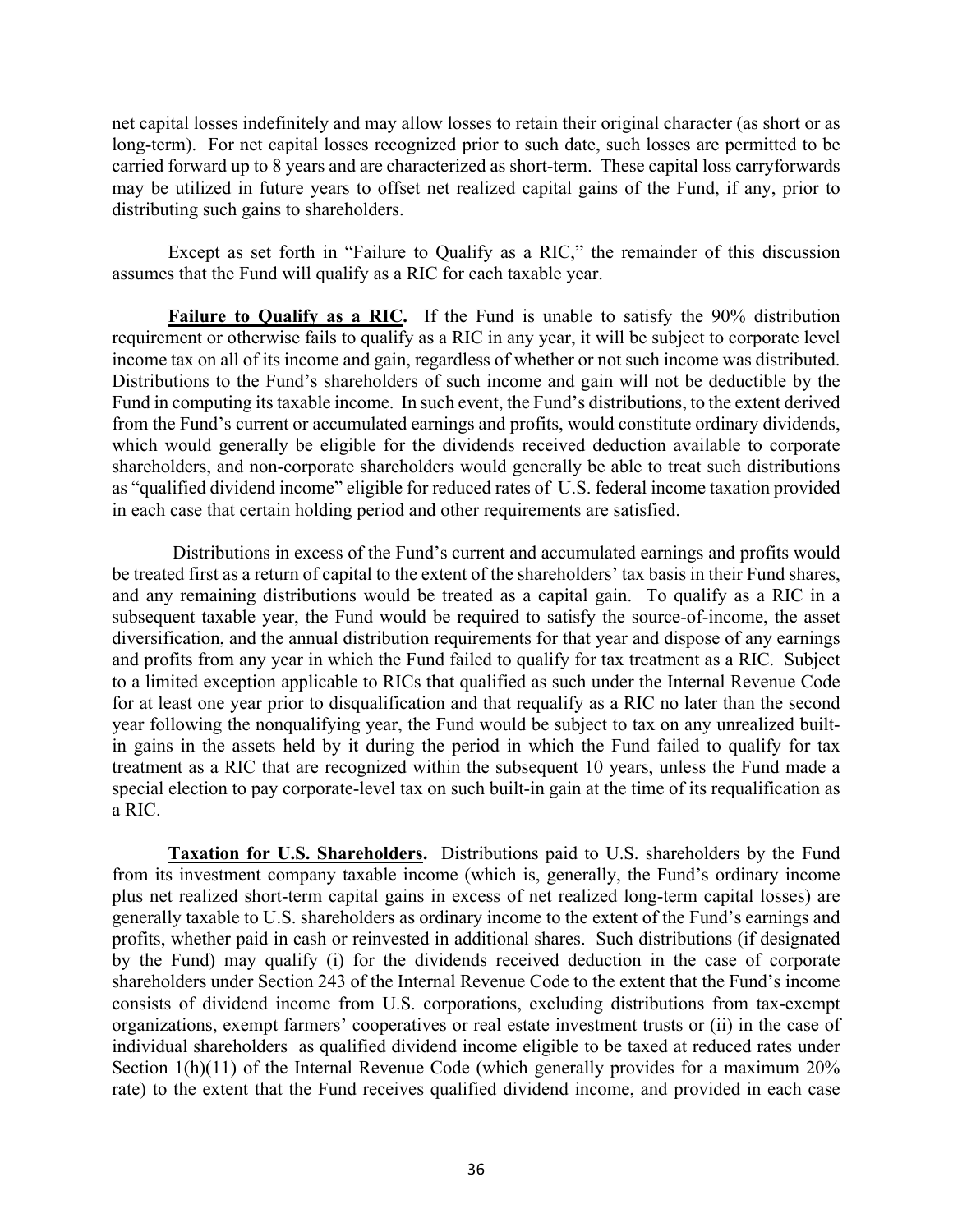net capital losses indefinitely and may allow losses to retain their original character (as short or as long-term). For net capital losses recognized prior to such date, such losses are permitted to be carried forward up to 8 years and are characterized as short-term. These capital loss carryforwards may be utilized in future years to offset net realized capital gains of the Fund, if any, prior to distributing such gains to shareholders.

Except as set forth in "Failure to Qualify as a RIC," the remainder of this discussion assumes that the Fund will qualify as a RIC for each taxable year.

**Failure to Qualify as a RIC.** If the Fund is unable to satisfy the 90% distribution requirement or otherwise fails to qualify as a RIC in any year, it will be subject to corporate level income tax on all of its income and gain, regardless of whether or not such income was distributed. Distributions to the Fund's shareholders of such income and gain will not be deductible by the Fund in computing its taxable income. In such event, the Fund's distributions, to the extent derived from the Fund's current or accumulated earnings and profits, would constitute ordinary dividends, which would generally be eligible for the dividends received deduction available to corporate shareholders, and non-corporate shareholders would generally be able to treat such distributions as "qualified dividend income" eligible for reduced rates of U.S. federal income taxation provided in each case that certain holding period and other requirements are satisfied.

Distributions in excess of the Fund's current and accumulated earnings and profits would be treated first as a return of capital to the extent of the shareholders' tax basis in their Fund shares, and any remaining distributions would be treated as a capital gain. To qualify as a RIC in a subsequent taxable year, the Fund would be required to satisfy the source-of-income, the asset diversification, and the annual distribution requirements for that year and dispose of any earnings and profits from any year in which the Fund failed to qualify for tax treatment as a RIC. Subject to a limited exception applicable to RICs that qualified as such under the Internal Revenue Code for at least one year prior to disqualification and that requalify as a RIC no later than the second year following the nonqualifying year, the Fund would be subject to tax on any unrealized builtin gains in the assets held by it during the period in which the Fund failed to qualify for tax treatment as a RIC that are recognized within the subsequent 10 years, unless the Fund made a special election to pay corporate-level tax on such built-in gain at the time of its requalification as a RIC.

**Taxation for U.S. Shareholders.** Distributions paid to U.S. shareholders by the Fund from its investment company taxable income (which is, generally, the Fund's ordinary income plus net realized short-term capital gains in excess of net realized long-term capital losses) are generally taxable to U.S. shareholders as ordinary income to the extent of the Fund's earnings and profits, whether paid in cash or reinvested in additional shares. Such distributions (if designated by the Fund) may qualify (i) for the dividends received deduction in the case of corporate shareholders under Section 243 of the Internal Revenue Code to the extent that the Fund's income consists of dividend income from U.S. corporations, excluding distributions from tax-exempt organizations, exempt farmers' cooperatives or real estate investment trusts or (ii) in the case of individual shareholders as qualified dividend income eligible to be taxed at reduced rates under Section 1(h)(11) of the Internal Revenue Code (which generally provides for a maximum 20% rate) to the extent that the Fund receives qualified dividend income, and provided in each case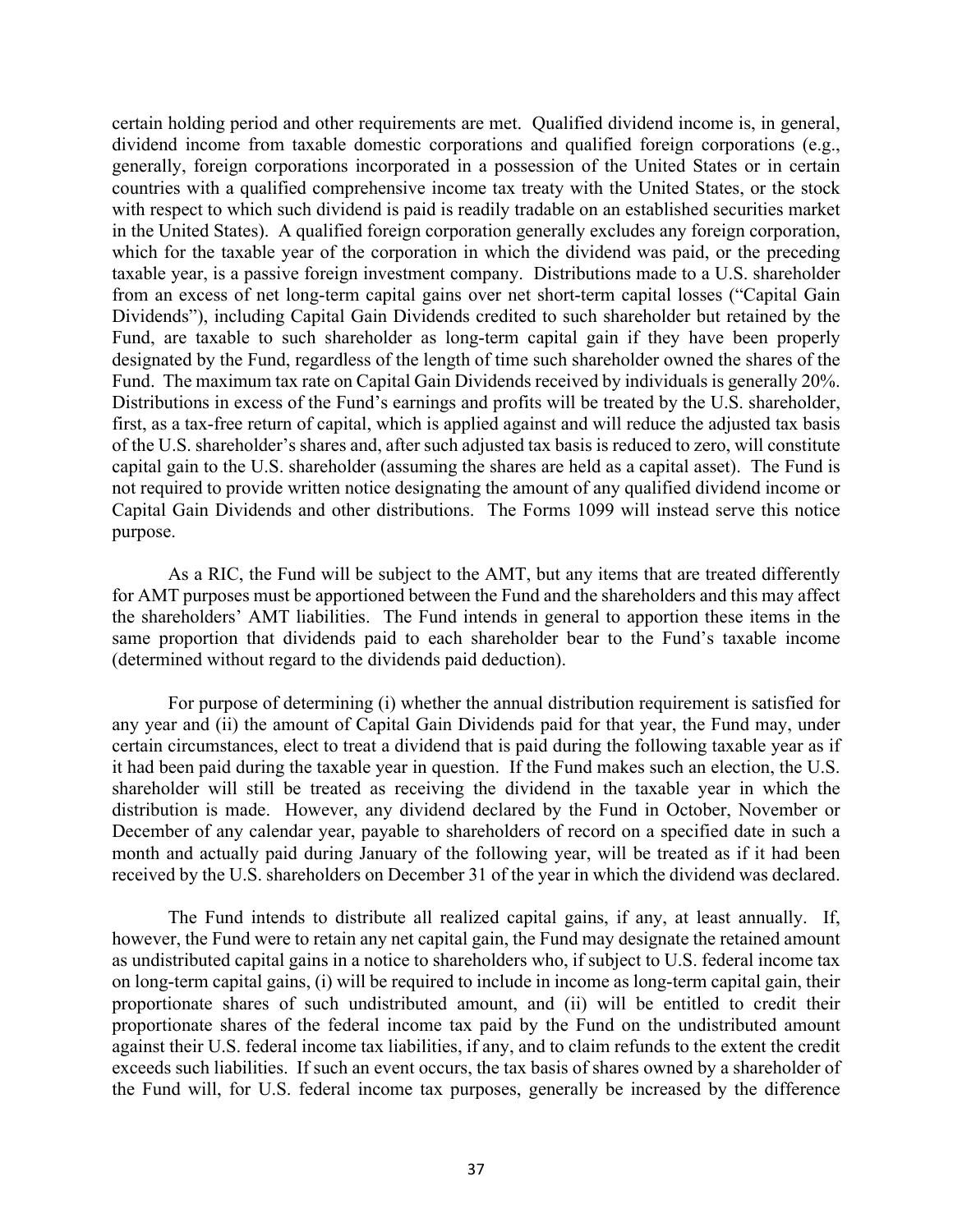certain holding period and other requirements are met. Qualified dividend income is, in general, dividend income from taxable domestic corporations and qualified foreign corporations (e.g., generally, foreign corporations incorporated in a possession of the United States or in certain countries with a qualified comprehensive income tax treaty with the United States, or the stock with respect to which such dividend is paid is readily tradable on an established securities market in the United States). A qualified foreign corporation generally excludes any foreign corporation, which for the taxable year of the corporation in which the dividend was paid, or the preceding taxable year, is a passive foreign investment company. Distributions made to a U.S. shareholder from an excess of net long-term capital gains over net short-term capital losses ("Capital Gain Dividends"), including Capital Gain Dividends credited to such shareholder but retained by the Fund, are taxable to such shareholder as long-term capital gain if they have been properly designated by the Fund, regardless of the length of time such shareholder owned the shares of the Fund. The maximum tax rate on Capital Gain Dividends received by individuals is generally 20%. Distributions in excess of the Fund's earnings and profits will be treated by the U.S. shareholder, first, as a tax-free return of capital, which is applied against and will reduce the adjusted tax basis of the U.S. shareholder's shares and, after such adjusted tax basis is reduced to zero, will constitute capital gain to the U.S. shareholder (assuming the shares are held as a capital asset). The Fund is not required to provide written notice designating the amount of any qualified dividend income or Capital Gain Dividends and other distributions. The Forms 1099 will instead serve this notice purpose.

As a RIC, the Fund will be subject to the AMT, but any items that are treated differently for AMT purposes must be apportioned between the Fund and the shareholders and this may affect the shareholders' AMT liabilities. The Fund intends in general to apportion these items in the same proportion that dividends paid to each shareholder bear to the Fund's taxable income (determined without regard to the dividends paid deduction).

For purpose of determining (i) whether the annual distribution requirement is satisfied for any year and (ii) the amount of Capital Gain Dividends paid for that year, the Fund may, under certain circumstances, elect to treat a dividend that is paid during the following taxable year as if it had been paid during the taxable year in question. If the Fund makes such an election, the U.S. shareholder will still be treated as receiving the dividend in the taxable year in which the distribution is made. However, any dividend declared by the Fund in October, November or December of any calendar year, payable to shareholders of record on a specified date in such a month and actually paid during January of the following year, will be treated as if it had been received by the U.S. shareholders on December 31 of the year in which the dividend was declared.

The Fund intends to distribute all realized capital gains, if any, at least annually. If, however, the Fund were to retain any net capital gain, the Fund may designate the retained amount as undistributed capital gains in a notice to shareholders who, if subject to U.S. federal income tax on long-term capital gains, (i) will be required to include in income as long-term capital gain, their proportionate shares of such undistributed amount, and (ii) will be entitled to credit their proportionate shares of the federal income tax paid by the Fund on the undistributed amount against their U.S. federal income tax liabilities, if any, and to claim refunds to the extent the credit exceeds such liabilities. If such an event occurs, the tax basis of shares owned by a shareholder of the Fund will, for U.S. federal income tax purposes, generally be increased by the difference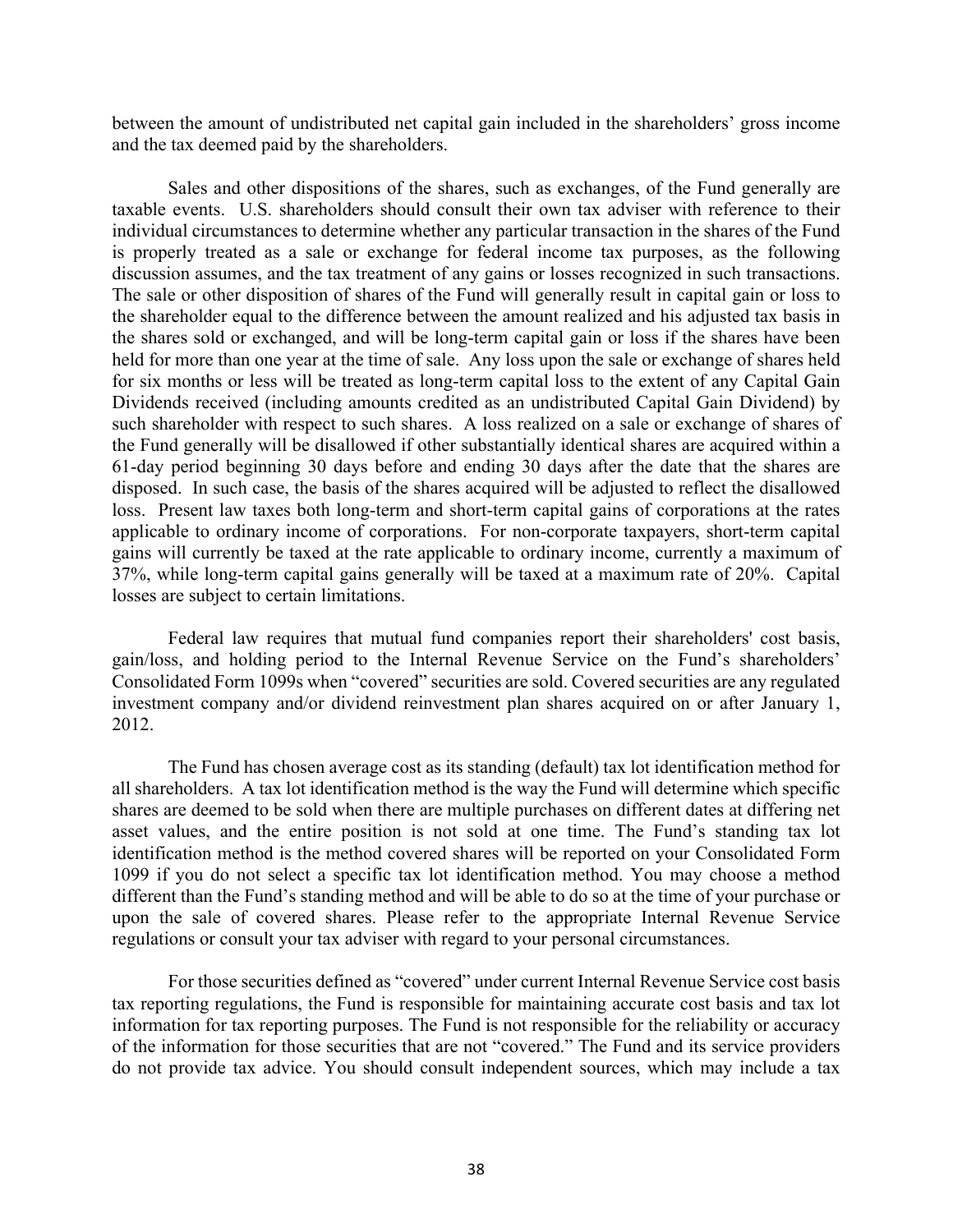between the amount of undistributed net capital gain included in the shareholders' gross income and the tax deemed paid by the shareholders.

Sales and other dispositions of the shares, such as exchanges, of the Fund generally are taxable events. U.S. shareholders should consult their own tax adviser with reference to their individual circumstances to determine whether any particular transaction in the shares of the Fund is properly treated as a sale or exchange for federal income tax purposes, as the following discussion assumes, and the tax treatment of any gains or losses recognized in such transactions. The sale or other disposition of shares of the Fund will generally result in capital gain or loss to the shareholder equal to the difference between the amount realized and his adjusted tax basis in the shares sold or exchanged, and will be long-term capital gain or loss if the shares have been held for more than one year at the time of sale. Any loss upon the sale or exchange of shares held for six months or less will be treated as long-term capital loss to the extent of any Capital Gain Dividends received (including amounts credited as an undistributed Capital Gain Dividend) by such shareholder with respect to such shares. A loss realized on a sale or exchange of shares of the Fund generally will be disallowed if other substantially identical shares are acquired within a 61-day period beginning 30 days before and ending 30 days after the date that the shares are disposed. In such case, the basis of the shares acquired will be adjusted to reflect the disallowed loss. Present law taxes both long-term and short-term capital gains of corporations at the rates applicable to ordinary income of corporations. For non-corporate taxpayers, short-term capital gains will currently be taxed at the rate applicable to ordinary income, currently a maximum of 37%, while long-term capital gains generally will be taxed at a maximum rate of 20%. Capital losses are subject to certain limitations.

Federal law requires that mutual fund companies report their shareholders' cost basis, gain/loss, and holding period to the Internal Revenue Service on the Fund's shareholders' Consolidated Form 1099s when "covered" securities are sold. Covered securities are any regulated investment company and/or dividend reinvestment plan shares acquired on or after January 1, 2012.

The Fund has chosen average cost as its standing (default) tax lot identification method for all shareholders. A tax lot identification method is the way the Fund will determine which specific shares are deemed to be sold when there are multiple purchases on different dates at differing net asset values, and the entire position is not sold at one time. The Fund's standing tax lot identification method is the method covered shares will be reported on your Consolidated Form 1099 if you do not select a specific tax lot identification method. You may choose a method different than the Fund's standing method and will be able to do so at the time of your purchase or upon the sale of covered shares. Please refer to the appropriate Internal Revenue Service regulations or consult your tax adviser with regard to your personal circumstances.

For those securities defined as "covered" under current Internal Revenue Service cost basis tax reporting regulations, the Fund is responsible for maintaining accurate cost basis and tax lot information for tax reporting purposes. The Fund is not responsible for the reliability or accuracy of the information for those securities that are not "covered." The Fund and its service providers do not provide tax advice. You should consult independent sources, which may include a tax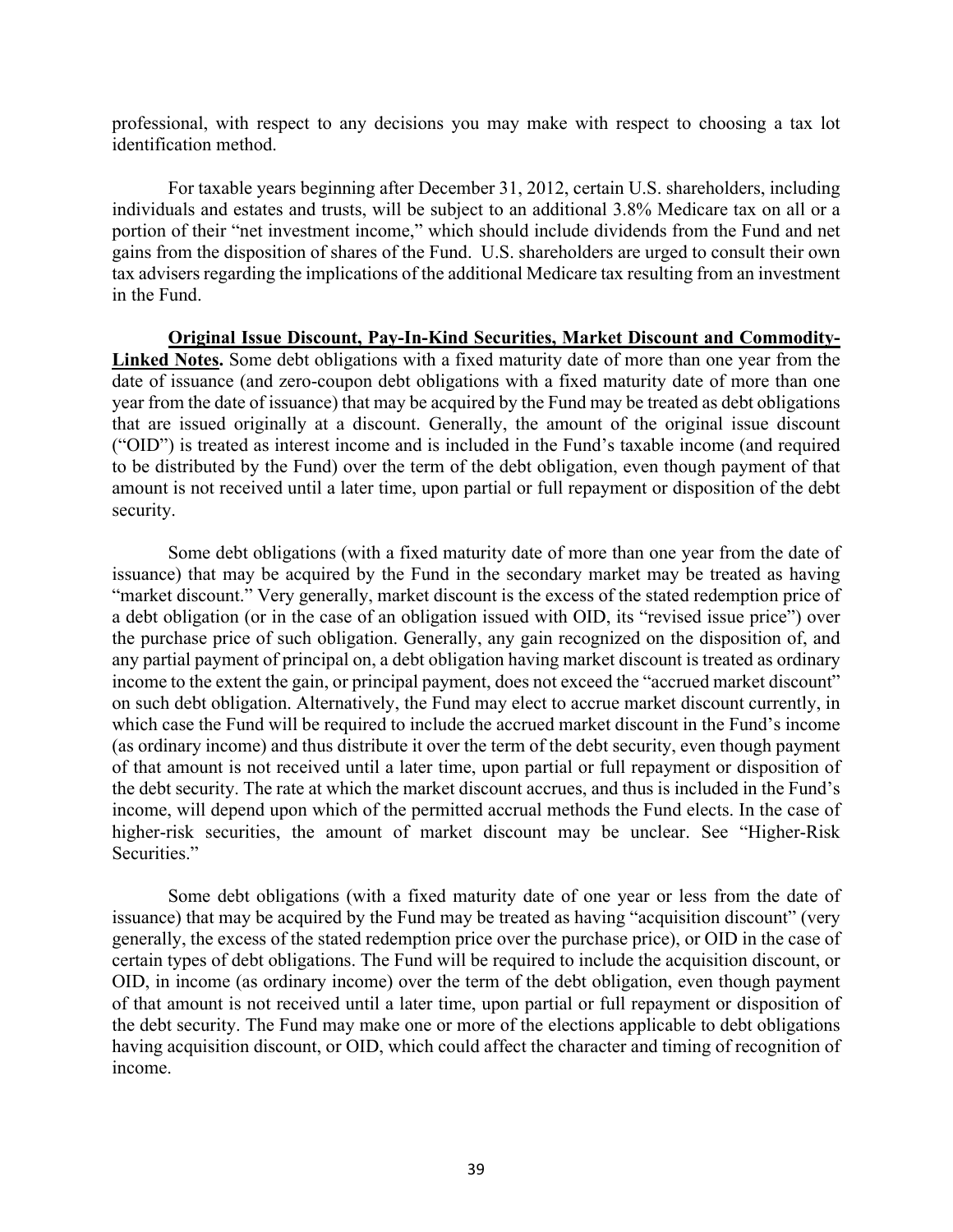professional, with respect to any decisions you may make with respect to choosing a tax lot identification method.

For taxable years beginning after December 31, 2012, certain U.S. shareholders, including individuals and estates and trusts, will be subject to an additional 3.8% Medicare tax on all or a portion of their "net investment income," which should include dividends from the Fund and net gains from the disposition of shares of the Fund. U.S. shareholders are urged to consult their own tax advisers regarding the implications of the additional Medicare tax resulting from an investment in the Fund.

**Original Issue Discount, Pay-In-Kind Securities, Market Discount and Commodity-Linked Notes.** Some debt obligations with a fixed maturity date of more than one year from the date of issuance (and zero-coupon debt obligations with a fixed maturity date of more than one year from the date of issuance) that may be acquired by the Fund may be treated as debt obligations that are issued originally at a discount. Generally, the amount of the original issue discount ("OID") is treated as interest income and is included in the Fund's taxable income (and required to be distributed by the Fund) over the term of the debt obligation, even though payment of that amount is not received until a later time, upon partial or full repayment or disposition of the debt security.

Some debt obligations (with a fixed maturity date of more than one year from the date of issuance) that may be acquired by the Fund in the secondary market may be treated as having "market discount." Very generally, market discount is the excess of the stated redemption price of a debt obligation (or in the case of an obligation issued with OID, its "revised issue price") over the purchase price of such obligation. Generally, any gain recognized on the disposition of, and any partial payment of principal on, a debt obligation having market discount is treated as ordinary income to the extent the gain, or principal payment, does not exceed the "accrued market discount" on such debt obligation. Alternatively, the Fund may elect to accrue market discount currently, in which case the Fund will be required to include the accrued market discount in the Fund's income (as ordinary income) and thus distribute it over the term of the debt security, even though payment of that amount is not received until a later time, upon partial or full repayment or disposition of the debt security. The rate at which the market discount accrues, and thus is included in the Fund's income, will depend upon which of the permitted accrual methods the Fund elects. In the case of higher-risk securities, the amount of market discount may be unclear. See "Higher-Risk Securities."

Some debt obligations (with a fixed maturity date of one year or less from the date of issuance) that may be acquired by the Fund may be treated as having "acquisition discount" (very generally, the excess of the stated redemption price over the purchase price), or OID in the case of certain types of debt obligations. The Fund will be required to include the acquisition discount, or OID, in income (as ordinary income) over the term of the debt obligation, even though payment of that amount is not received until a later time, upon partial or full repayment or disposition of the debt security. The Fund may make one or more of the elections applicable to debt obligations having acquisition discount, or OID, which could affect the character and timing of recognition of income.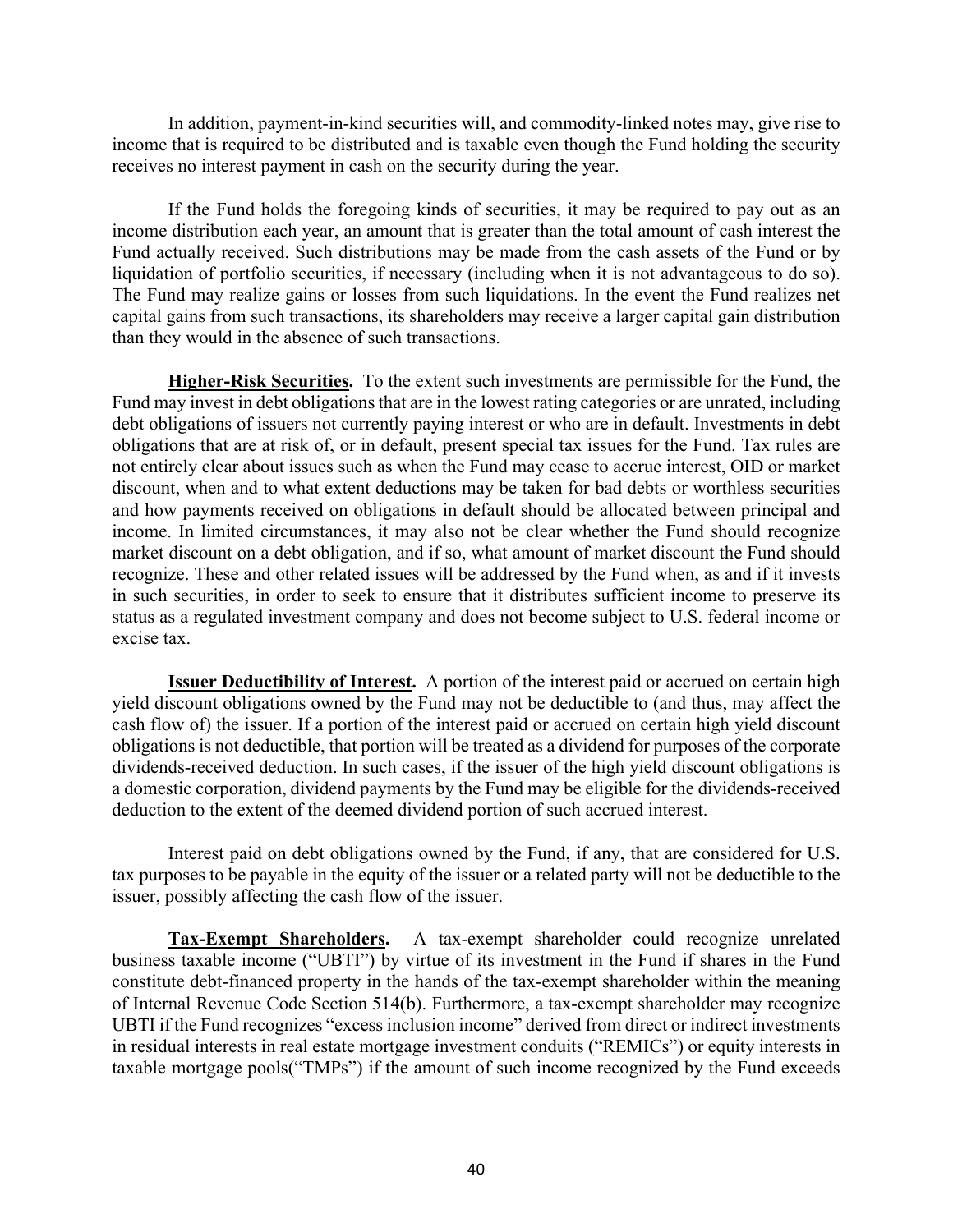In addition, payment-in-kind securities will, and commodity-linked notes may, give rise to income that is required to be distributed and is taxable even though the Fund holding the security receives no interest payment in cash on the security during the year.

If the Fund holds the foregoing kinds of securities, it may be required to pay out as an income distribution each year, an amount that is greater than the total amount of cash interest the Fund actually received. Such distributions may be made from the cash assets of the Fund or by liquidation of portfolio securities, if necessary (including when it is not advantageous to do so). The Fund may realize gains or losses from such liquidations. In the event the Fund realizes net capital gains from such transactions, its shareholders may receive a larger capital gain distribution than they would in the absence of such transactions.

**Higher-Risk Securities.** To the extent such investments are permissible for the Fund, the Fund may invest in debt obligations that are in the lowest rating categories or are unrated, including debt obligations of issuers not currently paying interest or who are in default. Investments in debt obligations that are at risk of, or in default, present special tax issues for the Fund. Tax rules are not entirely clear about issues such as when the Fund may cease to accrue interest, OID or market discount, when and to what extent deductions may be taken for bad debts or worthless securities and how payments received on obligations in default should be allocated between principal and income. In limited circumstances, it may also not be clear whether the Fund should recognize market discount on a debt obligation, and if so, what amount of market discount the Fund should recognize. These and other related issues will be addressed by the Fund when, as and if it invests in such securities, in order to seek to ensure that it distributes sufficient income to preserve its status as a regulated investment company and does not become subject to U.S. federal income or excise tax.

**Issuer Deductibility of Interest.** A portion of the interest paid or accrued on certain high yield discount obligations owned by the Fund may not be deductible to (and thus, may affect the cash flow of) the issuer. If a portion of the interest paid or accrued on certain high yield discount obligations is not deductible, that portion will be treated as a dividend for purposes of the corporate dividends-received deduction. In such cases, if the issuer of the high yield discount obligations is a domestic corporation, dividend payments by the Fund may be eligible for the dividends-received deduction to the extent of the deemed dividend portion of such accrued interest.

Interest paid on debt obligations owned by the Fund, if any, that are considered for U.S. tax purposes to be payable in the equity of the issuer or a related party will not be deductible to the issuer, possibly affecting the cash flow of the issuer.

**Tax-Exempt Shareholders.** A tax-exempt shareholder could recognize unrelated business taxable income ("UBTI") by virtue of its investment in the Fund if shares in the Fund constitute debt-financed property in the hands of the tax-exempt shareholder within the meaning of Internal Revenue Code Section 514(b). Furthermore, a tax-exempt shareholder may recognize UBTI if the Fund recognizes "excess inclusion income" derived from direct or indirect investments in residual interests in real estate mortgage investment conduits ("REMICs") or equity interests in taxable mortgage pools("TMPs") if the amount of such income recognized by the Fund exceeds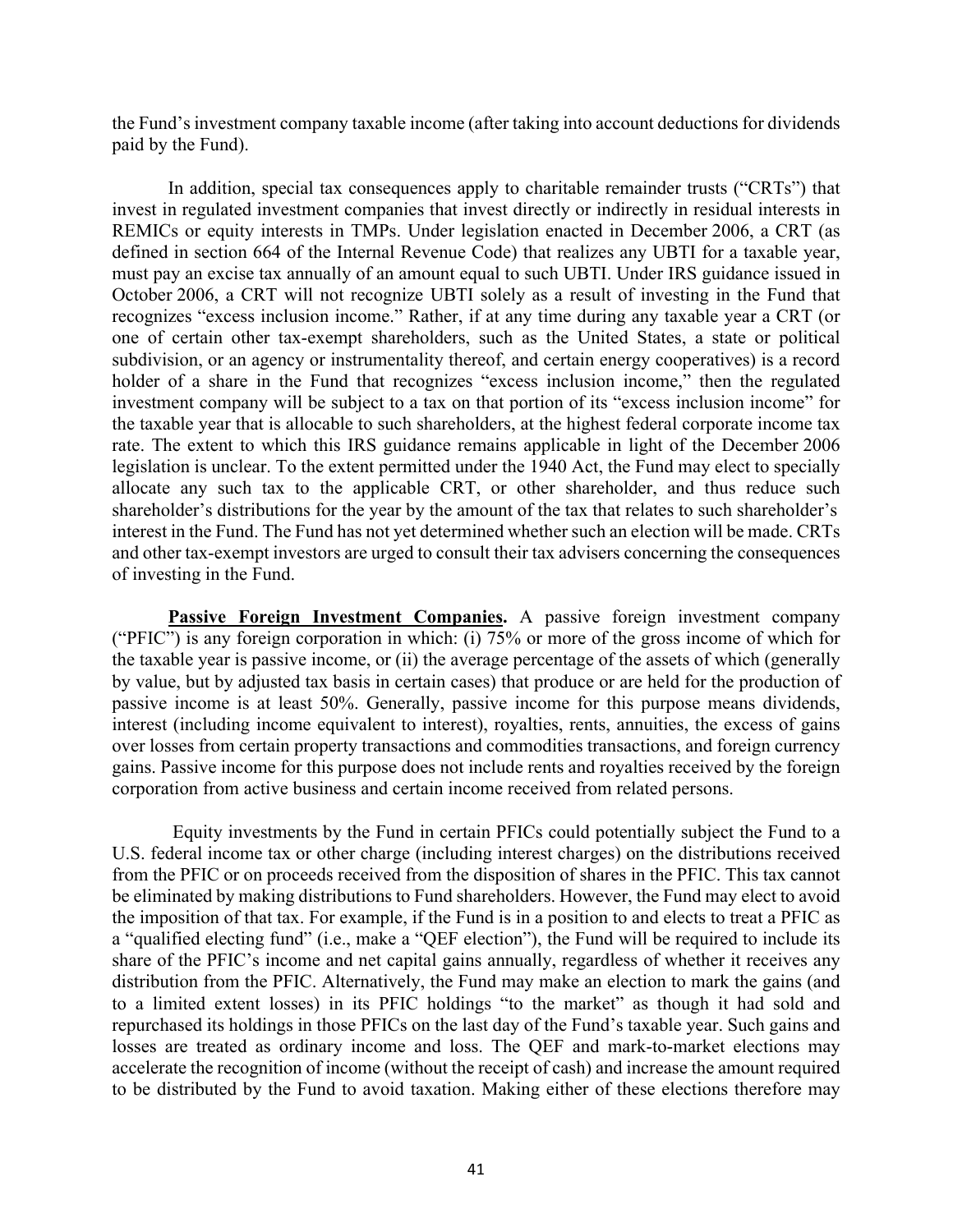the Fund's investment company taxable income (after taking into account deductions for dividends paid by the Fund).

In addition, special tax consequences apply to charitable remainder trusts ("CRTs") that invest in regulated investment companies that invest directly or indirectly in residual interests in REMICs or equity interests in TMPs. Under legislation enacted in December 2006, a CRT (as defined in section 664 of the Internal Revenue Code) that realizes any UBTI for a taxable year, must pay an excise tax annually of an amount equal to such UBTI. Under IRS guidance issued in October 2006, a CRT will not recognize UBTI solely as a result of investing in the Fund that recognizes "excess inclusion income." Rather, if at any time during any taxable year a CRT (or one of certain other tax-exempt shareholders, such as the United States, a state or political subdivision, or an agency or instrumentality thereof, and certain energy cooperatives) is a record holder of a share in the Fund that recognizes "excess inclusion income," then the regulated investment company will be subject to a tax on that portion of its "excess inclusion income" for the taxable year that is allocable to such shareholders, at the highest federal corporate income tax rate. The extent to which this IRS guidance remains applicable in light of the December 2006 legislation is unclear. To the extent permitted under the 1940 Act, the Fund may elect to specially allocate any such tax to the applicable CRT, or other shareholder, and thus reduce such shareholder's distributions for the year by the amount of the tax that relates to such shareholder's interest in the Fund. The Fund has not yet determined whether such an election will be made. CRTs and other tax-exempt investors are urged to consult their tax advisers concerning the consequences of investing in the Fund.

**Passive Foreign Investment Companies.** A passive foreign investment company ("PFIC") is any foreign corporation in which: (i) 75% or more of the gross income of which for the taxable year is passive income, or (ii) the average percentage of the assets of which (generally by value, but by adjusted tax basis in certain cases) that produce or are held for the production of passive income is at least 50%. Generally, passive income for this purpose means dividends, interest (including income equivalent to interest), royalties, rents, annuities, the excess of gains over losses from certain property transactions and commodities transactions, and foreign currency gains. Passive income for this purpose does not include rents and royalties received by the foreign corporation from active business and certain income received from related persons.

Equity investments by the Fund in certain PFICs could potentially subject the Fund to a U.S. federal income tax or other charge (including interest charges) on the distributions received from the PFIC or on proceeds received from the disposition of shares in the PFIC. This tax cannot be eliminated by making distributions to Fund shareholders. However, the Fund may elect to avoid the imposition of that tax. For example, if the Fund is in a position to and elects to treat a PFIC as a "qualified electing fund" (i.e., make a "QEF election"), the Fund will be required to include its share of the PFIC's income and net capital gains annually, regardless of whether it receives any distribution from the PFIC. Alternatively, the Fund may make an election to mark the gains (and to a limited extent losses) in its PFIC holdings "to the market" as though it had sold and repurchased its holdings in those PFICs on the last day of the Fund's taxable year. Such gains and losses are treated as ordinary income and loss. The QEF and mark-to-market elections may accelerate the recognition of income (without the receipt of cash) and increase the amount required to be distributed by the Fund to avoid taxation. Making either of these elections therefore may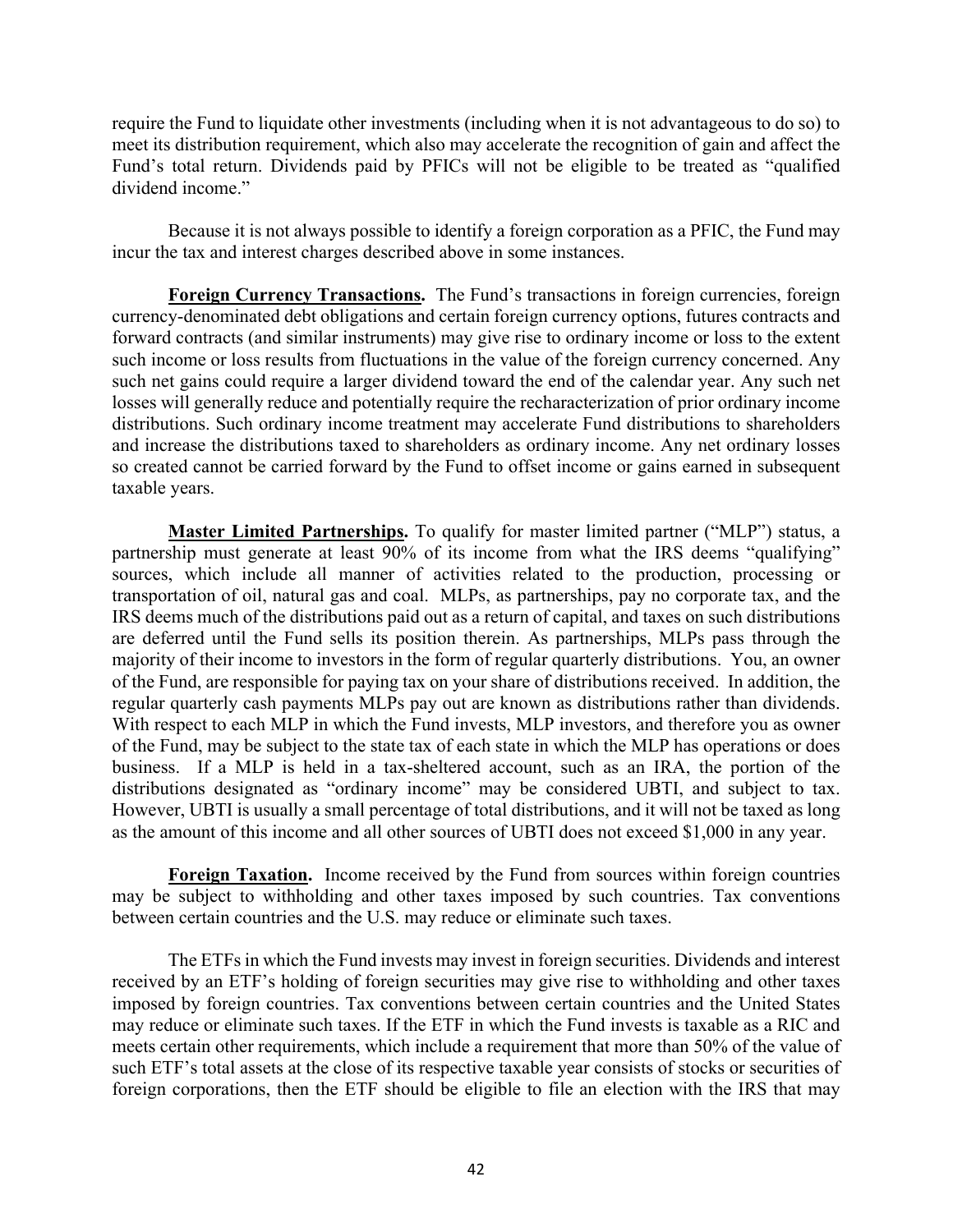require the Fund to liquidate other investments (including when it is not advantageous to do so) to meet its distribution requirement, which also may accelerate the recognition of gain and affect the Fund's total return. Dividends paid by PFICs will not be eligible to be treated as "qualified dividend income."

Because it is not always possible to identify a foreign corporation as a PFIC, the Fund may incur the tax and interest charges described above in some instances.

**Foreign Currency Transactions.** The Fund's transactions in foreign currencies, foreign currency-denominated debt obligations and certain foreign currency options, futures contracts and forward contracts (and similar instruments) may give rise to ordinary income or loss to the extent such income or loss results from fluctuations in the value of the foreign currency concerned. Any such net gains could require a larger dividend toward the end of the calendar year. Any such net losses will generally reduce and potentially require the recharacterization of prior ordinary income distributions. Such ordinary income treatment may accelerate Fund distributions to shareholders and increase the distributions taxed to shareholders as ordinary income. Any net ordinary losses so created cannot be carried forward by the Fund to offset income or gains earned in subsequent taxable years.

**Master Limited Partnerships.** To qualify for master limited partner ("MLP") status, a partnership must generate at least 90% of its income from what the IRS deems "qualifying" sources, which include all manner of activities related to the production, processing or transportation of oil, natural gas and coal. MLPs, as partnerships, pay no corporate tax, and the IRS deems much of the distributions paid out as a return of capital, and taxes on such distributions are deferred until the Fund sells its position therein. As partnerships, MLPs pass through the majority of their income to investors in the form of regular quarterly distributions. You, an owner of the Fund, are responsible for paying tax on your share of distributions received. In addition, the regular quarterly cash payments MLPs pay out are known as distributions rather than dividends. With respect to each MLP in which the Fund invests, MLP investors, and therefore you as owner of the Fund, may be subject to the state tax of each state in which the MLP has operations or does business. If a MLP is held in a tax-sheltered account, such as an IRA, the portion of the distributions designated as "ordinary income" may be considered UBTI, and subject to tax. However, UBTI is usually a small percentage of total distributions, and it will not be taxed as long as the amount of this income and all other sources of UBTI does not exceed \$1,000 in any year.

**Foreign Taxation.** Income received by the Fund from sources within foreign countries may be subject to withholding and other taxes imposed by such countries. Tax conventions between certain countries and the U.S. may reduce or eliminate such taxes.

The ETFs in which the Fund invests may invest in foreign securities. Dividends and interest received by an ETF's holding of foreign securities may give rise to withholding and other taxes imposed by foreign countries. Tax conventions between certain countries and the United States may reduce or eliminate such taxes. If the ETF in which the Fund invests is taxable as a RIC and meets certain other requirements, which include a requirement that more than 50% of the value of such ETF's total assets at the close of its respective taxable year consists of stocks or securities of foreign corporations, then the ETF should be eligible to file an election with the IRS that may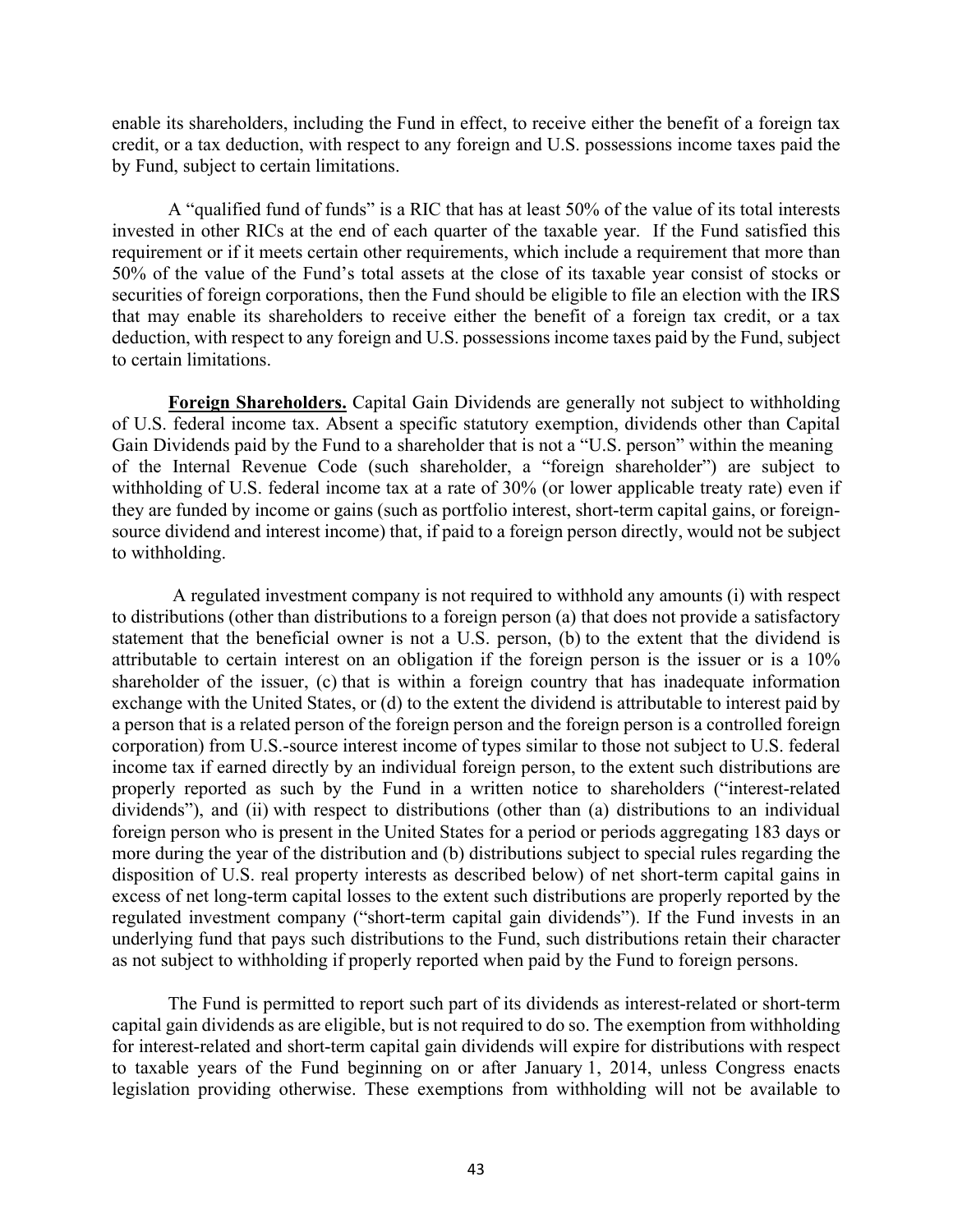enable its shareholders, including the Fund in effect, to receive either the benefit of a foreign tax credit, or a tax deduction, with respect to any foreign and U.S. possessions income taxes paid the by Fund, subject to certain limitations.

A "qualified fund of funds" is a RIC that has at least 50% of the value of its total interests invested in other RICs at the end of each quarter of the taxable year. If the Fund satisfied this requirement or if it meets certain other requirements, which include a requirement that more than 50% of the value of the Fund's total assets at the close of its taxable year consist of stocks or securities of foreign corporations, then the Fund should be eligible to file an election with the IRS that may enable its shareholders to receive either the benefit of a foreign tax credit, or a tax deduction, with respect to any foreign and U.S. possessions income taxes paid by the Fund, subject to certain limitations.

**Foreign Shareholders.** Capital Gain Dividends are generally not subject to withholding of U.S. federal income tax. Absent a specific statutory exemption, dividends other than Capital Gain Dividends paid by the Fund to a shareholder that is not a "U.S. person" within the meaning of the Internal Revenue Code (such shareholder, a "foreign shareholder") are subject to withholding of U.S. federal income tax at a rate of 30% (or lower applicable treaty rate) even if they are funded by income or gains (such as portfolio interest, short-term capital gains, or foreignsource dividend and interest income) that, if paid to a foreign person directly, would not be subject to withholding.

A regulated investment company is not required to withhold any amounts (i) with respect to distributions (other than distributions to a foreign person (a) that does not provide a satisfactory statement that the beneficial owner is not a U.S. person, (b) to the extent that the dividend is attributable to certain interest on an obligation if the foreign person is the issuer or is a 10% shareholder of the issuer, (c) that is within a foreign country that has inadequate information exchange with the United States, or (d) to the extent the dividend is attributable to interest paid by a person that is a related person of the foreign person and the foreign person is a controlled foreign corporation) from U.S.-source interest income of types similar to those not subject to U.S. federal income tax if earned directly by an individual foreign person, to the extent such distributions are properly reported as such by the Fund in a written notice to shareholders ("interest-related dividends"), and (ii) with respect to distributions (other than (a) distributions to an individual foreign person who is present in the United States for a period or periods aggregating 183 days or more during the year of the distribution and (b) distributions subject to special rules regarding the disposition of U.S. real property interests as described below) of net short-term capital gains in excess of net long-term capital losses to the extent such distributions are properly reported by the regulated investment company ("short-term capital gain dividends"). If the Fund invests in an underlying fund that pays such distributions to the Fund, such distributions retain their character as not subject to withholding if properly reported when paid by the Fund to foreign persons.

The Fund is permitted to report such part of its dividends as interest-related or short-term capital gain dividends as are eligible, but is not required to do so. The exemption from withholding for interest-related and short-term capital gain dividends will expire for distributions with respect to taxable years of the Fund beginning on or after January 1, 2014, unless Congress enacts legislation providing otherwise. These exemptions from withholding will not be available to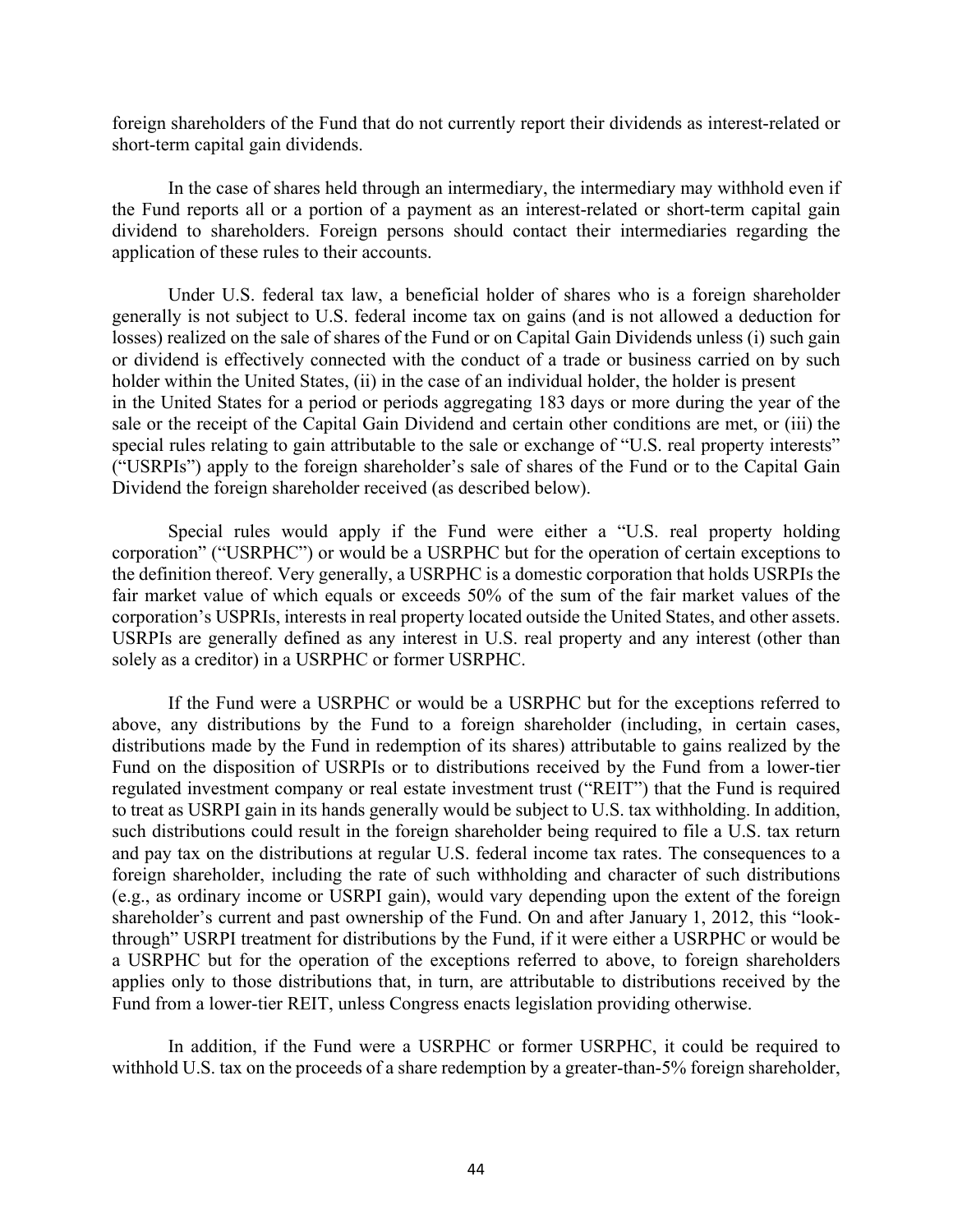foreign shareholders of the Fund that do not currently report their dividends as interest-related or short-term capital gain dividends.

In the case of shares held through an intermediary, the intermediary may withhold even if the Fund reports all or a portion of a payment as an interest-related or short-term capital gain dividend to shareholders. Foreign persons should contact their intermediaries regarding the application of these rules to their accounts.

Under U.S. federal tax law, a beneficial holder of shares who is a foreign shareholder generally is not subject to U.S. federal income tax on gains (and is not allowed a deduction for losses) realized on the sale of shares of the Fund or on Capital Gain Dividends unless (i) such gain or dividend is effectively connected with the conduct of a trade or business carried on by such holder within the United States, (ii) in the case of an individual holder, the holder is present in the United States for a period or periods aggregating 183 days or more during the year of the sale or the receipt of the Capital Gain Dividend and certain other conditions are met, or (iii) the special rules relating to gain attributable to the sale or exchange of "U.S. real property interests" ("USRPIs") apply to the foreign shareholder's sale of shares of the Fund or to the Capital Gain Dividend the foreign shareholder received (as described below).

Special rules would apply if the Fund were either a "U.S. real property holding corporation" ("USRPHC") or would be a USRPHC but for the operation of certain exceptions to the definition thereof. Very generally, a USRPHC is a domestic corporation that holds USRPIs the fair market value of which equals or exceeds 50% of the sum of the fair market values of the corporation's USPRIs, interests in real property located outside the United States, and other assets. USRPIs are generally defined as any interest in U.S. real property and any interest (other than solely as a creditor) in a USRPHC or former USRPHC.

If the Fund were a USRPHC or would be a USRPHC but for the exceptions referred to above, any distributions by the Fund to a foreign shareholder (including, in certain cases, distributions made by the Fund in redemption of its shares) attributable to gains realized by the Fund on the disposition of USRPIs or to distributions received by the Fund from a lower-tier regulated investment company or real estate investment trust ("REIT") that the Fund is required to treat as USRPI gain in its hands generally would be subject to U.S. tax withholding. In addition, such distributions could result in the foreign shareholder being required to file a U.S. tax return and pay tax on the distributions at regular U.S. federal income tax rates. The consequences to a foreign shareholder, including the rate of such withholding and character of such distributions (e.g., as ordinary income or USRPI gain), would vary depending upon the extent of the foreign shareholder's current and past ownership of the Fund. On and after January 1, 2012, this "lookthrough" USRPI treatment for distributions by the Fund, if it were either a USRPHC or would be a USRPHC but for the operation of the exceptions referred to above, to foreign shareholders applies only to those distributions that, in turn, are attributable to distributions received by the Fund from a lower-tier REIT, unless Congress enacts legislation providing otherwise.

In addition, if the Fund were a USRPHC or former USRPHC, it could be required to withhold U.S. tax on the proceeds of a share redemption by a greater-than-5% foreign shareholder,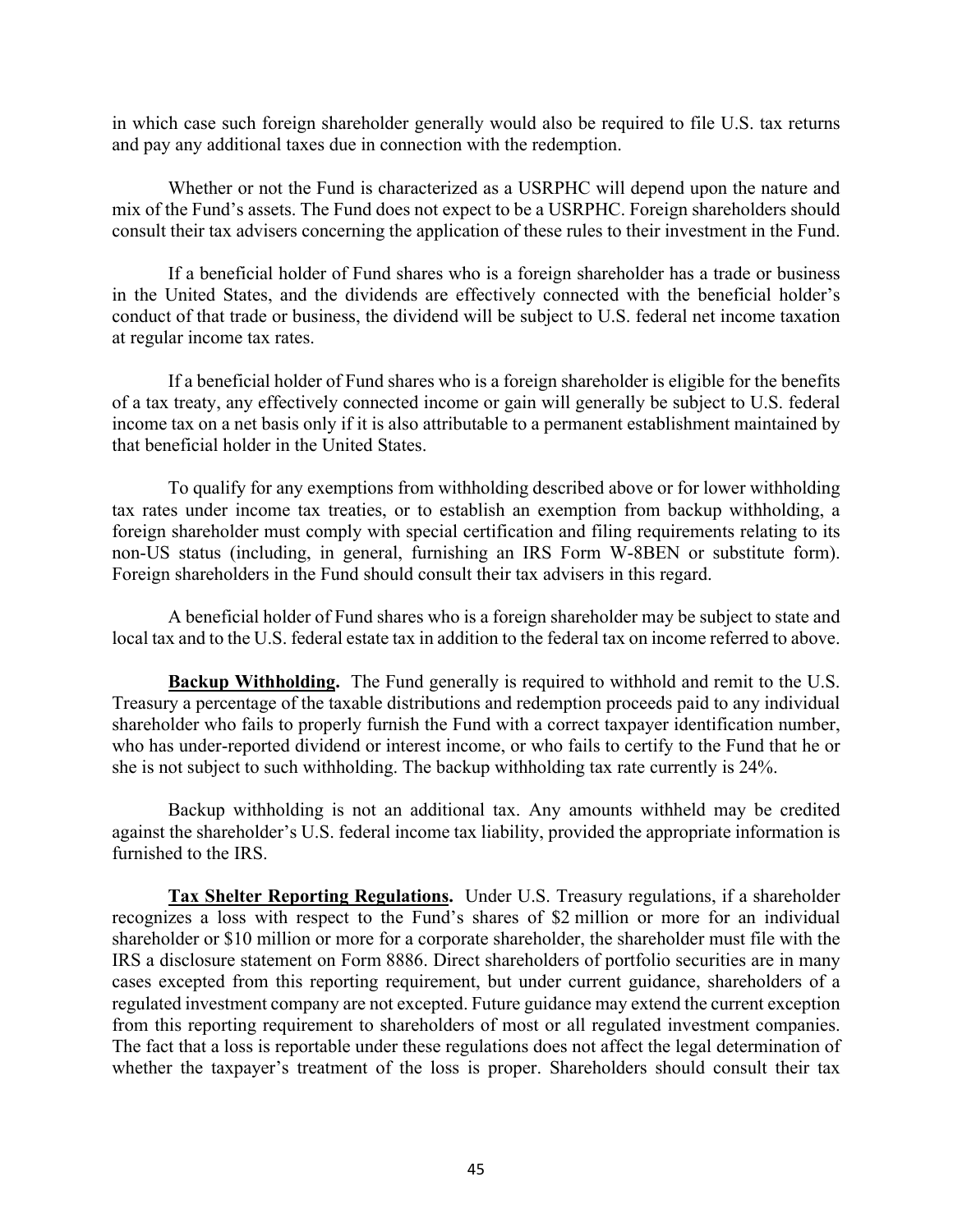in which case such foreign shareholder generally would also be required to file U.S. tax returns and pay any additional taxes due in connection with the redemption.

Whether or not the Fund is characterized as a USRPHC will depend upon the nature and mix of the Fund's assets. The Fund does not expect to be a USRPHC. Foreign shareholders should consult their tax advisers concerning the application of these rules to their investment in the Fund.

If a beneficial holder of Fund shares who is a foreign shareholder has a trade or business in the United States, and the dividends are effectively connected with the beneficial holder's conduct of that trade or business, the dividend will be subject to U.S. federal net income taxation at regular income tax rates.

If a beneficial holder of Fund shares who is a foreign shareholder is eligible for the benefits of a tax treaty, any effectively connected income or gain will generally be subject to U.S. federal income tax on a net basis only if it is also attributable to a permanent establishment maintained by that beneficial holder in the United States.

To qualify for any exemptions from withholding described above or for lower withholding tax rates under income tax treaties, or to establish an exemption from backup withholding, a foreign shareholder must comply with special certification and filing requirements relating to its non-US status (including, in general, furnishing an IRS Form W-8BEN or substitute form). Foreign shareholders in the Fund should consult their tax advisers in this regard.

A beneficial holder of Fund shares who is a foreign shareholder may be subject to state and local tax and to the U.S. federal estate tax in addition to the federal tax on income referred to above.

**Backup Withholding.** The Fund generally is required to withhold and remit to the U.S. Treasury a percentage of the taxable distributions and redemption proceeds paid to any individual shareholder who fails to properly furnish the Fund with a correct taxpayer identification number, who has under-reported dividend or interest income, or who fails to certify to the Fund that he or she is not subject to such withholding. The backup withholding tax rate currently is 24%.

Backup withholding is not an additional tax. Any amounts withheld may be credited against the shareholder's U.S. federal income tax liability, provided the appropriate information is furnished to the IRS.

**Tax Shelter Reporting Regulations.** Under U.S. Treasury regulations, if a shareholder recognizes a loss with respect to the Fund's shares of \$2 million or more for an individual shareholder or \$10 million or more for a corporate shareholder, the shareholder must file with the IRS a disclosure statement on Form 8886. Direct shareholders of portfolio securities are in many cases excepted from this reporting requirement, but under current guidance, shareholders of a regulated investment company are not excepted. Future guidance may extend the current exception from this reporting requirement to shareholders of most or all regulated investment companies. The fact that a loss is reportable under these regulations does not affect the legal determination of whether the taxpayer's treatment of the loss is proper. Shareholders should consult their tax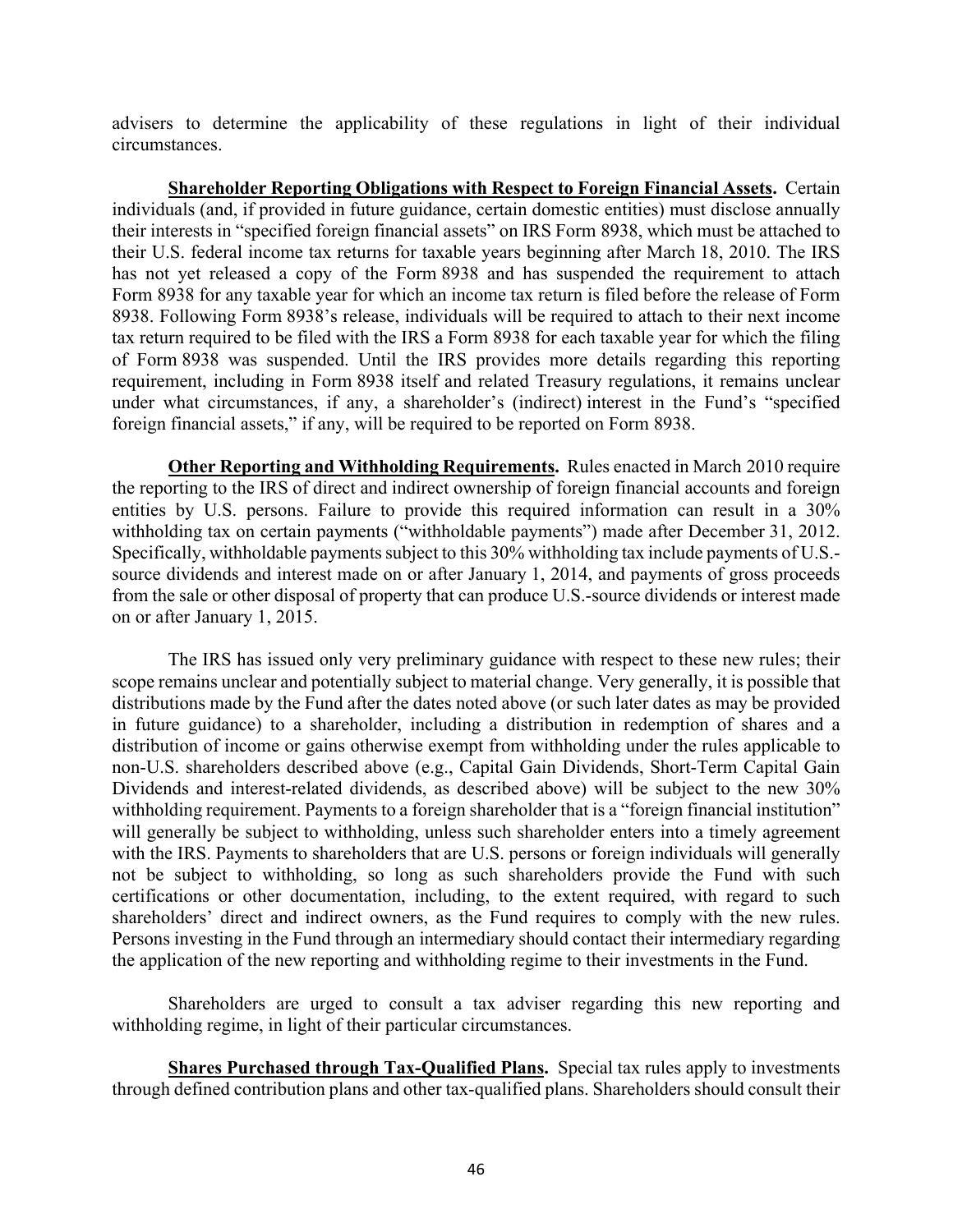advisers to determine the applicability of these regulations in light of their individual circumstances.

**Shareholder Reporting Obligations with Respect to Foreign Financial Assets.** Certain individuals (and, if provided in future guidance, certain domestic entities) must disclose annually their interests in "specified foreign financial assets" on IRS Form 8938, which must be attached to their U.S. federal income tax returns for taxable years beginning after March 18, 2010. The IRS has not yet released a copy of the Form 8938 and has suspended the requirement to attach Form 8938 for any taxable year for which an income tax return is filed before the release of Form 8938. Following Form 8938's release, individuals will be required to attach to their next income tax return required to be filed with the IRS a Form 8938 for each taxable year for which the filing of Form 8938 was suspended. Until the IRS provides more details regarding this reporting requirement, including in Form 8938 itself and related Treasury regulations, it remains unclear under what circumstances, if any, a shareholder's (indirect) interest in the Fund's "specified foreign financial assets," if any, will be required to be reported on Form 8938.

**Other Reporting and Withholding Requirements.** Rules enacted in March 2010 require the reporting to the IRS of direct and indirect ownership of foreign financial accounts and foreign entities by U.S. persons. Failure to provide this required information can result in a 30% withholding tax on certain payments ("withholdable payments") made after December 31, 2012. Specifically, withholdable payments subject to this 30% withholding tax include payments of U.S. source dividends and interest made on or after January 1, 2014, and payments of gross proceeds from the sale or other disposal of property that can produce U.S.-source dividends or interest made on or after January 1, 2015.

The IRS has issued only very preliminary guidance with respect to these new rules; their scope remains unclear and potentially subject to material change. Very generally, it is possible that distributions made by the Fund after the dates noted above (or such later dates as may be provided in future guidance) to a shareholder, including a distribution in redemption of shares and a distribution of income or gains otherwise exempt from withholding under the rules applicable to non-U.S. shareholders described above (e.g., Capital Gain Dividends, Short-Term Capital Gain Dividends and interest-related dividends, as described above) will be subject to the new 30% withholding requirement. Payments to a foreign shareholder that is a "foreign financial institution" will generally be subject to withholding, unless such shareholder enters into a timely agreement with the IRS. Payments to shareholders that are U.S. persons or foreign individuals will generally not be subject to withholding, so long as such shareholders provide the Fund with such certifications or other documentation, including, to the extent required, with regard to such shareholders' direct and indirect owners, as the Fund requires to comply with the new rules. Persons investing in the Fund through an intermediary should contact their intermediary regarding the application of the new reporting and withholding regime to their investments in the Fund.

Shareholders are urged to consult a tax adviser regarding this new reporting and withholding regime, in light of their particular circumstances.

**Shares Purchased through Tax-Qualified Plans.** Special tax rules apply to investments through defined contribution plans and other tax-qualified plans. Shareholders should consult their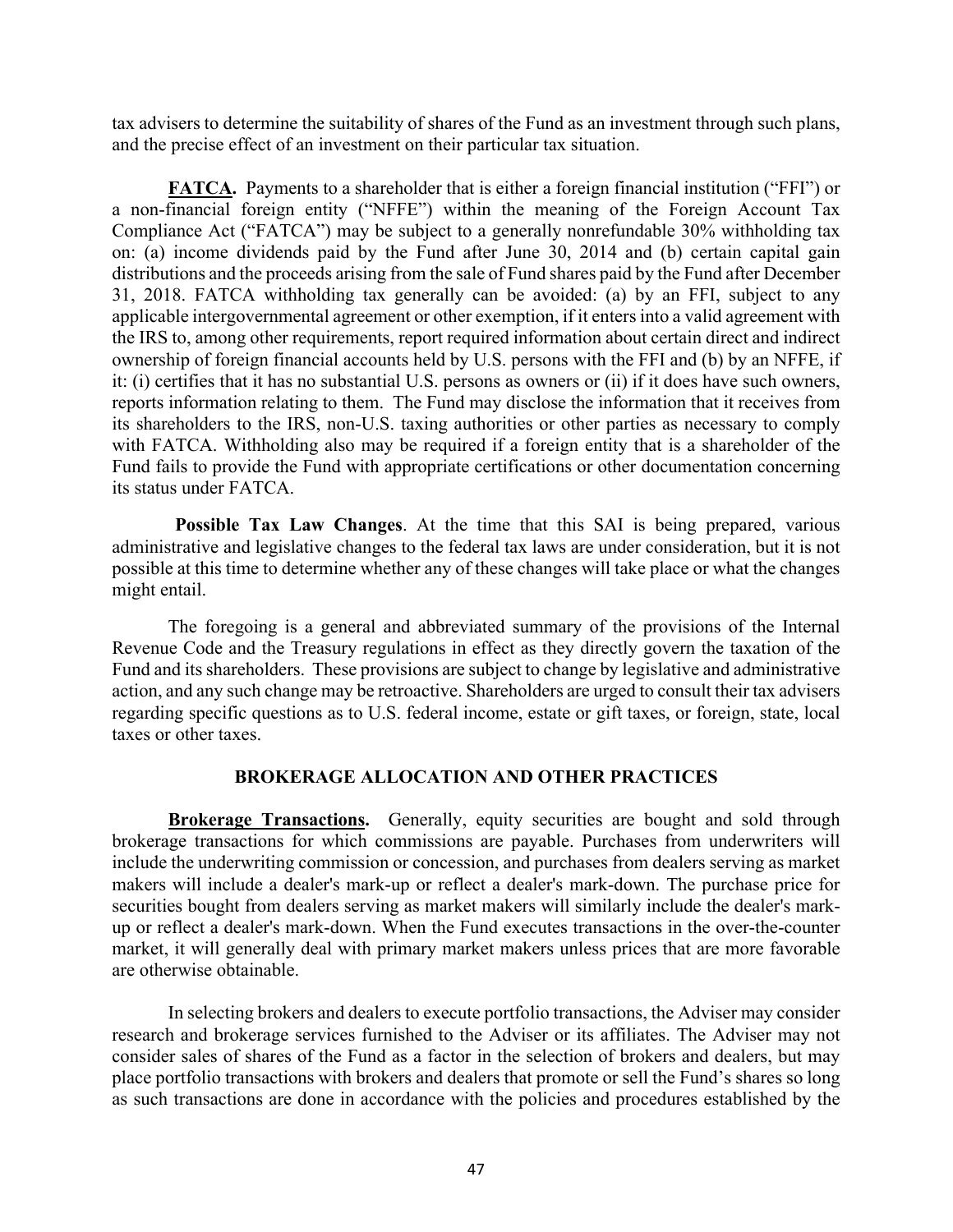tax advisers to determine the suitability of shares of the Fund as an investment through such plans, and the precise effect of an investment on their particular tax situation.

**FATCA.** Payments to a shareholder that is either a foreign financial institution ("FFI") or a non-financial foreign entity ("NFFE") within the meaning of the Foreign Account Tax Compliance Act ("FATCA") may be subject to a generally nonrefundable 30% withholding tax on: (a) income dividends paid by the Fund after June 30, 2014 and (b) certain capital gain distributions and the proceeds arising from the sale of Fund shares paid by the Fund after December 31, 2018. FATCA withholding tax generally can be avoided: (a) by an FFI, subject to any applicable intergovernmental agreement or other exemption, if it enters into a valid agreement with the IRS to, among other requirements, report required information about certain direct and indirect ownership of foreign financial accounts held by U.S. persons with the FFI and (b) by an NFFE, if it: (i) certifies that it has no substantial U.S. persons as owners or (ii) if it does have such owners, reports information relating to them. The Fund may disclose the information that it receives from its shareholders to the IRS, non-U.S. taxing authorities or other parties as necessary to comply with FATCA. Withholding also may be required if a foreign entity that is a shareholder of the Fund fails to provide the Fund with appropriate certifications or other documentation concerning its status under FATCA.

**Possible Tax Law Changes**. At the time that this SAI is being prepared, various administrative and legislative changes to the federal tax laws are under consideration, but it is not possible at this time to determine whether any of these changes will take place or what the changes might entail.

The foregoing is a general and abbreviated summary of the provisions of the Internal Revenue Code and the Treasury regulations in effect as they directly govern the taxation of the Fund and its shareholders. These provisions are subject to change by legislative and administrative action, and any such change may be retroactive. Shareholders are urged to consult their tax advisers regarding specific questions as to U.S. federal income, estate or gift taxes, or foreign, state, local taxes or other taxes.

### **BROKERAGE ALLOCATION AND OTHER PRACTICES**

<span id="page-48-0"></span>**Brokerage Transactions.** Generally, equity securities are bought and sold through brokerage transactions for which commissions are payable. Purchases from underwriters will include the underwriting commission or concession, and purchases from dealers serving as market makers will include a dealer's mark-up or reflect a dealer's mark-down. The purchase price for securities bought from dealers serving as market makers will similarly include the dealer's markup or reflect a dealer's mark-down. When the Fund executes transactions in the over-the-counter market, it will generally deal with primary market makers unless prices that are more favorable are otherwise obtainable.

In selecting brokers and dealers to execute portfolio transactions, the Adviser may consider research and brokerage services furnished to the Adviser or its affiliates. The Adviser may not consider sales of shares of the Fund as a factor in the selection of brokers and dealers, but may place portfolio transactions with brokers and dealers that promote or sell the Fund's shares so long as such transactions are done in accordance with the policies and procedures established by the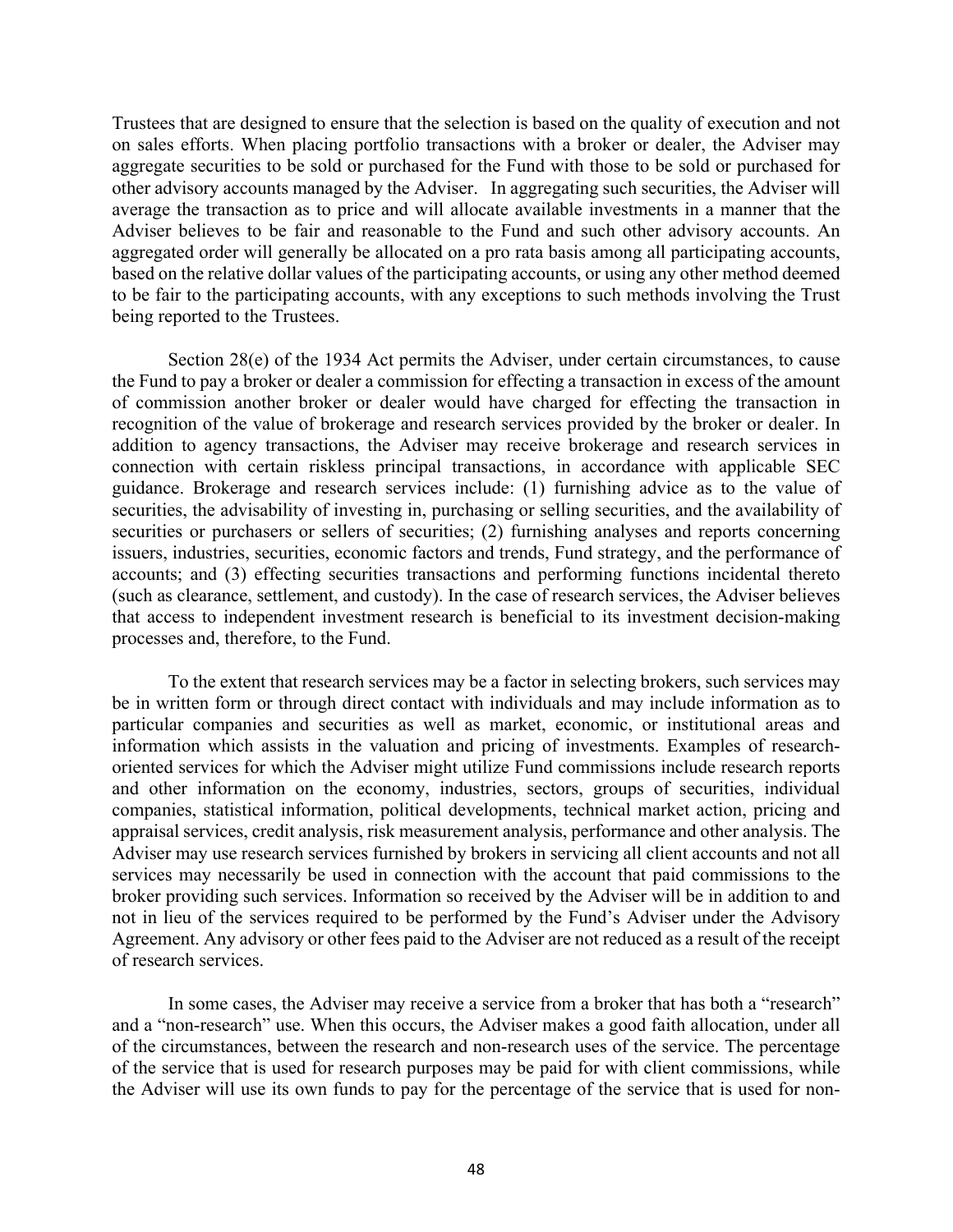Trustees that are designed to ensure that the selection is based on the quality of execution and not on sales efforts. When placing portfolio transactions with a broker or dealer, the Adviser may aggregate securities to be sold or purchased for the Fund with those to be sold or purchased for other advisory accounts managed by the Adviser. In aggregating such securities, the Adviser will average the transaction as to price and will allocate available investments in a manner that the Adviser believes to be fair and reasonable to the Fund and such other advisory accounts. An aggregated order will generally be allocated on a pro rata basis among all participating accounts, based on the relative dollar values of the participating accounts, or using any other method deemed to be fair to the participating accounts, with any exceptions to such methods involving the Trust being reported to the Trustees.

Section 28(e) of the 1934 Act permits the Adviser, under certain circumstances, to cause the Fund to pay a broker or dealer a commission for effecting a transaction in excess of the amount of commission another broker or dealer would have charged for effecting the transaction in recognition of the value of brokerage and research services provided by the broker or dealer. In addition to agency transactions, the Adviser may receive brokerage and research services in connection with certain riskless principal transactions, in accordance with applicable SEC guidance. Brokerage and research services include: (1) furnishing advice as to the value of securities, the advisability of investing in, purchasing or selling securities, and the availability of securities or purchasers or sellers of securities; (2) furnishing analyses and reports concerning issuers, industries, securities, economic factors and trends, Fund strategy, and the performance of accounts; and (3) effecting securities transactions and performing functions incidental thereto (such as clearance, settlement, and custody). In the case of research services, the Adviser believes that access to independent investment research is beneficial to its investment decision-making processes and, therefore, to the Fund.

To the extent that research services may be a factor in selecting brokers, such services may be in written form or through direct contact with individuals and may include information as to particular companies and securities as well as market, economic, or institutional areas and information which assists in the valuation and pricing of investments. Examples of researchoriented services for which the Adviser might utilize Fund commissions include research reports and other information on the economy, industries, sectors, groups of securities, individual companies, statistical information, political developments, technical market action, pricing and appraisal services, credit analysis, risk measurement analysis, performance and other analysis. The Adviser may use research services furnished by brokers in servicing all client accounts and not all services may necessarily be used in connection with the account that paid commissions to the broker providing such services. Information so received by the Adviser will be in addition to and not in lieu of the services required to be performed by the Fund's Adviser under the Advisory Agreement. Any advisory or other fees paid to the Adviser are not reduced as a result of the receipt of research services.

In some cases, the Adviser may receive a service from a broker that has both a "research" and a "non-research" use. When this occurs, the Adviser makes a good faith allocation, under all of the circumstances, between the research and non-research uses of the service. The percentage of the service that is used for research purposes may be paid for with client commissions, while the Adviser will use its own funds to pay for the percentage of the service that is used for non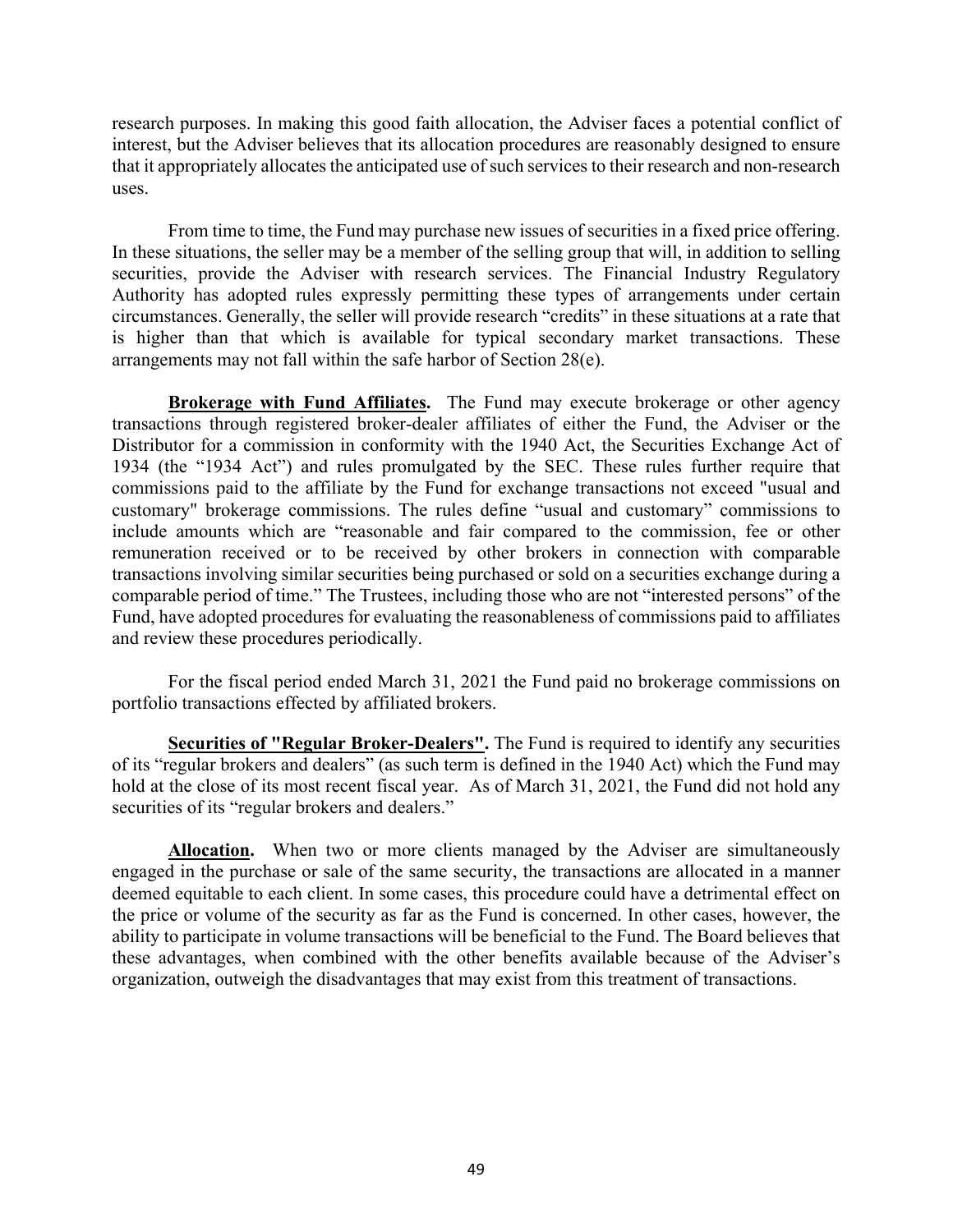research purposes. In making this good faith allocation, the Adviser faces a potential conflict of interest, but the Adviser believes that its allocation procedures are reasonably designed to ensure that it appropriately allocates the anticipated use of such services to their research and non-research uses.

From time to time, the Fund may purchase new issues of securities in a fixed price offering. In these situations, the seller may be a member of the selling group that will, in addition to selling securities, provide the Adviser with research services. The Financial Industry Regulatory Authority has adopted rules expressly permitting these types of arrangements under certain circumstances. Generally, the seller will provide research "credits" in these situations at a rate that is higher than that which is available for typical secondary market transactions. These arrangements may not fall within the safe harbor of Section 28(e).

**Brokerage with Fund Affiliates.** The Fund may execute brokerage or other agency transactions through registered broker-dealer affiliates of either the Fund, the Adviser or the Distributor for a commission in conformity with the 1940 Act, the Securities Exchange Act of 1934 (the "1934 Act") and rules promulgated by the SEC. These rules further require that commissions paid to the affiliate by the Fund for exchange transactions not exceed "usual and customary" brokerage commissions. The rules define "usual and customary" commissions to include amounts which are "reasonable and fair compared to the commission, fee or other remuneration received or to be received by other brokers in connection with comparable transactions involving similar securities being purchased or sold on a securities exchange during a comparable period of time." The Trustees, including those who are not "interested persons" of the Fund, have adopted procedures for evaluating the reasonableness of commissions paid to affiliates and review these procedures periodically.

For the fiscal period ended March 31, 2021 the Fund paid no brokerage commissions on portfolio transactions effected by affiliated brokers.

**Securities of "Regular Broker-Dealers".** The Fund is required to identify any securities of its "regular brokers and dealers" (as such term is defined in the 1940 Act) which the Fund may hold at the close of its most recent fiscal year. As of March 31, 2021, the Fund did not hold any securities of its "regular brokers and dealers."

**Allocation.** When two or more clients managed by the Adviser are simultaneously engaged in the purchase or sale of the same security, the transactions are allocated in a manner deemed equitable to each client. In some cases, this procedure could have a detrimental effect on the price or volume of the security as far as the Fund is concerned. In other cases, however, the ability to participate in volume transactions will be beneficial to the Fund. The Board believes that these advantages, when combined with the other benefits available because of the Adviser's organization, outweigh the disadvantages that may exist from this treatment of transactions.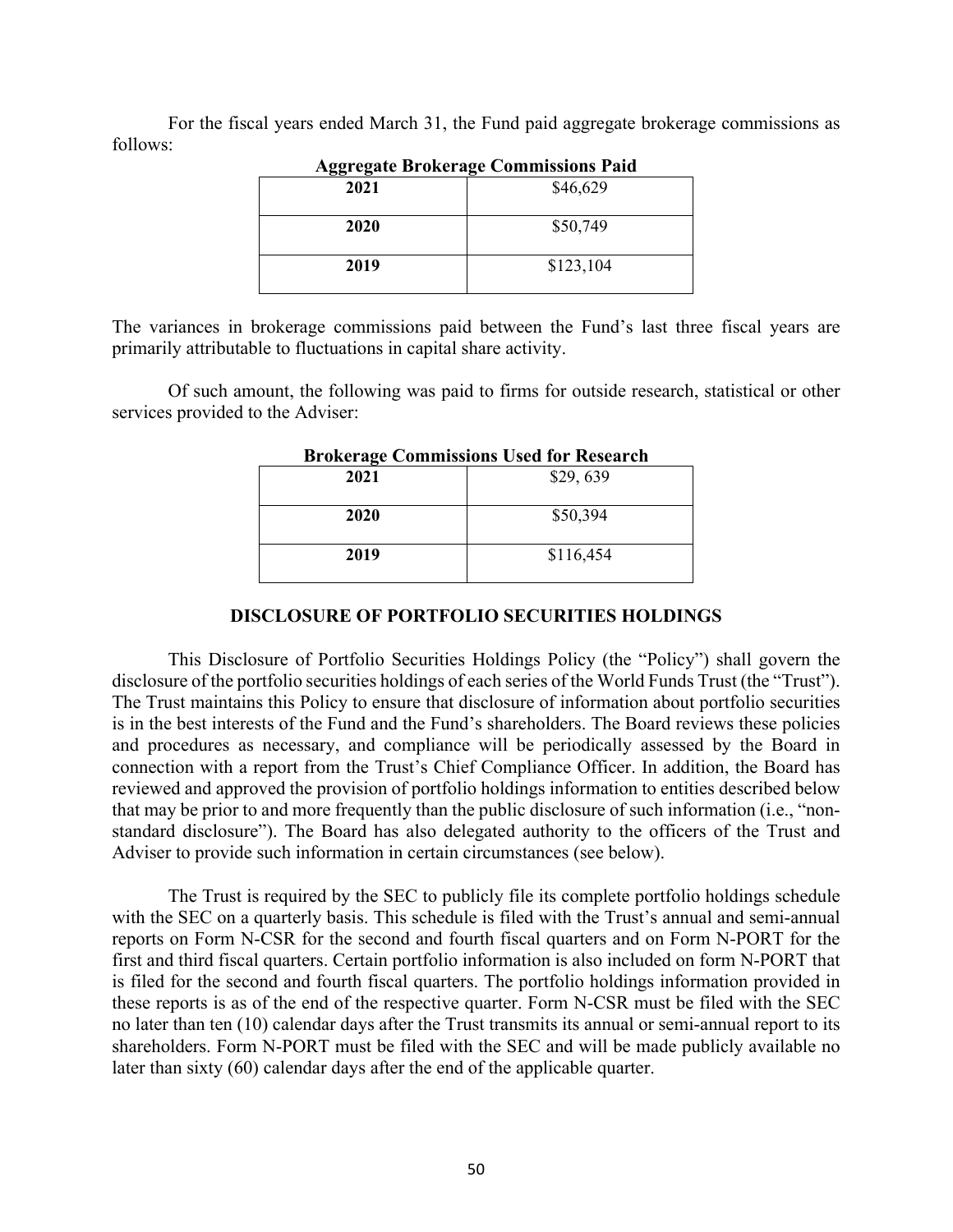For the fiscal years ended March 31, the Fund paid aggregate brokerage commissions as follows:

| Aggregate Brokerage Commissions Paid |           |
|--------------------------------------|-----------|
| 2021                                 | \$46,629  |
| 2020                                 | \$50,749  |
| 2019                                 | \$123,104 |

**Aggregate Brokerage Commissions Paid**

The variances in brokerage commissions paid between the Fund's last three fiscal years are primarily attributable to fluctuations in capital share activity.

Of such amount, the following was paid to firms for outside research, statistical or other services provided to the Adviser:

| DI UKCI AğU CUMMINISSIONS USUN TÜL TAUSUATUN |           |  |
|----------------------------------------------|-----------|--|
| 2021                                         | \$29,639  |  |
| 2020                                         | \$50,394  |  |
| 2019                                         | \$116,454 |  |

# **Brokerage Commissions Used for Research**

### **DISCLOSURE OF PORTFOLIO SECURITIES HOLDINGS**

<span id="page-51-0"></span>This Disclosure of Portfolio Securities Holdings Policy (the "Policy") shall govern the disclosure of the portfolio securities holdings of each series of the World Funds Trust (the "Trust"). The Trust maintains this Policy to ensure that disclosure of information about portfolio securities is in the best interests of the Fund and the Fund's shareholders. The Board reviews these policies and procedures as necessary, and compliance will be periodically assessed by the Board in connection with a report from the Trust's Chief Compliance Officer. In addition, the Board has reviewed and approved the provision of portfolio holdings information to entities described below that may be prior to and more frequently than the public disclosure of such information (i.e., "nonstandard disclosure"). The Board has also delegated authority to the officers of the Trust and Adviser to provide such information in certain circumstances (see below).

The Trust is required by the SEC to publicly file its complete portfolio holdings schedule with the SEC on a quarterly basis. This schedule is filed with the Trust's annual and semi-annual reports on Form N-CSR for the second and fourth fiscal quarters and on Form N-PORT for the first and third fiscal quarters. Certain portfolio information is also included on form N-PORT that is filed for the second and fourth fiscal quarters. The portfolio holdings information provided in these reports is as of the end of the respective quarter. Form N-CSR must be filed with the SEC no later than ten (10) calendar days after the Trust transmits its annual or semi-annual report to its shareholders. Form N-PORT must be filed with the SEC and will be made publicly available no later than sixty (60) calendar days after the end of the applicable quarter.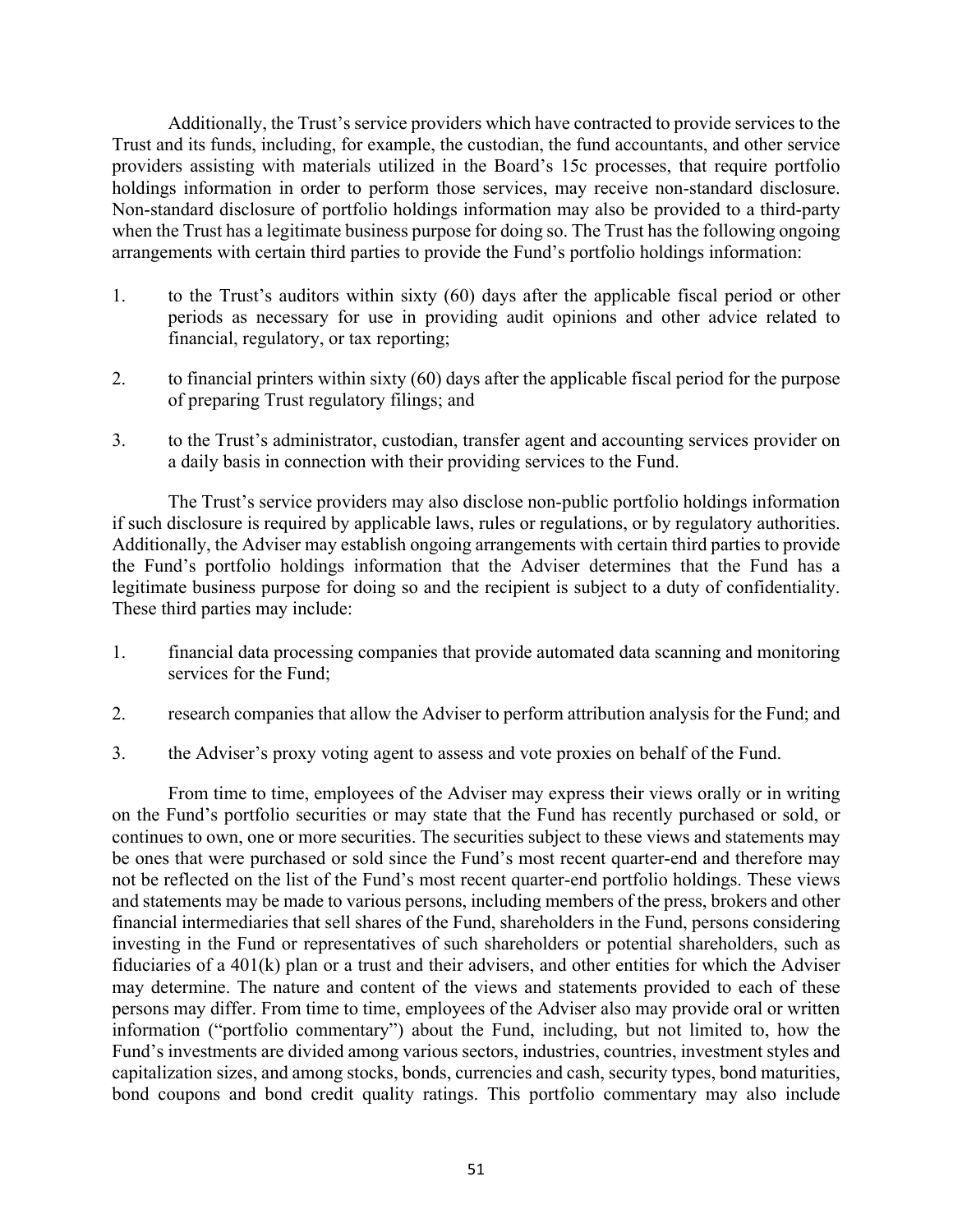Additionally, the Trust's service providers which have contracted to provide services to the Trust and its funds, including, for example, the custodian, the fund accountants, and other service providers assisting with materials utilized in the Board's 15c processes, that require portfolio holdings information in order to perform those services, may receive non-standard disclosure. Non-standard disclosure of portfolio holdings information may also be provided to a third-party when the Trust has a legitimate business purpose for doing so. The Trust has the following ongoing arrangements with certain third parties to provide the Fund's portfolio holdings information:

- 1. to the Trust's auditors within sixty (60) days after the applicable fiscal period or other periods as necessary for use in providing audit opinions and other advice related to financial, regulatory, or tax reporting;
- 2. to financial printers within sixty (60) days after the applicable fiscal period for the purpose of preparing Trust regulatory filings; and
- 3. to the Trust's administrator, custodian, transfer agent and accounting services provider on a daily basis in connection with their providing services to the Fund.

The Trust's service providers may also disclose non-public portfolio holdings information if such disclosure is required by applicable laws, rules or regulations, or by regulatory authorities. Additionally, the Adviser may establish ongoing arrangements with certain third parties to provide the Fund's portfolio holdings information that the Adviser determines that the Fund has a legitimate business purpose for doing so and the recipient is subject to a duty of confidentiality. These third parties may include:

- 1. financial data processing companies that provide automated data scanning and monitoring services for the Fund;
- 2. research companies that allow the Adviser to perform attribution analysis for the Fund; and
- 3. the Adviser's proxy voting agent to assess and vote proxies on behalf of the Fund.

From time to time, employees of the Adviser may express their views orally or in writing on the Fund's portfolio securities or may state that the Fund has recently purchased or sold, or continues to own, one or more securities. The securities subject to these views and statements may be ones that were purchased or sold since the Fund's most recent quarter-end and therefore may not be reflected on the list of the Fund's most recent quarter-end portfolio holdings. These views and statements may be made to various persons, including members of the press, brokers and other financial intermediaries that sell shares of the Fund, shareholders in the Fund, persons considering investing in the Fund or representatives of such shareholders or potential shareholders, such as fiduciaries of a 401(k) plan or a trust and their advisers, and other entities for which the Adviser may determine. The nature and content of the views and statements provided to each of these persons may differ. From time to time, employees of the Adviser also may provide oral or written information ("portfolio commentary") about the Fund, including, but not limited to, how the Fund's investments are divided among various sectors, industries, countries, investment styles and capitalization sizes, and among stocks, bonds, currencies and cash, security types, bond maturities, bond coupons and bond credit quality ratings. This portfolio commentary may also include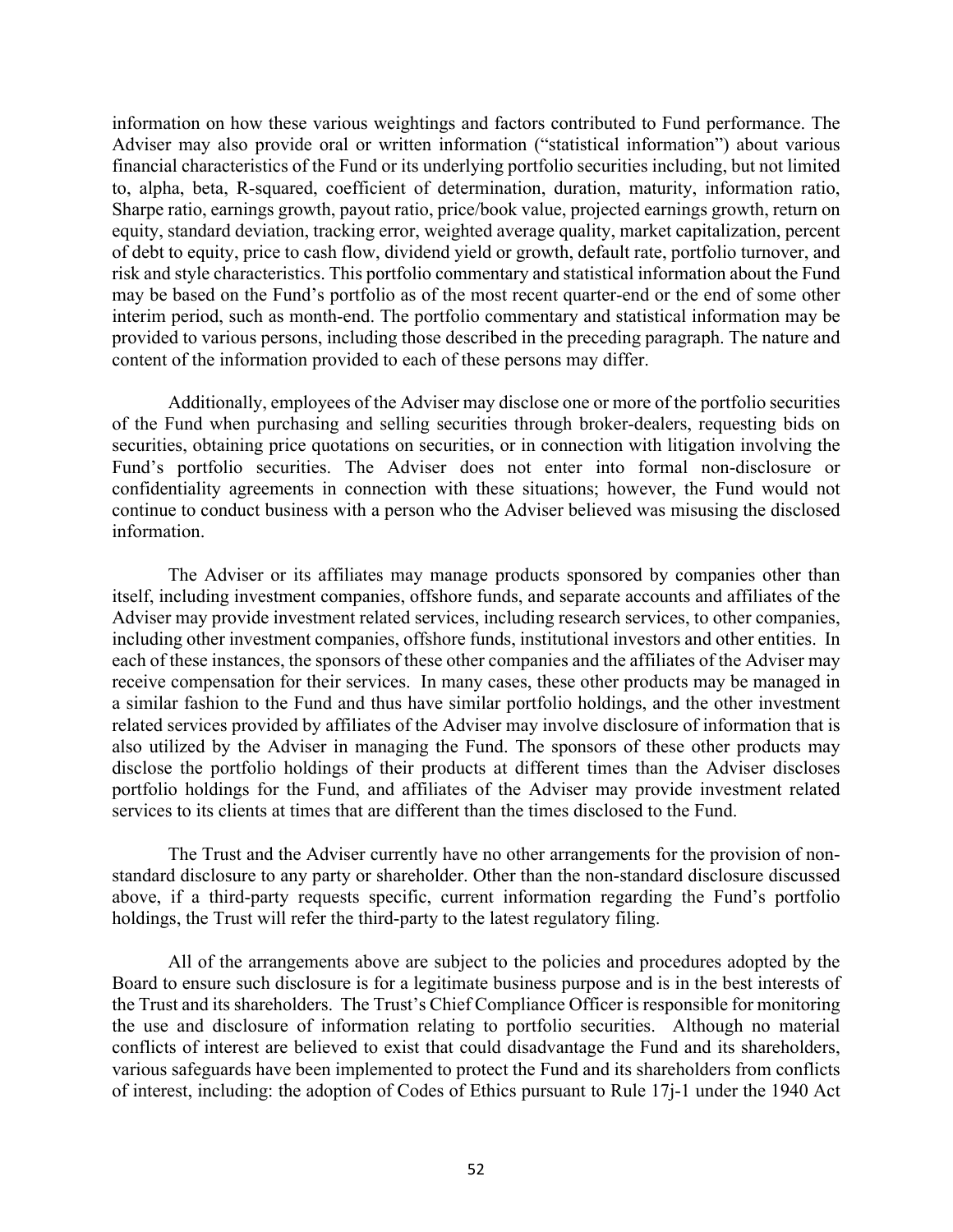information on how these various weightings and factors contributed to Fund performance. The Adviser may also provide oral or written information ("statistical information") about various financial characteristics of the Fund or its underlying portfolio securities including, but not limited to, alpha, beta, R-squared, coefficient of determination, duration, maturity, information ratio, Sharpe ratio, earnings growth, payout ratio, price/book value, projected earnings growth, return on equity, standard deviation, tracking error, weighted average quality, market capitalization, percent of debt to equity, price to cash flow, dividend yield or growth, default rate, portfolio turnover, and risk and style characteristics. This portfolio commentary and statistical information about the Fund may be based on the Fund's portfolio as of the most recent quarter-end or the end of some other interim period, such as month-end. The portfolio commentary and statistical information may be provided to various persons, including those described in the preceding paragraph. The nature and content of the information provided to each of these persons may differ.

Additionally, employees of the Adviser may disclose one or more of the portfolio securities of the Fund when purchasing and selling securities through broker-dealers, requesting bids on securities, obtaining price quotations on securities, or in connection with litigation involving the Fund's portfolio securities. The Adviser does not enter into formal non-disclosure or confidentiality agreements in connection with these situations; however, the Fund would not continue to conduct business with a person who the Adviser believed was misusing the disclosed information.

The Adviser or its affiliates may manage products sponsored by companies other than itself, including investment companies, offshore funds, and separate accounts and affiliates of the Adviser may provide investment related services, including research services, to other companies, including other investment companies, offshore funds, institutional investors and other entities. In each of these instances, the sponsors of these other companies and the affiliates of the Adviser may receive compensation for their services. In many cases, these other products may be managed in a similar fashion to the Fund and thus have similar portfolio holdings, and the other investment related services provided by affiliates of the Adviser may involve disclosure of information that is also utilized by the Adviser in managing the Fund. The sponsors of these other products may disclose the portfolio holdings of their products at different times than the Adviser discloses portfolio holdings for the Fund, and affiliates of the Adviser may provide investment related services to its clients at times that are different than the times disclosed to the Fund.

The Trust and the Adviser currently have no other arrangements for the provision of nonstandard disclosure to any party or shareholder. Other than the non-standard disclosure discussed above, if a third-party requests specific, current information regarding the Fund's portfolio holdings, the Trust will refer the third-party to the latest regulatory filing.

All of the arrangements above are subject to the policies and procedures adopted by the Board to ensure such disclosure is for a legitimate business purpose and is in the best interests of the Trust and its shareholders. The Trust's Chief Compliance Officer is responsible for monitoring the use and disclosure of information relating to portfolio securities. Although no material conflicts of interest are believed to exist that could disadvantage the Fund and its shareholders, various safeguards have been implemented to protect the Fund and its shareholders from conflicts of interest, including: the adoption of Codes of Ethics pursuant to Rule 17j-1 under the 1940 Act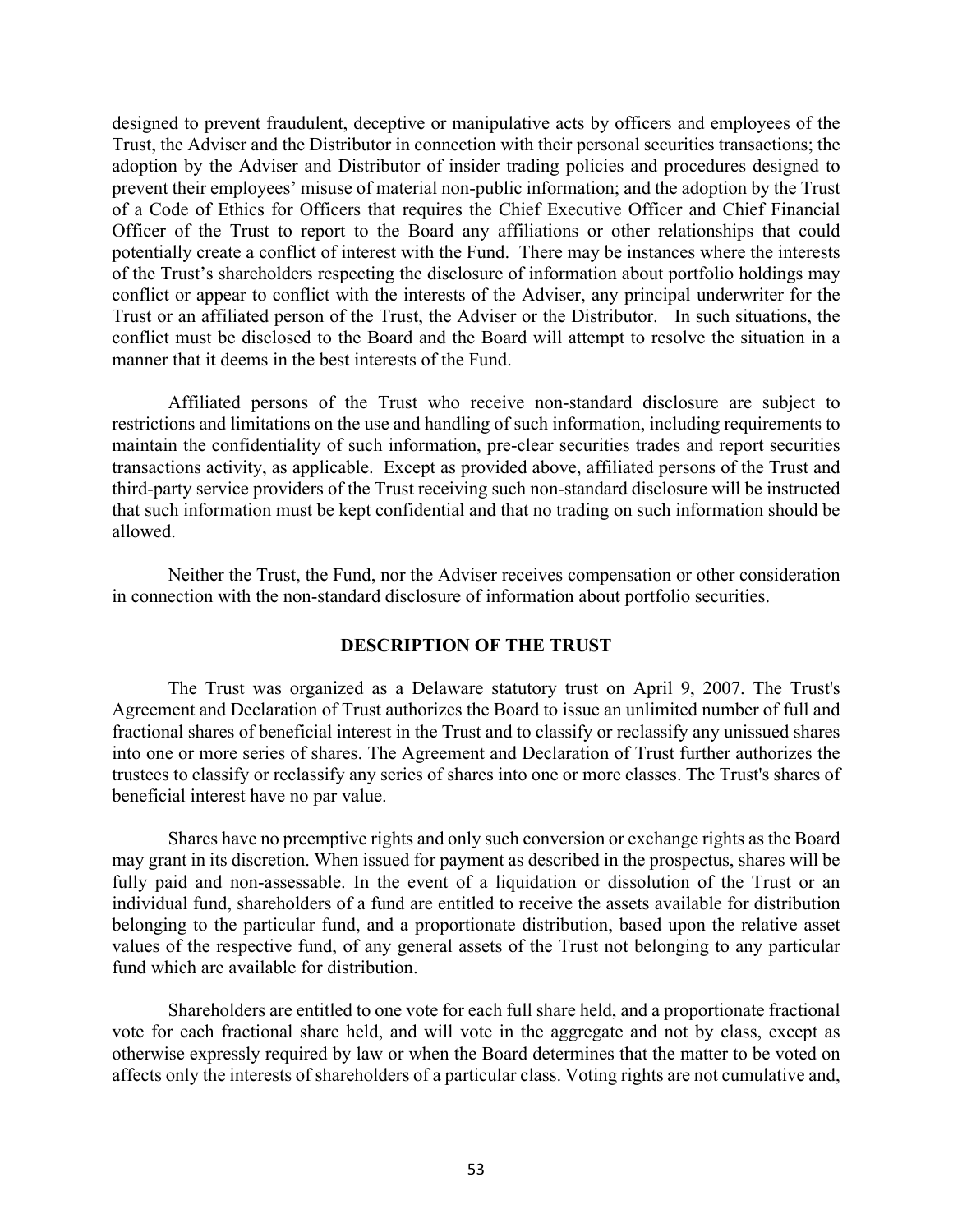designed to prevent fraudulent, deceptive or manipulative acts by officers and employees of the Trust, the Adviser and the Distributor in connection with their personal securities transactions; the adoption by the Adviser and Distributor of insider trading policies and procedures designed to prevent their employees' misuse of material non-public information; and the adoption by the Trust of a Code of Ethics for Officers that requires the Chief Executive Officer and Chief Financial Officer of the Trust to report to the Board any affiliations or other relationships that could potentially create a conflict of interest with the Fund. There may be instances where the interests of the Trust's shareholders respecting the disclosure of information about portfolio holdings may conflict or appear to conflict with the interests of the Adviser, any principal underwriter for the Trust or an affiliated person of the Trust, the Adviser or the Distributor. In such situations, the conflict must be disclosed to the Board and the Board will attempt to resolve the situation in a manner that it deems in the best interests of the Fund.

Affiliated persons of the Trust who receive non-standard disclosure are subject to restrictions and limitations on the use and handling of such information, including requirements to maintain the confidentiality of such information, pre-clear securities trades and report securities transactions activity, as applicable. Except as provided above, affiliated persons of the Trust and third-party service providers of the Trust receiving such non-standard disclosure will be instructed that such information must be kept confidential and that no trading on such information should be allowed.

Neither the Trust, the Fund, nor the Adviser receives compensation or other consideration in connection with the non-standard disclosure of information about portfolio securities.

## **DESCRIPTION OF THE TRUST**

The Trust was organized as a Delaware statutory trust on April 9, 2007. The Trust's Agreement and Declaration of Trust authorizes the Board to issue an unlimited number of full and fractional shares of beneficial interest in the Trust and to classify or reclassify any unissued shares into one or more series of shares. The Agreement and Declaration of Trust further authorizes the trustees to classify or reclassify any series of shares into one or more classes. The Trust's shares of beneficial interest have no par value.

Shares have no preemptive rights and only such conversion or exchange rights as the Board may grant in its discretion. When issued for payment as described in the prospectus, shares will be fully paid and non-assessable. In the event of a liquidation or dissolution of the Trust or an individual fund, shareholders of a fund are entitled to receive the assets available for distribution belonging to the particular fund, and a proportionate distribution, based upon the relative asset values of the respective fund, of any general assets of the Trust not belonging to any particular fund which are available for distribution.

Shareholders are entitled to one vote for each full share held, and a proportionate fractional vote for each fractional share held, and will vote in the aggregate and not by class, except as otherwise expressly required by law or when the Board determines that the matter to be voted on affects only the interests of shareholders of a particular class. Voting rights are not cumulative and,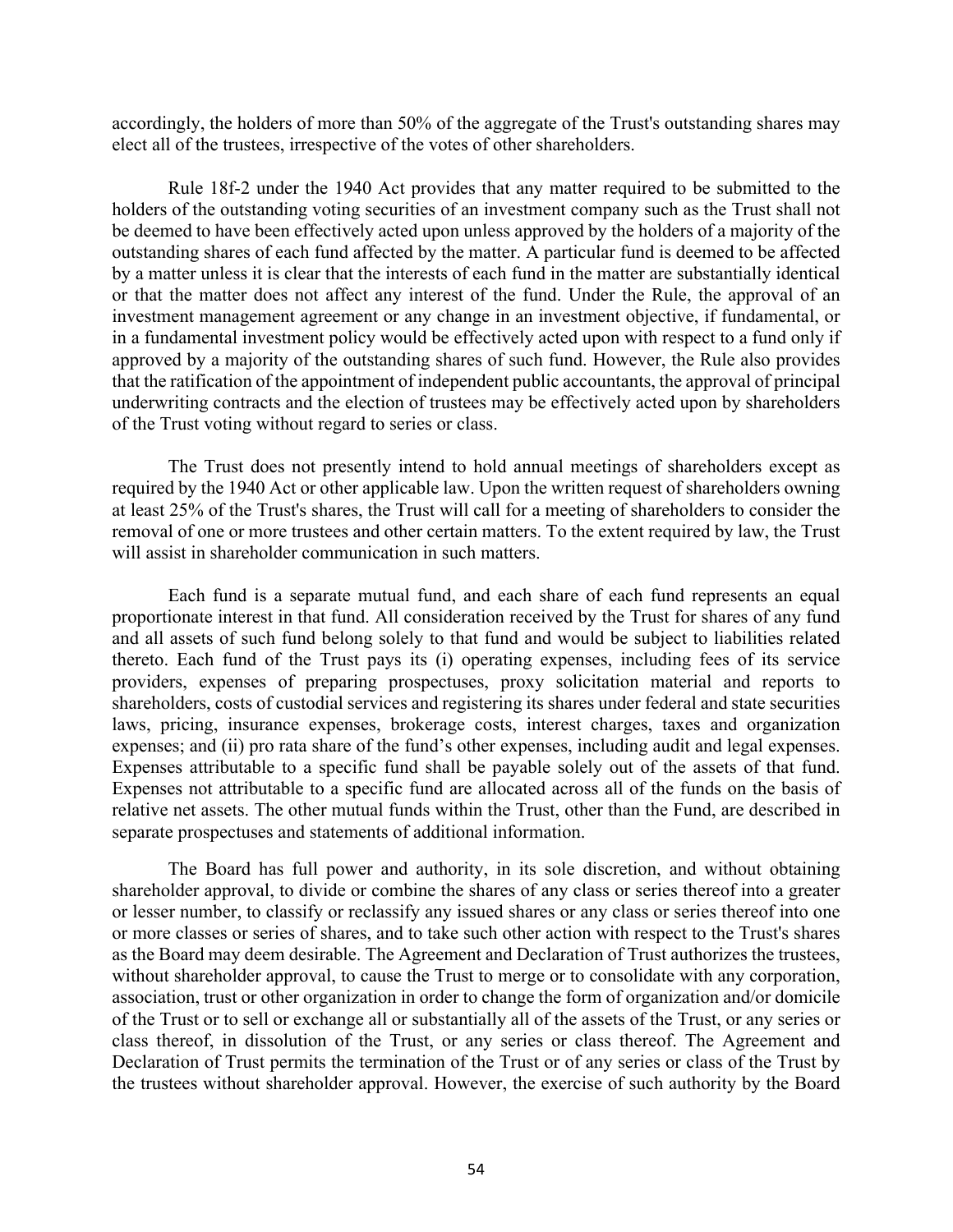accordingly, the holders of more than 50% of the aggregate of the Trust's outstanding shares may elect all of the trustees, irrespective of the votes of other shareholders.

Rule 18f-2 under the 1940 Act provides that any matter required to be submitted to the holders of the outstanding voting securities of an investment company such as the Trust shall not be deemed to have been effectively acted upon unless approved by the holders of a majority of the outstanding shares of each fund affected by the matter. A particular fund is deemed to be affected by a matter unless it is clear that the interests of each fund in the matter are substantially identical or that the matter does not affect any interest of the fund. Under the Rule, the approval of an investment management agreement or any change in an investment objective, if fundamental, or in a fundamental investment policy would be effectively acted upon with respect to a fund only if approved by a majority of the outstanding shares of such fund. However, the Rule also provides that the ratification of the appointment of independent public accountants, the approval of principal underwriting contracts and the election of trustees may be effectively acted upon by shareholders of the Trust voting without regard to series or class.

The Trust does not presently intend to hold annual meetings of shareholders except as required by the 1940 Act or other applicable law. Upon the written request of shareholders owning at least 25% of the Trust's shares, the Trust will call for a meeting of shareholders to consider the removal of one or more trustees and other certain matters. To the extent required by law, the Trust will assist in shareholder communication in such matters.

Each fund is a separate mutual fund, and each share of each fund represents an equal proportionate interest in that fund. All consideration received by the Trust for shares of any fund and all assets of such fund belong solely to that fund and would be subject to liabilities related thereto. Each fund of the Trust pays its (i) operating expenses, including fees of its service providers, expenses of preparing prospectuses, proxy solicitation material and reports to shareholders, costs of custodial services and registering its shares under federal and state securities laws, pricing, insurance expenses, brokerage costs, interest charges, taxes and organization expenses; and (ii) pro rata share of the fund's other expenses, including audit and legal expenses. Expenses attributable to a specific fund shall be payable solely out of the assets of that fund. Expenses not attributable to a specific fund are allocated across all of the funds on the basis of relative net assets. The other mutual funds within the Trust, other than the Fund, are described in separate prospectuses and statements of additional information.

The Board has full power and authority, in its sole discretion, and without obtaining shareholder approval, to divide or combine the shares of any class or series thereof into a greater or lesser number, to classify or reclassify any issued shares or any class or series thereof into one or more classes or series of shares, and to take such other action with respect to the Trust's shares as the Board may deem desirable. The Agreement and Declaration of Trust authorizes the trustees, without shareholder approval, to cause the Trust to merge or to consolidate with any corporation, association, trust or other organization in order to change the form of organization and/or domicile of the Trust or to sell or exchange all or substantially all of the assets of the Trust, or any series or class thereof, in dissolution of the Trust, or any series or class thereof. The Agreement and Declaration of Trust permits the termination of the Trust or of any series or class of the Trust by the trustees without shareholder approval. However, the exercise of such authority by the Board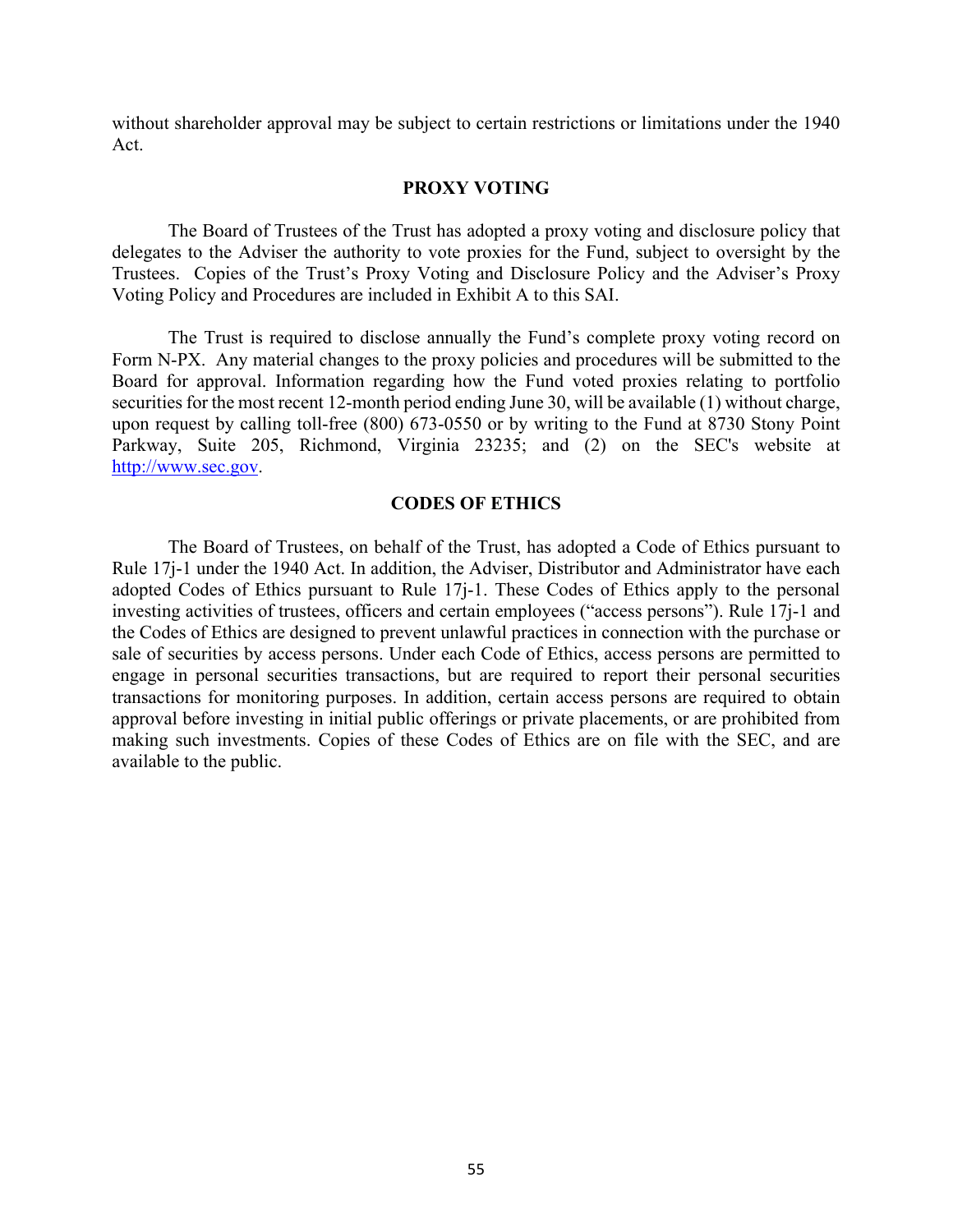without shareholder approval may be subject to certain restrictions or limitations under the 1940 Act.

### **PROXY VOTING**

<span id="page-56-0"></span>The Board of Trustees of the Trust has adopted a proxy voting and disclosure policy that delegates to the Adviser the authority to vote proxies for the Fund, subject to oversight by the Trustees. Copies of the Trust's Proxy Voting and Disclosure Policy and the Adviser's Proxy Voting Policy and Procedures are included in Exhibit A to this SAI.

The Trust is required to disclose annually the Fund's complete proxy voting record on Form N-PX. Any material changes to the proxy policies and procedures will be submitted to the Board for approval. Information regarding how the Fund voted proxies relating to portfolio securities for the most recent 12-month period ending June 30, will be available (1) without charge, upon request by calling toll-free (800) 673-0550 or by writing to the Fund at 8730 Stony Point Parkway, Suite 205, Richmond, Virginia 23235; and (2) on the SEC's website at [http://www.sec.gov.](http://www.sec.gov/)

#### **CODES OF ETHICS**

<span id="page-56-1"></span>The Board of Trustees, on behalf of the Trust, has adopted a Code of Ethics pursuant to Rule 17j-1 under the 1940 Act. In addition, the Adviser, Distributor and Administrator have each adopted Codes of Ethics pursuant to Rule 17j-1. These Codes of Ethics apply to the personal investing activities of trustees, officers and certain employees ("access persons"). Rule 17j-1 and the Codes of Ethics are designed to prevent unlawful practices in connection with the purchase or sale of securities by access persons. Under each Code of Ethics, access persons are permitted to engage in personal securities transactions, but are required to report their personal securities transactions for monitoring purposes. In addition, certain access persons are required to obtain approval before investing in initial public offerings or private placements, or are prohibited from making such investments. Copies of these Codes of Ethics are on file with the SEC, and are available to the public.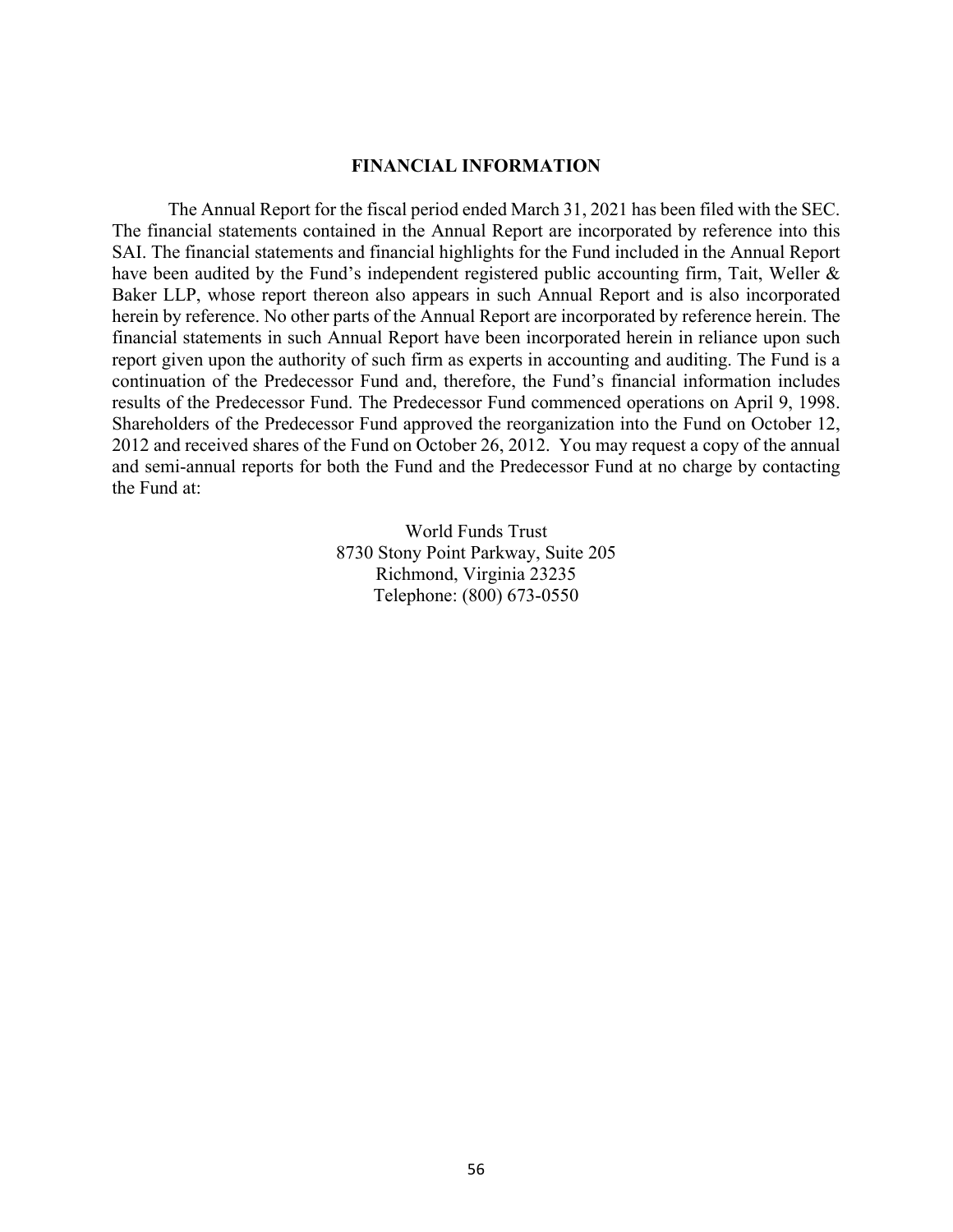### **FINANCIAL INFORMATION**

<span id="page-57-0"></span>The Annual Report for the fiscal period ended March 31, 2021 has been filed with the SEC. The financial statements contained in the Annual Report are incorporated by reference into this SAI. The financial statements and financial highlights for the Fund included in the Annual Report have been audited by the Fund's independent registered public accounting firm, Tait, Weller & Baker LLP, whose report thereon also appears in such Annual Report and is also incorporated herein by reference. No other parts of the Annual Report are incorporated by reference herein. The financial statements in such Annual Report have been incorporated herein in reliance upon such report given upon the authority of such firm as experts in accounting and auditing. The Fund is a continuation of the Predecessor Fund and, therefore, the Fund's financial information includes results of the Predecessor Fund. The Predecessor Fund commenced operations on April 9, 1998. Shareholders of the Predecessor Fund approved the reorganization into the Fund on October 12, 2012 and received shares of the Fund on October 26, 2012. You may request a copy of the annual and semi-annual reports for both the Fund and the Predecessor Fund at no charge by contacting the Fund at:

> World Funds Trust 8730 Stony Point Parkway, Suite 205 Richmond, Virginia 23235 Telephone: (800) 673-0550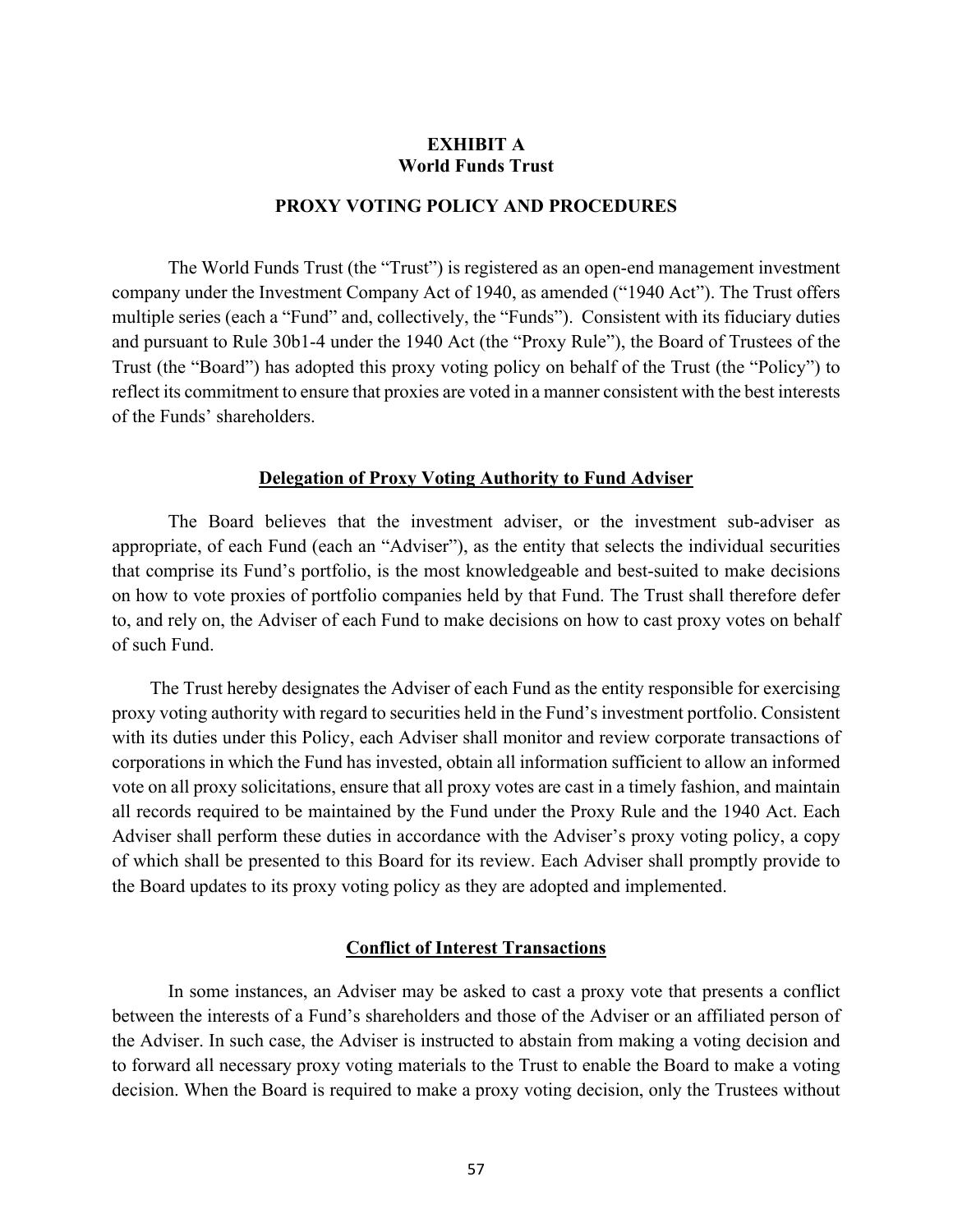# **EXHIBIT A World Funds Trust**

### **PROXY VOTING POLICY AND PROCEDURES**

<span id="page-58-0"></span>The World Funds Trust (the "Trust") is registered as an open-end management investment company under the Investment Company Act of 1940, as amended ("1940 Act"). The Trust offers multiple series (each a "Fund" and, collectively, the "Funds"). Consistent with its fiduciary duties and pursuant to Rule 30b1-4 under the 1940 Act (the "Proxy Rule"), the Board of Trustees of the Trust (the "Board") has adopted this proxy voting policy on behalf of the Trust (the "Policy") to reflect its commitment to ensure that proxies are voted in a manner consistent with the best interests of the Funds' shareholders.

#### **Delegation of Proxy Voting Authority to Fund Adviser**

The Board believes that the investment adviser, or the investment sub-adviser as appropriate, of each Fund (each an "Adviser"), as the entity that selects the individual securities that comprise its Fund's portfolio, is the most knowledgeable and best-suited to make decisions on how to vote proxies of portfolio companies held by that Fund. The Trust shall therefore defer to, and rely on, the Adviser of each Fund to make decisions on how to cast proxy votes on behalf of such Fund.

The Trust hereby designates the Adviser of each Fund as the entity responsible for exercising proxy voting authority with regard to securities held in the Fund's investment portfolio. Consistent with its duties under this Policy, each Adviser shall monitor and review corporate transactions of corporations in which the Fund has invested, obtain all information sufficient to allow an informed vote on all proxy solicitations, ensure that all proxy votes are cast in a timely fashion, and maintain all records required to be maintained by the Fund under the Proxy Rule and the 1940 Act. Each Adviser shall perform these duties in accordance with the Adviser's proxy voting policy, a copy of which shall be presented to this Board for its review. Each Adviser shall promptly provide to the Board updates to its proxy voting policy as they are adopted and implemented.

### **Conflict of Interest Transactions**

In some instances, an Adviser may be asked to cast a proxy vote that presents a conflict between the interests of a Fund's shareholders and those of the Adviser or an affiliated person of the Adviser. In such case, the Adviser is instructed to abstain from making a voting decision and to forward all necessary proxy voting materials to the Trust to enable the Board to make a voting decision. When the Board is required to make a proxy voting decision, only the Trustees without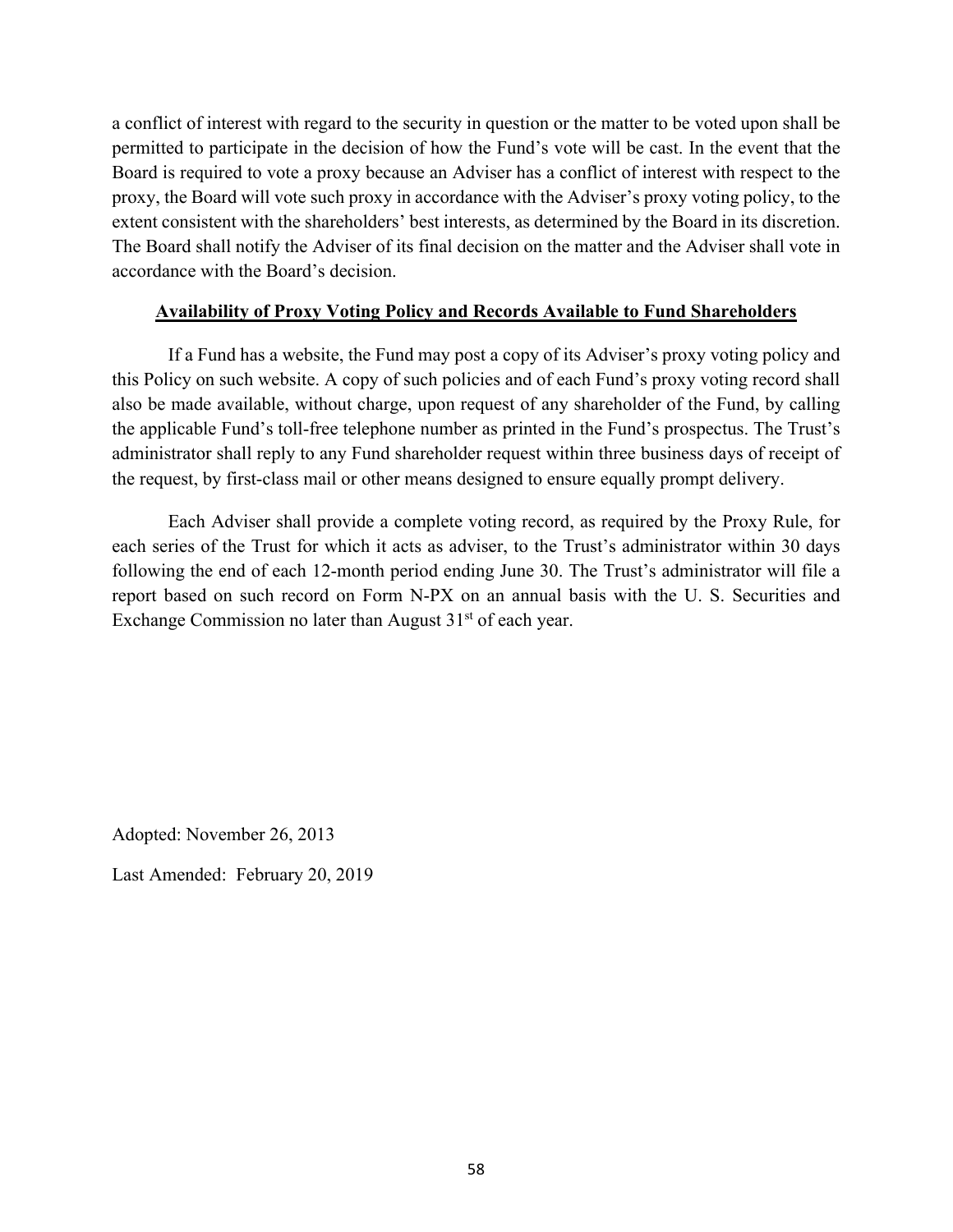a conflict of interest with regard to the security in question or the matter to be voted upon shall be permitted to participate in the decision of how the Fund's vote will be cast. In the event that the Board is required to vote a proxy because an Adviser has a conflict of interest with respect to the proxy, the Board will vote such proxy in accordance with the Adviser's proxy voting policy, to the extent consistent with the shareholders' best interests, as determined by the Board in its discretion. The Board shall notify the Adviser of its final decision on the matter and the Adviser shall vote in accordance with the Board's decision.

# **Availability of Proxy Voting Policy and Records Available to Fund Shareholders**

If a Fund has a website, the Fund may post a copy of its Adviser's proxy voting policy and this Policy on such website. A copy of such policies and of each Fund's proxy voting record shall also be made available, without charge, upon request of any shareholder of the Fund, by calling the applicable Fund's toll-free telephone number as printed in the Fund's prospectus. The Trust's administrator shall reply to any Fund shareholder request within three business days of receipt of the request, by first-class mail or other means designed to ensure equally prompt delivery.

Each Adviser shall provide a complete voting record, as required by the Proxy Rule, for each series of the Trust for which it acts as adviser, to the Trust's administrator within 30 days following the end of each 12-month period ending June 30. The Trust's administrator will file a report based on such record on Form N-PX on an annual basis with the U. S. Securities and Exchange Commission no later than August  $31<sup>st</sup>$  of each year.

Adopted: November 26, 2013

Last Amended: February 20, 2019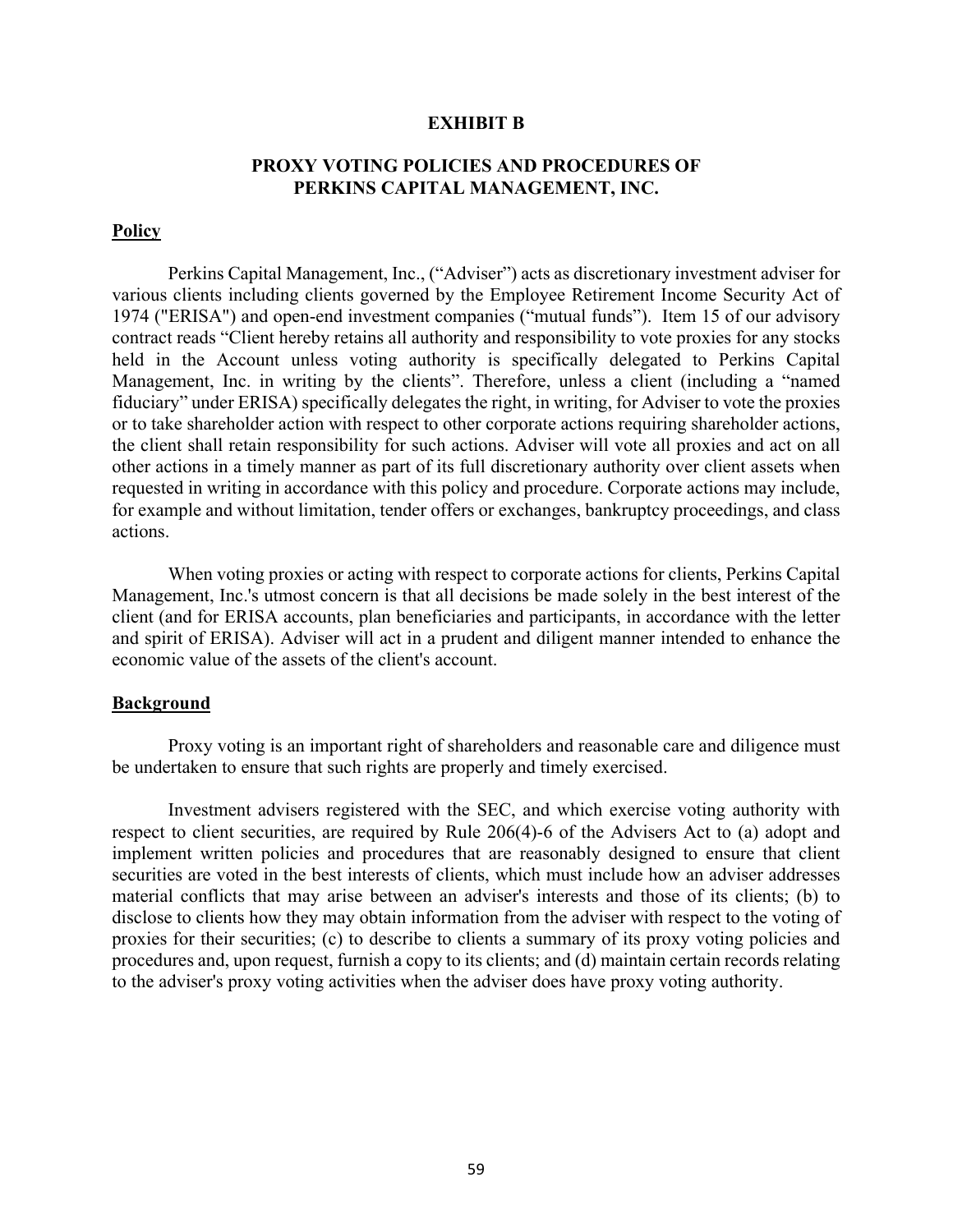#### **EXHIBIT B**

### **PROXY VOTING POLICIES AND PROCEDURES OF PERKINS CAPITAL MANAGEMENT, INC.**

### <span id="page-60-0"></span>**Policy**

Perkins Capital Management, Inc., ("Adviser") acts as discretionary investment adviser for various clients including clients governed by the Employee Retirement Income Security Act of 1974 ("ERISA") and open-end investment companies ("mutual funds"). Item 15 of our advisory contract reads "Client hereby retains all authority and responsibility to vote proxies for any stocks held in the Account unless voting authority is specifically delegated to Perkins Capital Management, Inc. in writing by the clients". Therefore, unless a client (including a "named fiduciary" under ERISA) specifically delegates the right, in writing, for Adviser to vote the proxies or to take shareholder action with respect to other corporate actions requiring shareholder actions, the client shall retain responsibility for such actions. Adviser will vote all proxies and act on all other actions in a timely manner as part of its full discretionary authority over client assets when requested in writing in accordance with this policy and procedure. Corporate actions may include, for example and without limitation, tender offers or exchanges, bankruptcy proceedings, and class actions.

When voting proxies or acting with respect to corporate actions for clients, Perkins Capital Management, Inc.'s utmost concern is that all decisions be made solely in the best interest of the client (and for ERISA accounts, plan beneficiaries and participants, in accordance with the letter and spirit of ERISA). Adviser will act in a prudent and diligent manner intended to enhance the economic value of the assets of the client's account.

#### **Background**

Proxy voting is an important right of shareholders and reasonable care and diligence must be undertaken to ensure that such rights are properly and timely exercised.

Investment advisers registered with the SEC, and which exercise voting authority with respect to client securities, are required by Rule 206(4)-6 of the Advisers Act to (a) adopt and implement written policies and procedures that are reasonably designed to ensure that client securities are voted in the best interests of clients, which must include how an adviser addresses material conflicts that may arise between an adviser's interests and those of its clients; (b) to disclose to clients how they may obtain information from the adviser with respect to the voting of proxies for their securities; (c) to describe to clients a summary of its proxy voting policies and procedures and, upon request, furnish a copy to its clients; and (d) maintain certain records relating to the adviser's proxy voting activities when the adviser does have proxy voting authority.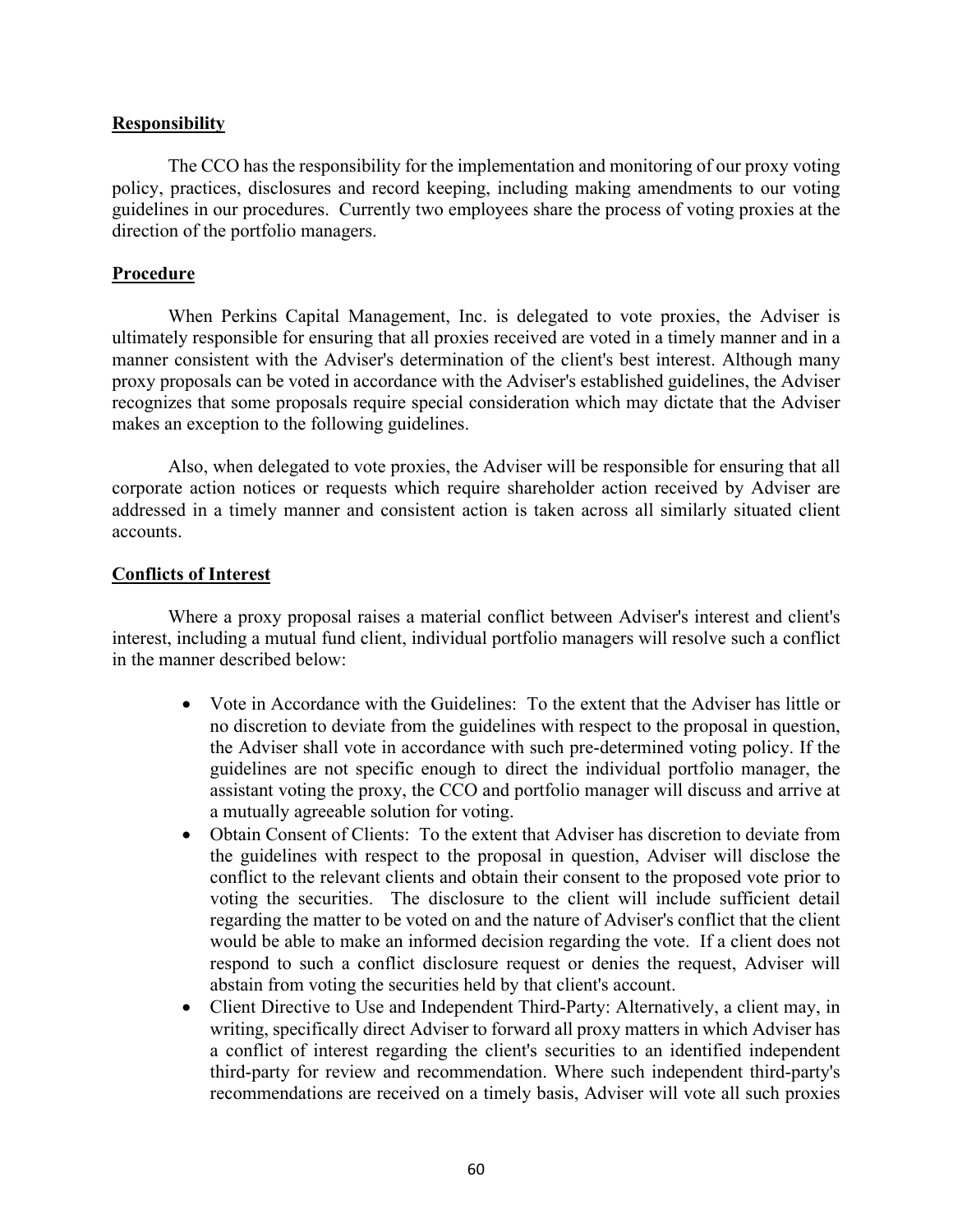## **Responsibility**

The CCO has the responsibility for the implementation and monitoring of our proxy voting policy, practices, disclosures and record keeping, including making amendments to our voting guidelines in our procedures. Currently two employees share the process of voting proxies at the direction of the portfolio managers.

### **Procedure**

When Perkins Capital Management, Inc. is delegated to vote proxies, the Adviser is ultimately responsible for ensuring that all proxies received are voted in a timely manner and in a manner consistent with the Adviser's determination of the client's best interest. Although many proxy proposals can be voted in accordance with the Adviser's established guidelines, the Adviser recognizes that some proposals require special consideration which may dictate that the Adviser makes an exception to the following guidelines.

Also, when delegated to vote proxies, the Adviser will be responsible for ensuring that all corporate action notices or requests which require shareholder action received by Adviser are addressed in a timely manner and consistent action is taken across all similarly situated client accounts.

### **Conflicts of Interest**

Where a proxy proposal raises a material conflict between Adviser's interest and client's interest, including a mutual fund client, individual portfolio managers will resolve such a conflict in the manner described below:

- Vote in Accordance with the Guidelines: To the extent that the Adviser has little or no discretion to deviate from the guidelines with respect to the proposal in question, the Adviser shall vote in accordance with such pre-determined voting policy. If the guidelines are not specific enough to direct the individual portfolio manager, the assistant voting the proxy, the CCO and portfolio manager will discuss and arrive at a mutually agreeable solution for voting.
- Obtain Consent of Clients: To the extent that Adviser has discretion to deviate from the guidelines with respect to the proposal in question, Adviser will disclose the conflict to the relevant clients and obtain their consent to the proposed vote prior to voting the securities. The disclosure to the client will include sufficient detail regarding the matter to be voted on and the nature of Adviser's conflict that the client would be able to make an informed decision regarding the vote. If a client does not respond to such a conflict disclosure request or denies the request, Adviser will abstain from voting the securities held by that client's account.
- Client Directive to Use and Independent Third-Party: Alternatively, a client may, in writing, specifically direct Adviser to forward all proxy matters in which Adviser has a conflict of interest regarding the client's securities to an identified independent third-party for review and recommendation. Where such independent third-party's recommendations are received on a timely basis, Adviser will vote all such proxies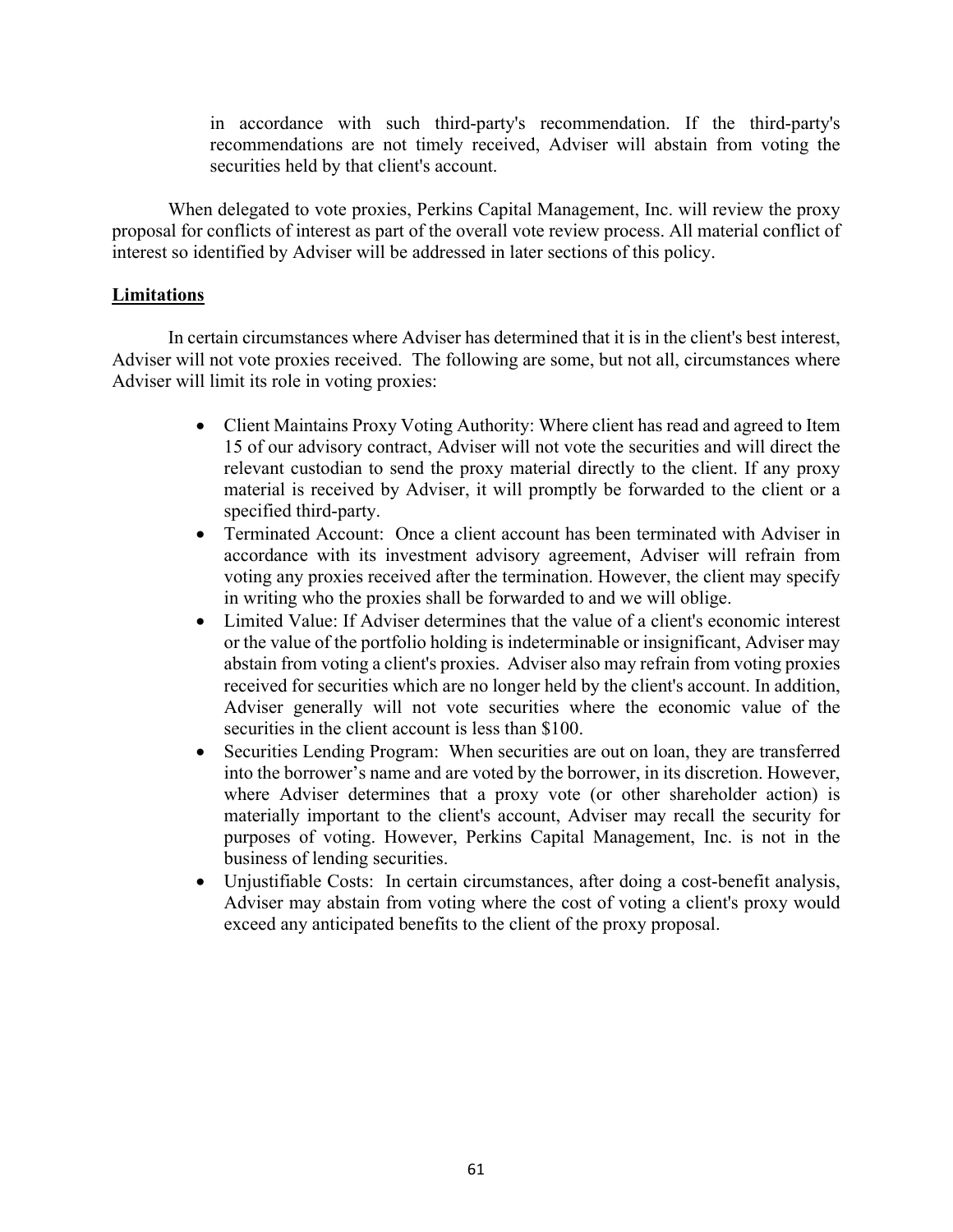in accordance with such third-party's recommendation. If the third-party's recommendations are not timely received, Adviser will abstain from voting the securities held by that client's account.

When delegated to vote proxies, Perkins Capital Management, Inc. will review the proxy proposal for conflicts of interest as part of the overall vote review process. All material conflict of interest so identified by Adviser will be addressed in later sections of this policy.

# **Limitations**

In certain circumstances where Adviser has determined that it is in the client's best interest, Adviser will not vote proxies received. The following are some, but not all, circumstances where Adviser will limit its role in voting proxies:

- Client Maintains Proxy Voting Authority: Where client has read and agreed to Item 15 of our advisory contract, Adviser will not vote the securities and will direct the relevant custodian to send the proxy material directly to the client. If any proxy material is received by Adviser, it will promptly be forwarded to the client or a specified third-party.
- Terminated Account: Once a client account has been terminated with Adviser in accordance with its investment advisory agreement, Adviser will refrain from voting any proxies received after the termination. However, the client may specify in writing who the proxies shall be forwarded to and we will oblige.
- Limited Value: If Adviser determines that the value of a client's economic interest or the value of the portfolio holding is indeterminable or insignificant, Adviser may abstain from voting a client's proxies. Adviser also may refrain from voting proxies received for securities which are no longer held by the client's account. In addition, Adviser generally will not vote securities where the economic value of the securities in the client account is less than \$100.
- Securities Lending Program: When securities are out on loan, they are transferred into the borrower's name and are voted by the borrower, in its discretion. However, where Adviser determines that a proxy vote (or other shareholder action) is materially important to the client's account, Adviser may recall the security for purposes of voting. However, Perkins Capital Management, Inc. is not in the business of lending securities.
- Unjustifiable Costs: In certain circumstances, after doing a cost-benefit analysis, Adviser may abstain from voting where the cost of voting a client's proxy would exceed any anticipated benefits to the client of the proxy proposal.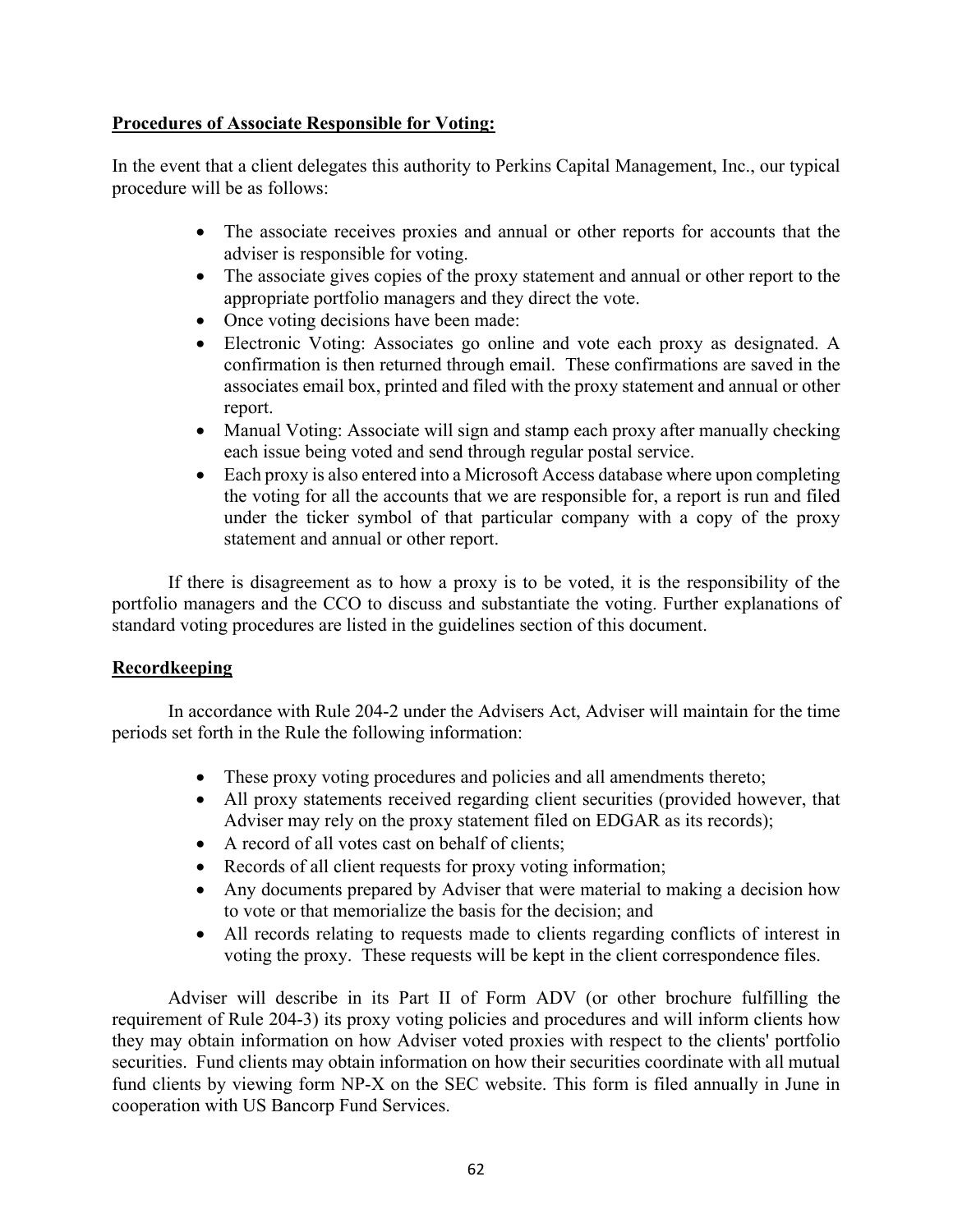# **Procedures of Associate Responsible for Voting:**

In the event that a client delegates this authority to Perkins Capital Management, Inc., our typical procedure will be as follows:

- The associate receives proxies and annual or other reports for accounts that the adviser is responsible for voting.
- The associate gives copies of the proxy statement and annual or other report to the appropriate portfolio managers and they direct the vote.
- Once voting decisions have been made:
- Electronic Voting: Associates go online and vote each proxy as designated. A confirmation is then returned through email. These confirmations are saved in the associates email box, printed and filed with the proxy statement and annual or other report.
- Manual Voting: Associate will sign and stamp each proxy after manually checking each issue being voted and send through regular postal service.
- Each proxy is also entered into a Microsoft Access database where upon completing the voting for all the accounts that we are responsible for, a report is run and filed under the ticker symbol of that particular company with a copy of the proxy statement and annual or other report.

If there is disagreement as to how a proxy is to be voted, it is the responsibility of the portfolio managers and the CCO to discuss and substantiate the voting. Further explanations of standard voting procedures are listed in the guidelines section of this document.

# **Recordkeeping**

In accordance with Rule 204-2 under the Advisers Act, Adviser will maintain for the time periods set forth in the Rule the following information:

- These proxy voting procedures and policies and all amendments thereto;
- All proxy statements received regarding client securities (provided however, that Adviser may rely on the proxy statement filed on EDGAR as its records);
- A record of all votes cast on behalf of clients;
- Records of all client requests for proxy voting information;
- Any documents prepared by Adviser that were material to making a decision how to vote or that memorialize the basis for the decision; and
- All records relating to requests made to clients regarding conflicts of interest in voting the proxy. These requests will be kept in the client correspondence files.

Adviser will describe in its Part II of Form ADV (or other brochure fulfilling the requirement of Rule 204-3) its proxy voting policies and procedures and will inform clients how they may obtain information on how Adviser voted proxies with respect to the clients' portfolio securities. Fund clients may obtain information on how their securities coordinate with all mutual fund clients by viewing form NP-X on the SEC website. This form is filed annually in June in cooperation with US Bancorp Fund Services.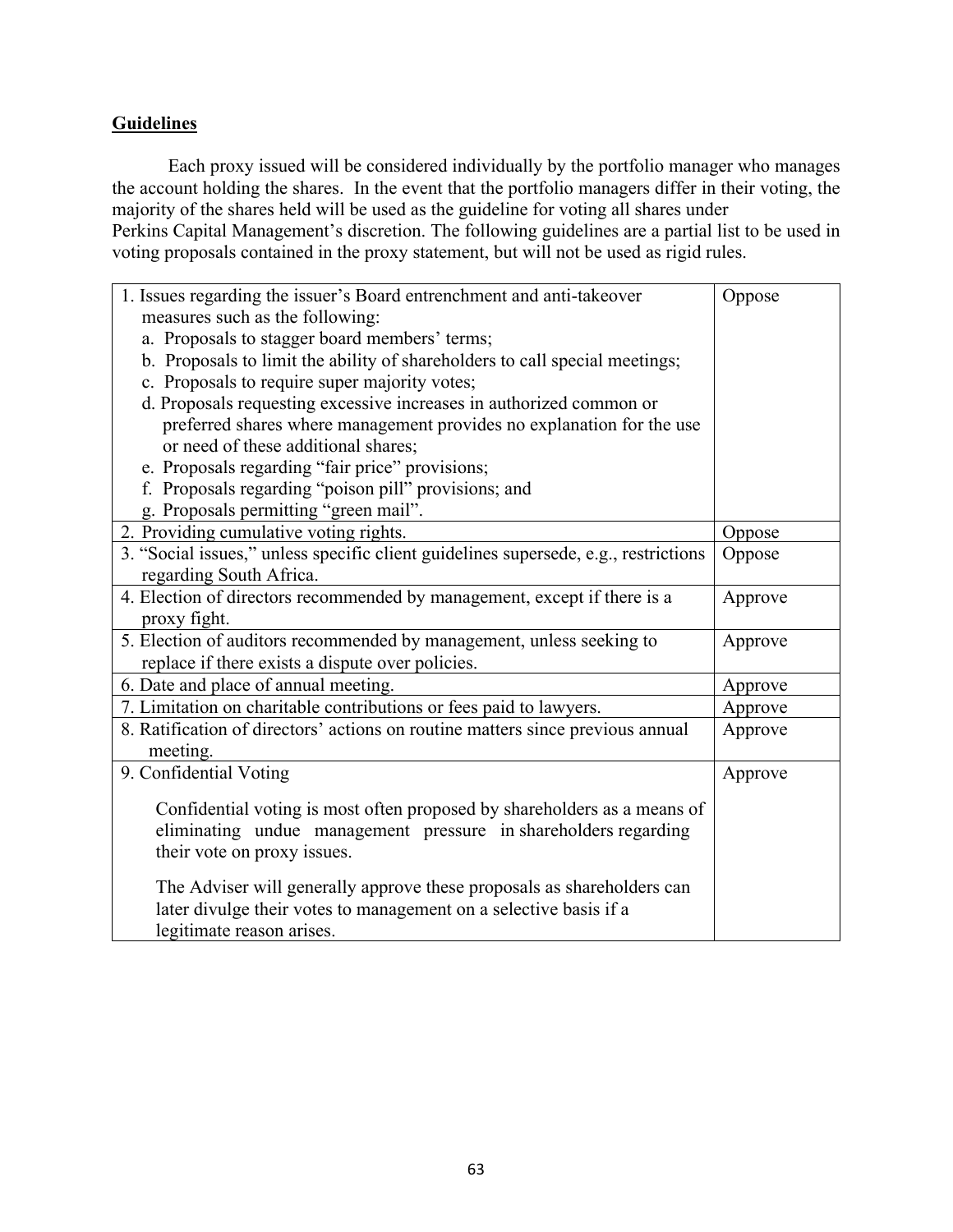# **Guidelines**

Each proxy issued will be considered individually by the portfolio manager who manages the account holding the shares. In the event that the portfolio managers differ in their voting, the majority of the shares held will be used as the guideline for voting all shares under Perkins Capital Management's discretion. The following guidelines are a partial list to be used in voting proposals contained in the proxy statement, but will not be used as rigid rules.

| 1. Issues regarding the issuer's Board entrenchment and anti-takeover               | Oppose  |
|-------------------------------------------------------------------------------------|---------|
| measures such as the following:                                                     |         |
| a. Proposals to stagger board members' terms;                                       |         |
| b. Proposals to limit the ability of shareholders to call special meetings;         |         |
| c. Proposals to require super majority votes;                                       |         |
| d. Proposals requesting excessive increases in authorized common or                 |         |
| preferred shares where management provides no explanation for the use               |         |
| or need of these additional shares;                                                 |         |
| e. Proposals regarding "fair price" provisions;                                     |         |
| f. Proposals regarding "poison pill" provisions; and                                |         |
| g. Proposals permitting "green mail".                                               |         |
| 2. Providing cumulative voting rights.                                              | Oppose  |
| 3. "Social issues," unless specific client guidelines supersede, e.g., restrictions | Oppose  |
| regarding South Africa.                                                             |         |
| 4. Election of directors recommended by management, except if there is a            | Approve |
| proxy fight.                                                                        |         |
| 5. Election of auditors recommended by management, unless seeking to                | Approve |
| replace if there exists a dispute over policies.                                    |         |
| 6. Date and place of annual meeting.                                                | Approve |
| 7. Limitation on charitable contributions or fees paid to lawyers.                  | Approve |
| 8. Ratification of directors' actions on routine matters since previous annual      | Approve |
| meeting.                                                                            |         |
| 9. Confidential Voting                                                              | Approve |
|                                                                                     |         |
| Confidential voting is most often proposed by shareholders as a means of            |         |
| eliminating undue management pressure in shareholders regarding                     |         |
| their vote on proxy issues.                                                         |         |
| The Adviser will generally approve these proposals as shareholders can              |         |
| later divulge their votes to management on a selective basis if a                   |         |
| legitimate reason arises.                                                           |         |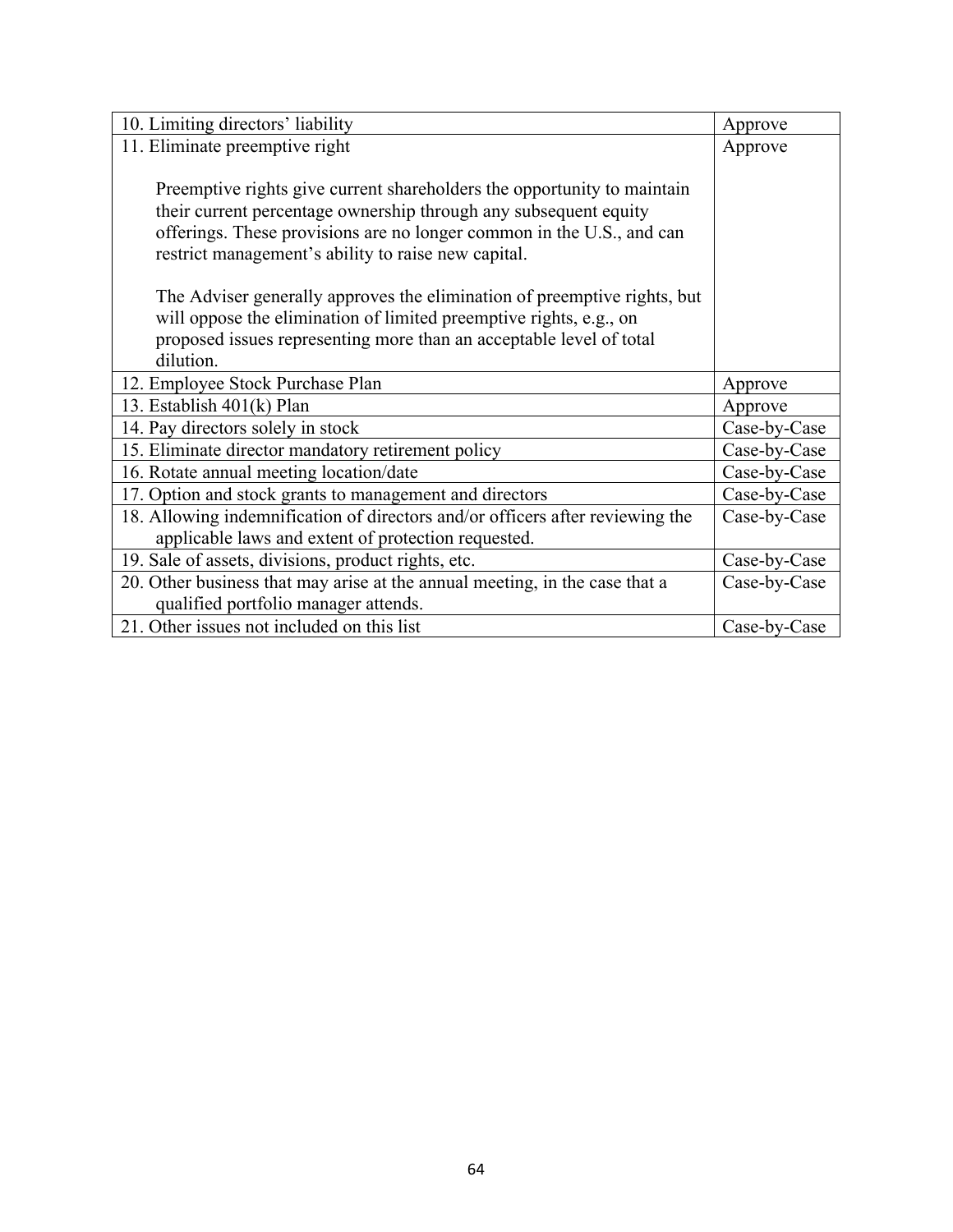| 10. Limiting directors' liability                                                | Approve      |
|----------------------------------------------------------------------------------|--------------|
| 11. Eliminate preemptive right                                                   | Approve      |
| Preemptive rights give current shareholders the opportunity to maintain          |              |
| their current percentage ownership through any subsequent equity                 |              |
| offerings. These provisions are no longer common in the U.S., and can            |              |
| restrict management's ability to raise new capital.                              |              |
|                                                                                  |              |
| The Adviser generally approves the elimination of preemptive rights, but         |              |
| will oppose the elimination of limited preemptive rights, e.g., on               |              |
| proposed issues representing more than an acceptable level of total<br>dilution. |              |
| 12. Employee Stock Purchase Plan                                                 | Approve      |
| 13. Establish $401(k)$ Plan                                                      |              |
|                                                                                  | Approve      |
| 14. Pay directors solely in stock                                                | Case-by-Case |
| 15. Eliminate director mandatory retirement policy                               | Case-by-Case |
| 16. Rotate annual meeting location/date                                          | Case-by-Case |
| 17. Option and stock grants to management and directors                          | Case-by-Case |
| 18. Allowing indemnification of directors and/or officers after reviewing the    | Case-by-Case |
| applicable laws and extent of protection requested.                              |              |
| 19. Sale of assets, divisions, product rights, etc.                              | Case-by-Case |
| 20. Other business that may arise at the annual meeting, in the case that a      | Case-by-Case |
| qualified portfolio manager attends.                                             |              |
| 21. Other issues not included on this list                                       |              |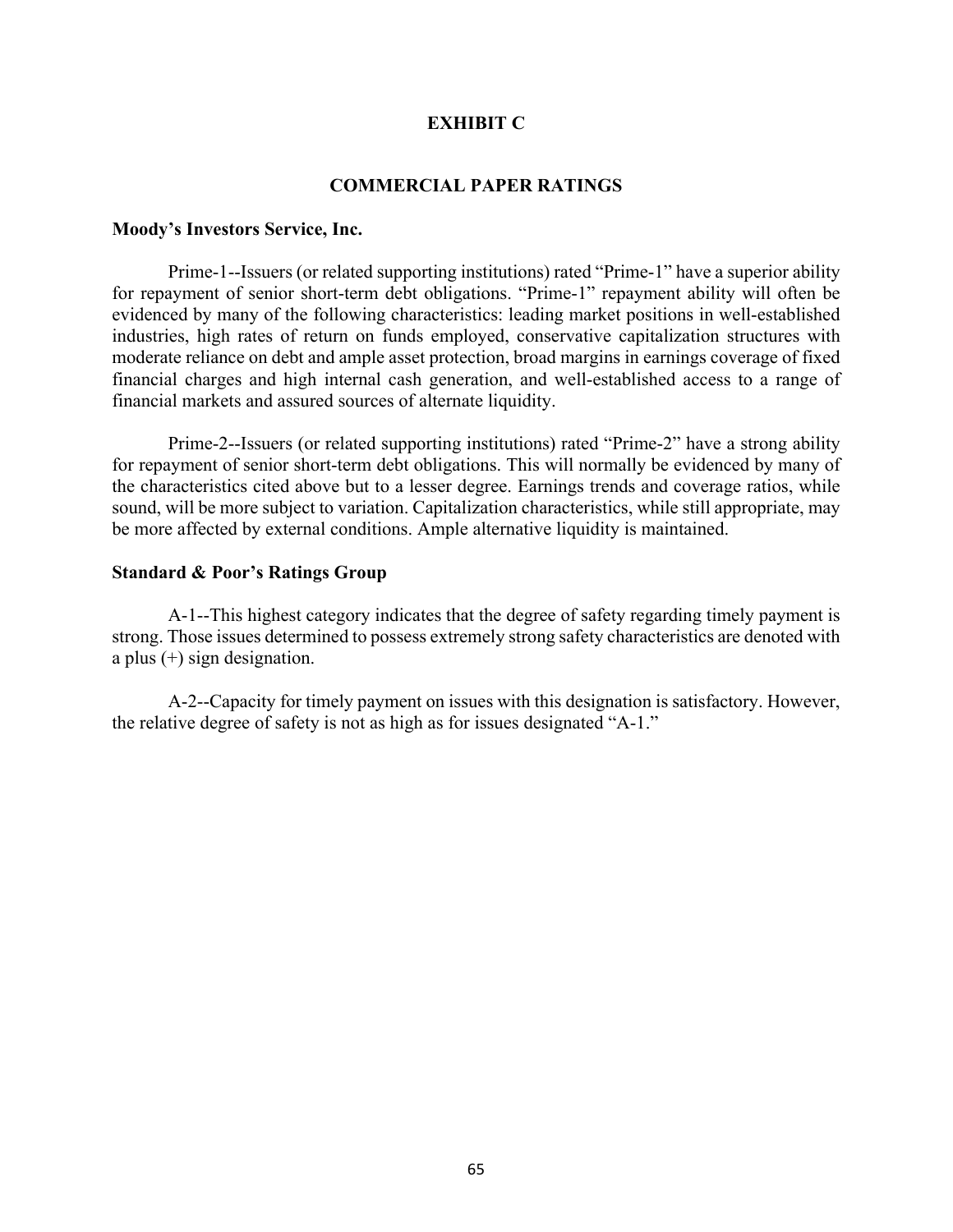### **EXHIBIT C**

#### **COMMERCIAL PAPER RATINGS**

#### <span id="page-66-0"></span>**Moody's Investors Service, Inc.**

Prime-1--Issuers (or related supporting institutions) rated "Prime-1" have a superior ability for repayment of senior short-term debt obligations. "Prime-1" repayment ability will often be evidenced by many of the following characteristics: leading market positions in well-established industries, high rates of return on funds employed, conservative capitalization structures with moderate reliance on debt and ample asset protection, broad margins in earnings coverage of fixed financial charges and high internal cash generation, and well-established access to a range of financial markets and assured sources of alternate liquidity.

Prime-2--Issuers (or related supporting institutions) rated "Prime-2" have a strong ability for repayment of senior short-term debt obligations. This will normally be evidenced by many of the characteristics cited above but to a lesser degree. Earnings trends and coverage ratios, while sound, will be more subject to variation. Capitalization characteristics, while still appropriate, may be more affected by external conditions. Ample alternative liquidity is maintained.

### **Standard & Poor's Ratings Group**

A-1--This highest category indicates that the degree of safety regarding timely payment is strong. Those issues determined to possess extremely strong safety characteristics are denoted with a plus (+) sign designation.

A-2--Capacity for timely payment on issues with this designation is satisfactory. However, the relative degree of safety is not as high as for issues designated "A-1."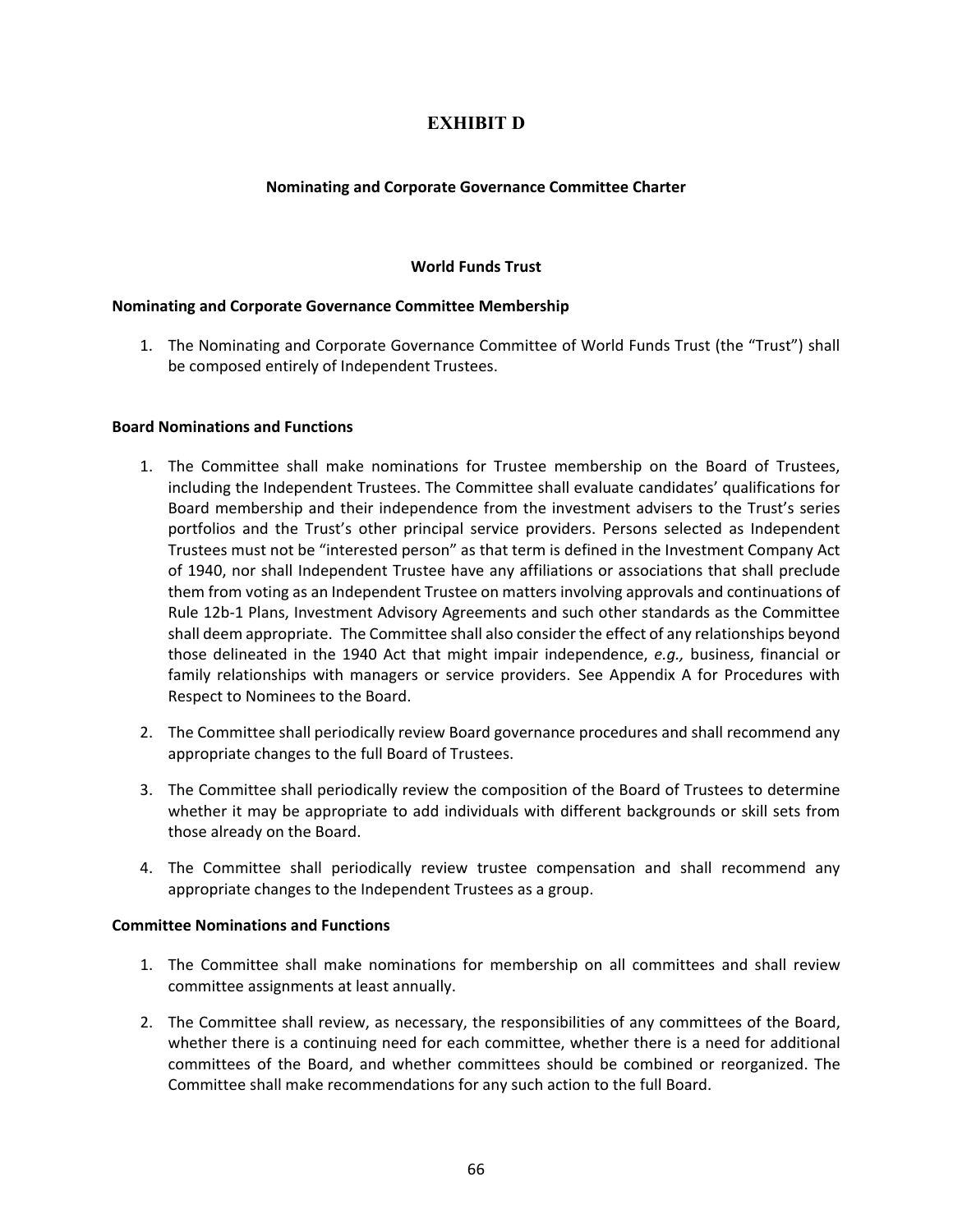# **EXHIBIT D**

### <span id="page-67-0"></span>**Nominating and Corporate Governance Committee Charter**

#### **World Funds Trust**

#### **Nominating and Corporate Governance Committee Membership**

1. The Nominating and Corporate Governance Committee of World Funds Trust (the "Trust") shall be composed entirely of Independent Trustees.

#### **Board Nominations and Functions**

- 1. The Committee shall make nominations for Trustee membership on the Board of Trustees, including the Independent Trustees. The Committee shall evaluate candidates' qualifications for Board membership and their independence from the investment advisers to the Trust's series portfolios and the Trust's other principal service providers. Persons selected as Independent Trustees must not be "interested person" as that term is defined in the Investment Company Act of 1940, nor shall Independent Trustee have any affiliations or associations that shall preclude them from voting as an Independent Trustee on matters involving approvals and continuations of Rule 12b-1 Plans, Investment Advisory Agreements and such other standards as the Committee shall deem appropriate. The Committee shall also consider the effect of any relationships beyond those delineated in the 1940 Act that might impair independence, *e.g.,* business, financial or family relationships with managers or service providers. See Appendix A for Procedures with Respect to Nominees to the Board.
- 2. The Committee shall periodically review Board governance procedures and shall recommend any appropriate changes to the full Board of Trustees.
- 3. The Committee shall periodically review the composition of the Board of Trustees to determine whether it may be appropriate to add individuals with different backgrounds or skill sets from those already on the Board.
- 4. The Committee shall periodically review trustee compensation and shall recommend any appropriate changes to the Independent Trustees as a group.

### **Committee Nominations and Functions**

- 1. The Committee shall make nominations for membership on all committees and shall review committee assignments at least annually.
- 2. The Committee shall review, as necessary, the responsibilities of any committees of the Board, whether there is a continuing need for each committee, whether there is a need for additional committees of the Board, and whether committees should be combined or reorganized. The Committee shall make recommendations for any such action to the full Board.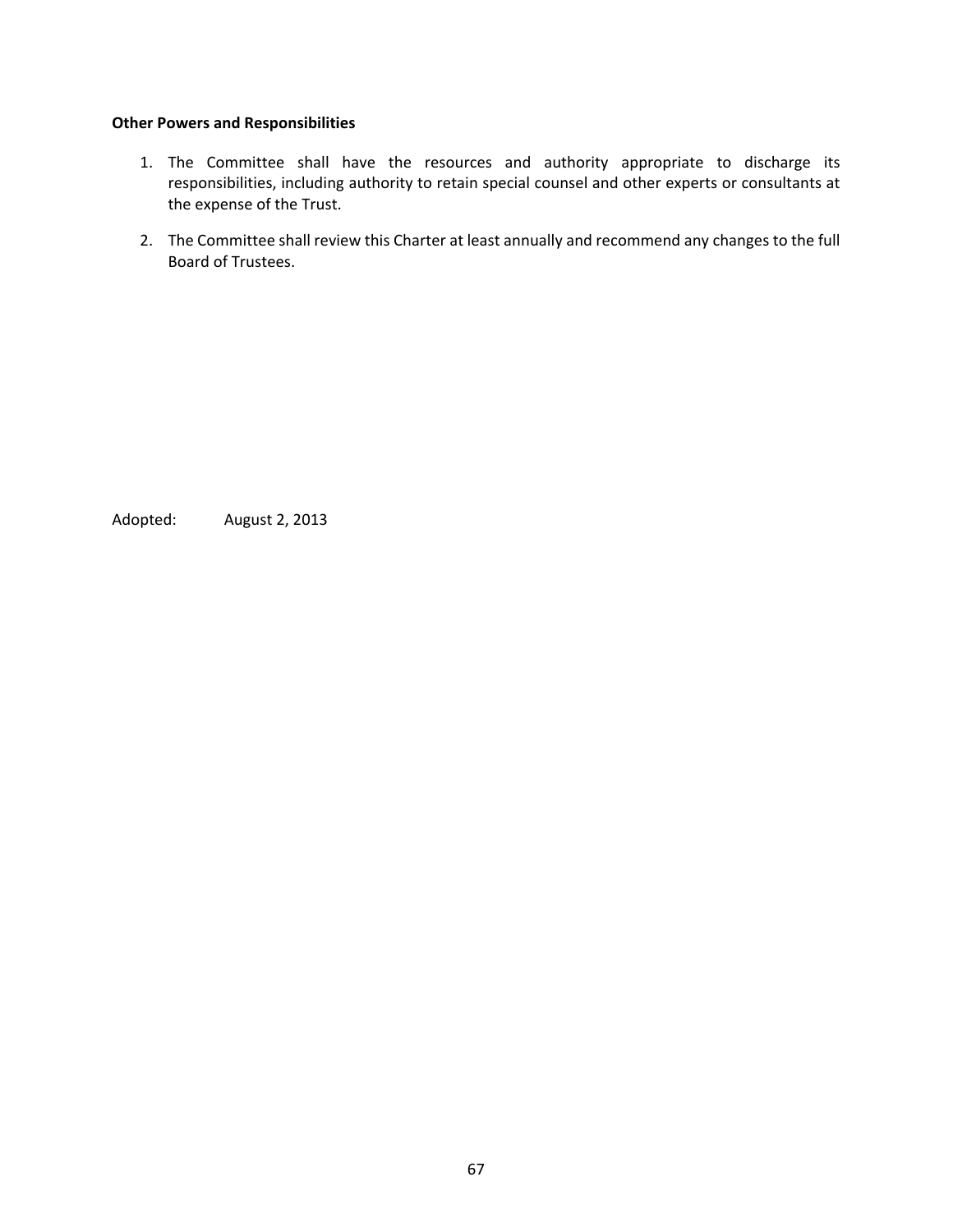# **Other Powers and Responsibilities**

- 1. The Committee shall have the resources and authority appropriate to discharge its responsibilities, including authority to retain special counsel and other experts or consultants at the expense of the Trust.
- 2. The Committee shall review this Charter at least annually and recommend any changes to the full Board of Trustees.

Adopted: August 2, 2013